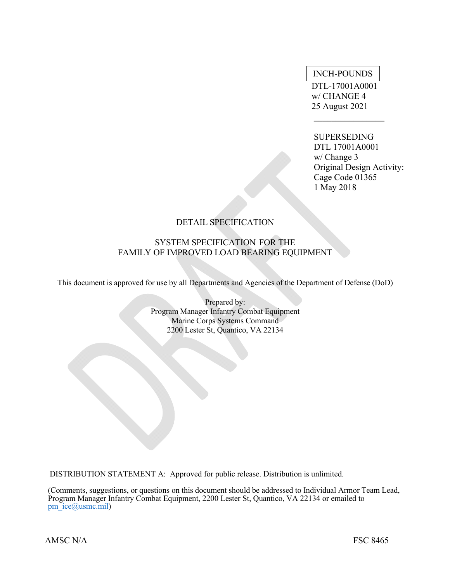# INCH-POUNDS

 DTL-17001A0001 w/ CHANGE 4 25 August 2021

 **\_\_\_\_\_\_\_\_\_\_\_\_\_\_\_\_** 

# SUPERSEDING

 DTL 17001A0001 w/ Change 3 Original Design Activity: Cage Code 01365 1 May 2018

# DETAIL SPECIFICATION

# SYSTEM SPECIFICATION FOR THE FAMILY OF IMPROVED LOAD BEARING EQUIPMENT

This document is approved for use by all Departments and Agencies of the Department of Defense (DoD)

Prepared by: Program Manager Infantry Combat Equipment Marine Corps Systems Command 2200 Lester St, Quantico, VA 22134

DISTRIBUTION STATEMENT A: Approved for public release. Distribution is unlimited.

(Comments, suggestions, or questions on this document should be addressed to Individual Armor Team Lead, Program Manager Infantry Combat Equipment, 2200 Lester St, Quantico, VA 22134 or emailed to pm\_ice@usmc.mil)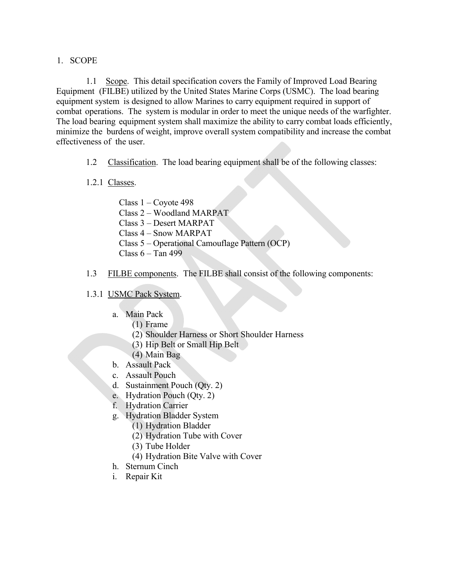# 1. SCOPE

1.1 Scope. This detail specification covers the Family of Improved Load Bearing Equipment (FILBE) utilized by the United States Marine Corps (USMC). The load bearing equipment system is designed to allow Marines to carry equipment required in support of combat operations. The system is modular in order to meet the unique needs of the warfighter. The load bearing equipment system shall maximize the ability to carry combat loads efficiently, minimize the burdens of weight, improve overall system compatibility and increase the combat effectiveness of the user.

- 1.2 Classification. The load bearing equipment shall be of the following classes:
- 1.2.1 Classes.
	- Class 1 Coyote 498
	- Class 2 Woodland MARPAT
	- Class 3 Desert MARPAT
	- Class 4 Snow MARPAT
	- Class 5 Operational Camouflage Pattern (OCP)
	- Class  $6 -$ Tan 499
- 1.3 FILBE components. The FILBE shall consist of the following components:

# 1.3.1 USMC Pack System.

- a. Main Pack
	- (1) Frame
	- (2) Shoulder Harness or Short Shoulder Harness
	- (3) Hip Belt or Small Hip Belt
	- (4) Main Bag
- b. Assault Pack
- c. Assault Pouch
- d. Sustainment Pouch (Qty. 2)
- e. Hydration Pouch (Qty. 2)
- f. Hydration Carrier
- g. Hydration Bladder System
	- (1) Hydration Bladder
	- (2) Hydration Tube with Cover
	- (3) Tube Holder
	- (4) Hydration Bite Valve with Cover
- h. Sternum Cinch
- i. Repair Kit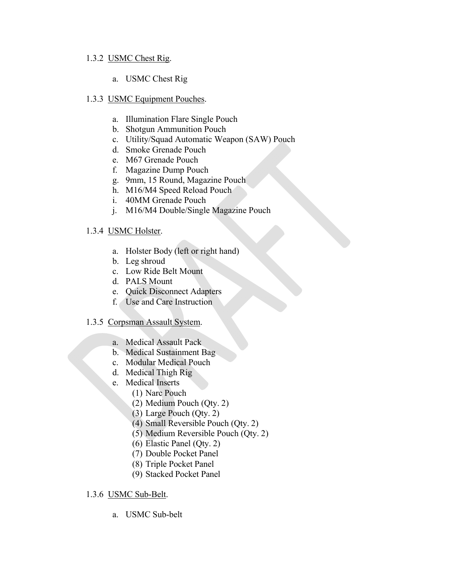# 1.3.2 USMC Chest Rig.

a. USMC Chest Rig

# 1.3.3 USMC Equipment Pouches.

- a. Illumination Flare Single Pouch
- b. Shotgun Ammunition Pouch
- c. Utility/Squad Automatic Weapon (SAW) Pouch
- d. Smoke Grenade Pouch
- e. M67 Grenade Pouch
- f. Magazine Dump Pouch
- g. 9mm, 15 Round, Magazine Pouch
- h. M16/M4 Speed Reload Pouch
- i. 40MM Grenade Pouch
- j. M16/M4 Double/Single Magazine Pouch

# 1.3.4 USMC Holster.

- a. Holster Body (left or right hand)
- b. Leg shroud
- c. Low Ride Belt Mount
- d. PALS Mount
- e. Quick Disconnect Adapters
- f. Use and Care Instruction

# 1.3.5 Corpsman Assault System.

- a. Medical Assault Pack
- b. Medical Sustainment Bag
- c. Modular Medical Pouch
- d. Medical Thigh Rig
- e. Medical Inserts
	- (1) Narc Pouch
	- (2) Medium Pouch (Qty. 2)
	- (3) Large Pouch (Qty. 2)
	- (4) Small Reversible Pouch (Qty. 2)
	- (5) Medium Reversible Pouch (Qty. 2)
	- (6) Elastic Panel (Qty. 2)
	- (7) Double Pocket Panel
	- (8) Triple Pocket Panel
	- (9) Stacked Pocket Panel

# 1.3.6 USMC Sub-Belt.

a. USMC Sub-belt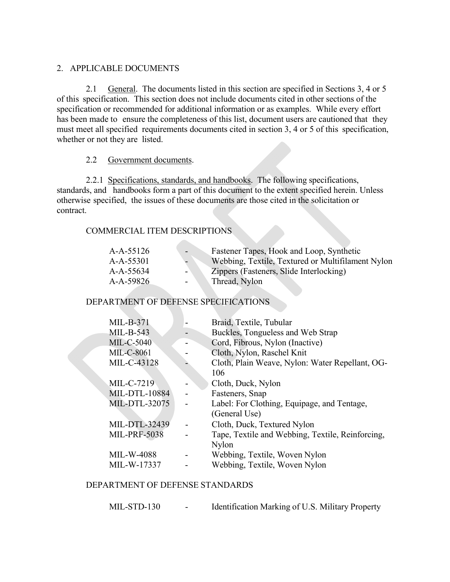# 2. APPLICABLE DOCUMENTS

2.1 General. The documents listed in this section are specified in Sections 3, 4 or 5 of this specification. This section does not include documents cited in other sections of the specification or recommended for additional information or as examples. While every effort has been made to ensure the completeness of this list, document users are cautioned that they must meet all specified requirements documents cited in section 3, 4 or 5 of this specification, whether or not they are listed.

# 2.2 Government documents.

2.2.1 Specifications, standards, and handbooks. The following specifications, standards, and handbooks form a part of this document to the extent specified herein. Unless otherwise specified, the issues of these documents are those cited in the solicitation or contract.

# COMMERCIAL ITEM DESCRIPTIONS

| $A-A-55126$ |                          | Fastener Tapes, Hook and Loop, Synthetic          |
|-------------|--------------------------|---------------------------------------------------|
| A-A-55301   |                          | Webbing, Textile, Textured or Multifilament Nylon |
| A-A-55634   | $\overline{\phantom{0}}$ | Zippers (Fasteners, Slide Interlocking)           |
| A-A-59826   |                          | Thread, Nylon                                     |

# DEPARTMENT OF DEFENSE SPECIFICATIONS

**Allen** 

| $MIL-B-371$          | Braid, Textile, Tubular                          |
|----------------------|--------------------------------------------------|
| $MIL-B-543$          | Buckles, Tongueless and Web Strap                |
| <b>MIL-C-5040</b>    | Cord, Fibrous, Nylon (Inactive)                  |
| <b>MIL-C-8061</b>    | Cloth, Nylon, Raschel Knit                       |
| MIL-C-43128          | Cloth, Plain Weave, Nylon: Water Repellant, OG-  |
|                      | 106                                              |
| MIL-C-7219           | Cloth, Duck, Nylon                               |
| <b>MIL-DTL-10884</b> | Fasteners, Snap                                  |
| MIL-DTL-32075        | Label: For Clothing, Equipage, and Tentage,      |
|                      | (General Use)                                    |
| MIL-DTL-32439        | Cloth, Duck, Textured Nylon                      |
| <b>MIL-PRF-5038</b>  | Tape, Textile and Webbing, Textile, Reinforcing, |
|                      | Nylon                                            |
| <b>MIL-W-4088</b>    | Webbing, Textile, Woven Nylon                    |
| MIL-W-17337          | Webbing, Textile, Woven Nylon                    |
|                      |                                                  |

# DEPARTMENT OF DEFENSE STANDARDS

| MIL-STD-130 | Identification Marking of U.S. Military Property |
|-------------|--------------------------------------------------|
|-------------|--------------------------------------------------|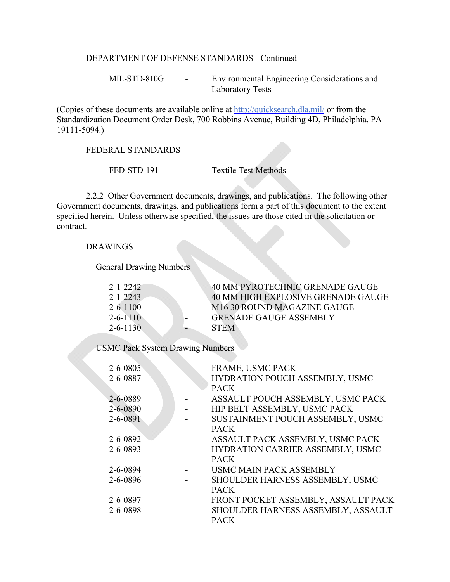## DEPARTMENT OF DEFENSE STANDARDS - Continued

MIL-STD-810G - Environmental Engineering Considerations and Laboratory Tests

(Copies of these documents are available online at http://quicksearch.dla.mil/ or from the Standardization Document Order Desk, 700 Robbins Avenue, Building 4D, Philadelphia, PA 19111-5094.)

#### FEDERAL STANDARDS

FED-STD-191 - Textile Test Methods

2.2.2 Other Government documents, drawings, and publications. The following other Government documents, drawings, and publications form a part of this document to the extent specified herein. Unless otherwise specified, the issues are those cited in the solicitation or contract.

#### DRAWINGS

General Drawing Numbers

| $2 - 1 - 2242$ | 40 MM PYROTECHNIC GRENADE GAUGE    |
|----------------|------------------------------------|
| $2 - 1 - 2243$ | 40 MM HIGH EXPLOSIVE GRENADE GAUGE |
| $2 - 6 - 1100$ | M16 30 ROUND MAGAZINE GAUGE        |
| $2 - 6 - 1110$ | <b>GRENADE GAUGE ASSEMBLY</b>      |
| $2 - 6 - 1130$ | <b>STEM</b>                        |

USMC Pack System Drawing Numbers

| FRAME, USMC PACK                    |
|-------------------------------------|
| HYDRATION POUCH ASSEMBLY, USMC      |
| <b>PACK</b>                         |
| ASSAULT POUCH ASSEMBLY, USMC PACK   |
| HIP BELT ASSEMBLY, USMC PACK        |
| SUSTAINMENT POUCH ASSEMBLY, USMC    |
| <b>PACK</b>                         |
| ASSAULT PACK ASSEMBLY, USMC PACK    |
| HYDRATION CARRIER ASSEMBLY, USMC    |
| <b>PACK</b>                         |
| <b>USMC MAIN PACK ASSEMBLY</b>      |
| SHOULDER HARNESS ASSEMBLY, USMC     |
| <b>PACK</b>                         |
| FRONT POCKET ASSEMBLY, ASSAULT PACK |
| SHOULDER HARNESS ASSEMBLY, ASSAULT  |
| <b>PACK</b>                         |
|                                     |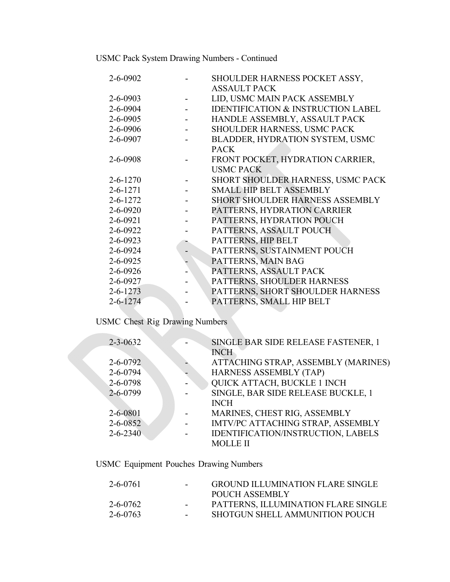USMC Pack System Drawing Numbers - Continued

| 2-6-0902       | SHOULDER HARNESS POCKET ASSY,                 |
|----------------|-----------------------------------------------|
|                | <b>ASSAULT PACK</b>                           |
| $2 - 6 - 0903$ | LID, USMC MAIN PACK ASSEMBLY                  |
| 2-6-0904       | <b>IDENTIFICATION &amp; INSTRUCTION LABEL</b> |
| $2 - 6 - 0905$ | HANDLE ASSEMBLY, ASSAULT PACK                 |
| 2-6-0906       | SHOULDER HARNESS, USMC PACK                   |
| 2-6-0907       | BLADDER, HYDRATION SYSTEM, USMC               |
|                | <b>PACK</b>                                   |
| 2-6-0908       | FRONT POCKET, HYDRATION CARRIER,              |
|                | <b>USMC PACK</b>                              |
| $2 - 6 - 1270$ | SHORT SHOULDER HARNESS, USMC PACK             |
| $2 - 6 - 1271$ | <b>SMALL HIP BELT ASSEMBLY</b>                |
| $2 - 6 - 1272$ | <b>SHORT SHOULDER HARNESS ASSEMBLY</b>        |
| $2 - 6 - 0920$ | PATTERNS, HYDRATION CARRIER                   |
| $2 - 6 - 0921$ | PATTERNS, HYDRATION POUCH                     |
| 2-6-0922       | PATTERNS, ASSAULT POUCH                       |
| $2 - 6 - 0923$ | PATTERNS, HIP BELT                            |
| $2 - 6 - 0924$ | PATTERNS, SUSTAINMENT POUCH                   |
| $2 - 6 - 0925$ | PATTERNS, MAIN BAG                            |
| $2 - 6 - 0926$ | PATTERNS, ASSAULT PACK                        |
| 2-6-0927       | PATTERNS, SHOULDER HARNESS                    |
| $2 - 6 - 1273$ | PATTERNS, SHORT SHOULDER HARNESS              |
| $2 - 6 - 1274$ | PATTERNS, SMALL HIP BELT                      |
|                |                                               |

# USMC Chest Rig Drawing Numbers

| $2 - 3 - 0632$ | SINGLE BAR SIDE RELEASE FASTENER, 1 |
|----------------|-------------------------------------|
|                | <b>INCH</b>                         |
| $2 - 6 - 0792$ | ATTACHING STRAP, ASSEMBLY (MARINES) |
| $2 - 6 - 0794$ | HARNESS ASSEMBLY (TAP)              |
| 2-6-0798       | QUICK ATTACH, BUCKLE 1 INCH         |
| $2 - 6 - 0799$ | SINGLE, BAR SIDE RELEASE BUCKLE, 1  |
|                | <b>INCH</b>                         |
| $2 - 6 - 0801$ | MARINES, CHEST RIG, ASSEMBLY        |
| $2 - 6 - 0852$ | IMTV/PC ATTACHING STRAP, ASSEMBLY   |
| $2 - 6 - 2340$ | IDENTIFICATION/INSTRUCTION, LABELS  |
|                | <b>MOLLE II</b>                     |

USMC Equipment Pouches Drawing Numbers

| <b>GROUND ILLUMINATION FLARE SINGLE</b> |
|-----------------------------------------|
| POUCH ASSEMBLY                          |
| PATTERNS, ILLUMINATION FLARE SINGLE     |
| SHOTGUN SHELL AMMUNITION POUCH          |
|                                         |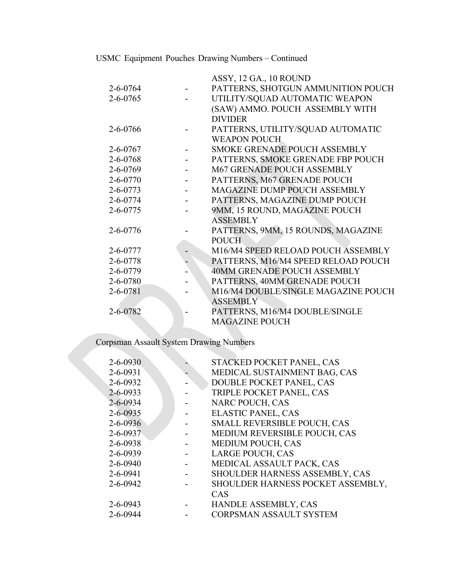USMC Equipment Pouches Drawing Numbers – Continued

|                | ASSY, 12 GA., 10 ROUND              |
|----------------|-------------------------------------|
| $2 - 6 - 0764$ | PATTERNS, SHOTGUN AMMUNITION POUCH  |
| $2 - 6 - 0765$ | UTILITY/SQUAD AUTOMATIC WEAPON      |
|                | (SAW) AMMO. POUCH ASSEMBLY WITH     |
|                | <b>DIVIDER</b>                      |
| 2-6-0766       | PATTERNS, UTILITY/SQUAD AUTOMATIC   |
|                | <b>WEAPON POUCH</b>                 |
| $2 - 6 - 0767$ | <b>SMOKE GRENADE POUCH ASSEMBLY</b> |
| 2-6-0768       | PATTERNS, SMOKE GRENADE FBP POUCH   |
| $2 - 6 - 0769$ | <b>M67 GRENADE POUCH ASSEMBLY</b>   |
| $2 - 6 - 0770$ | PATTERNS, M67 GRENADE POUCH         |
| $2 - 6 - 0773$ | <b>MAGAZINE DUMP POUCH ASSEMBLY</b> |
| 2-6-0774       | PATTERNS, MAGAZINE DUMP POUCH       |
| 2-6-0775       | 9MM, 15 ROUND, MAGAZINE POUCH       |
|                | <b>ASSEMBLY</b>                     |
| 2-6-0776       | PATTERNS, 9MM, 15 ROUNDS, MAGAZINE  |
|                | <b>POUCH</b>                        |
| 2-6-0777       | M16/M4 SPEED RELOAD POUCH ASSEMBLY  |
| 2-6-0778       | PATTERNS, M16/M4 SPEED RELOAD POUCH |
| 2-6-0779       | <b>40MM GRENADE POUCH ASSEMBLY</b>  |
| 2-6-0780       | PATTERNS, 40MM GRENADE POUCH        |
| 2-6-0781       | M16/M4 DOUBLE/SINGLE MAGAZINE POUCH |
|                | <b>ASSEMBLY</b>                     |
| 2-6-0782       | PATTERNS, M16/M4 DOUBLE/SINGLE      |
|                | <b>MAGAZINE POUCH</b>               |

Corpsman Assault System Drawing Numbers

| $2 - 6 - 0930$ | STACKED POCKET PANEL, CAS         |
|----------------|-----------------------------------|
| $2 - 6 - 0931$ | MEDICAL SUSTAINMENT BAG, CAS      |
| $2 - 6 - 0932$ | DOUBLE POCKET PANEL, CAS          |
| $2 - 6 - 0933$ | TRIPLE POCKET PANEL, CAS          |
| $2 - 6 - 0934$ | NARC POUCH, CAS                   |
| $2 - 6 - 0935$ | <b>ELASTIC PANEL, CAS</b>         |
| $2 - 6 - 0936$ | SMALL REVERSIBLE POUCH, CAS       |
| $2 - 6 - 0937$ | MEDIUM REVERSIBLE POUCH, CAS      |
| $2 - 6 - 0938$ | <b>MEDIUM POUCH, CAS</b>          |
| $2 - 6 - 0939$ | <b>LARGE POUCH, CAS</b>           |
| $2 - 6 - 0940$ | MEDICAL ASSAULT PACK, CAS         |
| $2 - 6 - 0941$ | SHOULDER HARNESS ASSEMBLY, CAS    |
| $2 - 6 - 0942$ | SHOULDER HARNESS POCKET ASSEMBLY, |
|                | CAS                               |
| $2 - 6 - 0943$ | HANDLE ASSEMBLY, CAS              |
| $2 - 6 - 0944$ | CORPSMAN ASSAULT SYSTEM           |
|                |                                   |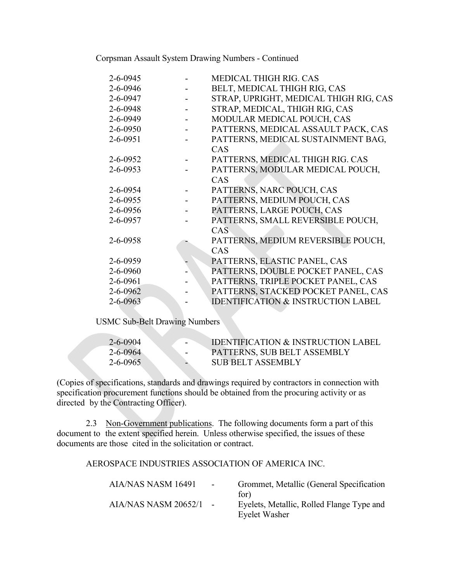Corpsman Assault System Drawing Numbers - Continued

| 2-6-0945       | MEDICAL THIGH RIG. CAS                        |
|----------------|-----------------------------------------------|
| 2-6-0946       | BELT, MEDICAL THIGH RIG, CAS                  |
| $2 - 6 - 0947$ | STRAP, UPRIGHT, MEDICAL THIGH RIG, CAS        |
| $2 - 6 - 0948$ | STRAP, MEDICAL, THIGH RIG, CAS                |
| $2 - 6 - 0949$ | MODULAR MEDICAL POUCH, CAS                    |
| $2 - 6 - 0950$ | PATTERNS, MEDICAL ASSAULT PACK, CAS           |
| $2 - 6 - 0951$ | PATTERNS, MEDICAL SUSTAINMENT BAG,            |
|                | CAS                                           |
| $2 - 6 - 0952$ | PATTERNS, MEDICAL THIGH RIG. CAS              |
| $2 - 6 - 0953$ | PATTERNS, MODULAR MEDICAL POUCH,              |
|                | CAS                                           |
| $2 - 6 - 0954$ | PATTERNS, NARC POUCH, CAS                     |
| $2 - 6 - 0955$ | PATTERNS, MEDIUM POUCH, CAS                   |
| $2 - 6 - 0956$ | PATTERNS, LARGE POUCH, CAS                    |
| $2 - 6 - 0957$ | PATTERNS, SMALL REVERSIBLE POUCH,             |
|                | CAS                                           |
| 2-6-0958       | PATTERNS, MEDIUM REVERSIBLE POUCH,            |
|                | CAS                                           |
| $2 - 6 - 0959$ | PATTERNS, ELASTIC PANEL, CAS                  |
| 2-6-0960       | PATTERNS, DOUBLE POCKET PANEL, CAS            |
| $2 - 6 - 0961$ | PATTERNS, TRIPLE POCKET PANEL, CAS            |
| $2 - 6 - 0962$ | PATTERNS, STACKED POCKET PANEL, CAS           |
| 2-6-0963       | <b>IDENTIFICATION &amp; INSTRUCTION LABEL</b> |

USMC Sub-Belt Drawing Numbers

| 2-6-0904<br>$\sim$ | <b>IDENTIFICATION &amp; INSTRUCTION LABEL</b> |
|--------------------|-----------------------------------------------|
| $2 - 6 - 0964$     | PATTERNS, SUB BELT ASSEMBLY                   |
| $2 - 6 - 0965$     | SUB BELT ASSEMBLY                             |

(Copies of specifications, standards and drawings required by contractors in connection with specification procurement functions should be obtained from the procuring activity or as directed by the Contracting Officer).

2.3 Non-Government publications. The following documents form a part of this document to the extent specified herein. Unless otherwise specified, the issues of these documents are those cited in the solicitation or contract.

AEROSPACE INDUSTRIES ASSOCIATION OF AMERICA INC.

| AIA/NAS NASM 16491   | $\sim$ | Grommet, Metallic (General Specification  |
|----------------------|--------|-------------------------------------------|
|                      |        | for)                                      |
| AIA/NAS NASM 20652/1 |        | Eyelets, Metallic, Rolled Flange Type and |
|                      |        | Eyelet Washer                             |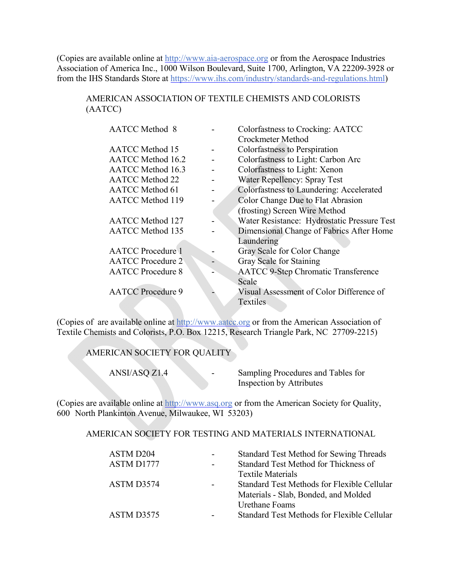(Copies are available online at http://www.aia-aerospace.org or from the Aerospace Industries Association of America Inc., 1000 Wilson Boulevard, Suite 1700, Arlington, VA 22209-3928 or from the IHS Standards Store at https://www.ihs.com/industry/standards-and-regulations.html)

# AMERICAN ASSOCIATION OF TEXTILE CHEMISTS AND COLORISTS (AATCC)

| <b>AATCC</b> Method 8    |                              | Colorfastness to Crocking: AATCC            |
|--------------------------|------------------------------|---------------------------------------------|
|                          |                              | Crockmeter Method                           |
| <b>AATCC</b> Method 15   |                              | Colorfastness to Perspiration               |
| AATCC Method 16.2        |                              | Colorfastness to Light: Carbon Arc          |
| <b>AATCC</b> Method 16.3 |                              | Colorfastness to Light: Xenon               |
| <b>AATCC</b> Method 22   |                              | <b>Water Repellency: Spray Test</b>         |
| <b>AATCC</b> Method 61   |                              | Colorfastness to Laundering: Accelerated    |
| <b>AATCC</b> Method 119  |                              | Color Change Due to Flat Abrasion           |
|                          |                              | (frosting) Screen Wire Method               |
| <b>AATCC</b> Method 127  |                              | Water Resistance: Hydrostatic Pressure Test |
| <b>AATCC</b> Method 135  |                              | Dimensional Change of Fabrics After Home    |
|                          |                              | Laundering                                  |
| <b>AATCC</b> Procedure 1 |                              | Gray Scale for Color Change                 |
| <b>AATCC</b> Procedure 2 | $\qquad \qquad \blacksquare$ | Gray Scale for Staining                     |
| <b>AATCC</b> Procedure 8 |                              | <b>AATCC 9-Step Chromatic Transference</b>  |
|                          |                              | Scale                                       |
| <b>AATCC</b> Procedure 9 |                              | Visual Assessment of Color Difference of    |
|                          |                              | <b>Textiles</b>                             |

(Copies of are available online at http://www.aatcc.org or from the American Association of Textile Chemists and Colorists, P.O. Box 12215, Research Triangle Park, NC 27709-2215)

# AMERICAN SOCIETY FOR QUALITY

ANSI/ASQ Z1.4 - Sampling Procedures and Tables for Inspection by Attributes

(Copies are available online at http://www.asq.org or from the American Society for Quality, 600 North Plankinton Avenue, Milwaukee, WI 53203)

#### AMERICAN SOCIETY FOR TESTING AND MATERIALS INTERNATIONAL

| <b>Standard Test Method for Sewing Threads</b> |
|------------------------------------------------|
| Standard Test Method for Thickness of          |
| <b>Textile Materials</b>                       |
| Standard Test Methods for Flexible Cellular    |
| Materials - Slab, Bonded, and Molded           |
| Urethane Foams                                 |
| Standard Test Methods for Flexible Cellular    |
|                                                |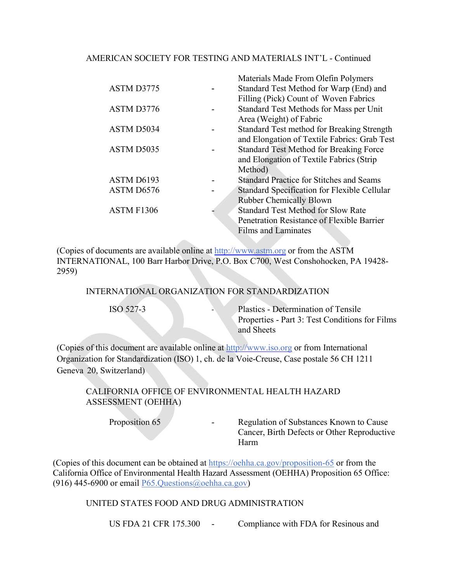# AMERICAN SOCIETY FOR TESTING AND MATERIALS INT'L - Continued

|            | Materials Made From Olefin Polymers             |
|------------|-------------------------------------------------|
| ASTM D3775 | Standard Test Method for Warp (End) and         |
|            | Filling (Pick) Count of Woven Fabrics           |
| ASTM D3776 | Standard Test Methods for Mass per Unit         |
|            | Area (Weight) of Fabric                         |
| ASTM D5034 | Standard Test method for Breaking Strength      |
|            | and Elongation of Textile Fabrics: Grab Test    |
| ASTM D5035 | <b>Standard Test Method for Breaking Force</b>  |
|            | and Elongation of Textile Fabrics (Strip)       |
|            | Method)                                         |
| ASTM D6193 | <b>Standard Practice for Stitches and Seams</b> |
| ASTM D6576 | Standard Specification for Flexible Cellular    |
|            | <b>Rubber Chemically Blown</b>                  |
| ASTM F1306 | <b>Standard Test Method for Slow Rate</b>       |
|            | Penetration Resistance of Flexible Barrier      |
|            | <b>Films and Laminates</b>                      |
|            |                                                 |

(Copies of documents are available online at http://www.astm.org or from the ASTM INTERNATIONAL, 100 Barr Harbor Drive, P.O. Box C700, West Conshohocken, PA 19428- 2959)

INTERNATIONAL ORGANIZATION FOR STANDARDIZATION

ISO 527-3 ‐ Plastics - Determination of Tensile Properties - Part 3: Test Conditions for Films and Sheets

(Copies of this document are available online at http://www.iso.org or from International Organization for Standardization (ISO) 1, ch. de la Voie-Creuse, Case postale 56 CH 1211 Geneva 20, Switzerland)

CALIFORNIA OFFICE OF ENVIRONMENTAL HEALTH HAZARD ASSESSMENT (OEHHA)

Proposition 65 - Regulation of Substances Known to Cause Cancer, Birth Defects or Other Reproductive Harm

(Copies of this document can be obtained at https://oehha.ca.gov/proposition-65 or from the California Office of Environmental Health Hazard Assessment (OEHHA) Proposition 65 Office: (916) 445-6900 or email  $P65$ . Questions (@oehha.ca.gov)

UNITED STATES FOOD AND DRUG ADMINISTRATION

US FDA 21 CFR 175.300 - Compliance with FDA for Resinous and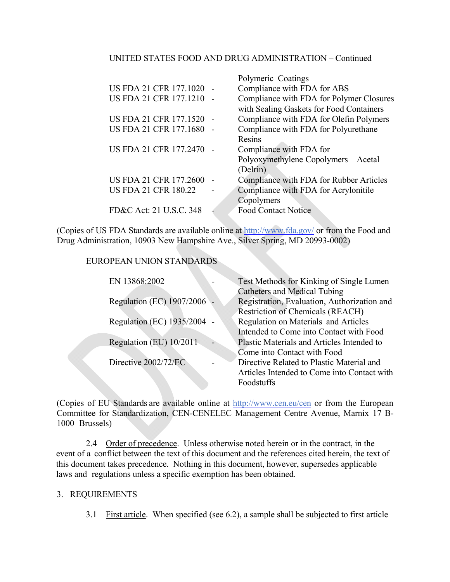# UNITED STATES FOOD AND DRUG ADMINISTRATION – Continued

|                               | Polymeric Coatings                       |
|-------------------------------|------------------------------------------|
| <b>US FDA 21 CFR 177.1020</b> | Compliance with FDA for ABS              |
| <b>US FDA 21 CFR 177.1210</b> | Compliance with FDA for Polymer Closures |
|                               | with Sealing Gaskets for Food Containers |
| <b>US FDA 21 CFR 177.1520</b> | Compliance with FDA for Olefin Polymers  |
| <b>US FDA 21 CFR 177.1680</b> | Compliance with FDA for Polyurethane     |
|                               | Resins                                   |
| <b>US FDA 21 CFR 177.2470</b> | Compliance with FDA for                  |
|                               | Polyoxymethylene Copolymers - Acetal     |
|                               | (Delrin)                                 |
| US FDA 21 CFR 177.2600        | Compliance with FDA for Rubber Articles  |
| <b>US FDA 21 CFR 180.22</b>   | Compliance with FDA for Acrylonitile     |
|                               | Copolymers                               |
| FD&C Act: 21 U.S.C. 348       | <b>Food Contact Notice</b>               |
|                               |                                          |

(Copies of US FDA Standards are available online at http://www.fda.gov/ or from the Food and Drug Administration, 10903 New Hampshire Ave., Silver Spring, MD 20993-0002)

EUROPEAN UNION STANDARDS

| EN 13868:2002               | Test Methods for Kinking of Single Lumen    |
|-----------------------------|---------------------------------------------|
|                             | <b>Catheters and Medical Tubing</b>         |
| Regulation (EC) 1907/2006 - | Registration, Evaluation, Authorization and |
|                             | <b>Restriction of Chemicals (REACH)</b>     |
| Regulation (EC) 1935/2004 - | Regulation on Materials and Articles        |
|                             | Intended to Come into Contact with Food     |
| Regulation (EU) 10/2011     | Plastic Materials and Articles Intended to  |
|                             | Come into Contact with Food                 |
| Directive 2002/72/EC        | Directive Related to Plastic Material and   |
|                             | Articles Intended to Come into Contact with |
|                             | Foodstuffs                                  |

(Copies of EU Standards are available online at http://www.cen.eu/cen or from the European Committee for Standardization, CEN-CENELEC Management Centre Avenue, Marnix 17 B-1000 Brussels)

2.4 Order of precedence. Unless otherwise noted herein or in the contract, in the event of a conflict between the text of this document and the references cited herein, the text of this document takes precedence. Nothing in this document, however, supersedes applicable laws and regulations unless a specific exemption has been obtained.

# 3. REQUIREMENTS

3.1 First article. When specified (see 6.2), a sample shall be subjected to first article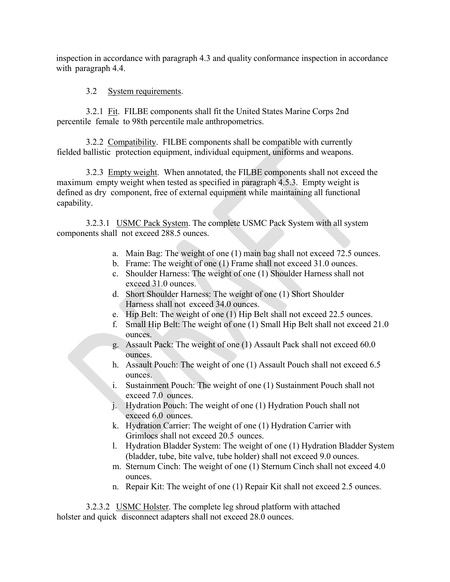inspection in accordance with paragraph 4.3 and quality conformance inspection in accordance with paragraph 4.4.

# 3.2 System requirements.

3.2.1 Fit. FILBE components shall fit the United States Marine Corps 2nd percentile female to 98th percentile male anthropometrics.

3.2.2 Compatibility. FILBE components shall be compatible with currently fielded ballistic protection equipment, individual equipment, uniforms and weapons.

3.2.3 Empty weight. When annotated, the FILBE components shall not exceed the maximum empty weight when tested as specified in paragraph 4.5.3. Empty weight is defined as dry component, free of external equipment while maintaining all functional capability.

3.2.3.1 USMC Pack System. The complete USMC Pack System with all system components shall not exceed 288.5 ounces.

- a. Main Bag: The weight of one (1) main bag shall not exceed 72.5 ounces.
- b. Frame: The weight of one (1) Frame shall not exceed 31.0 ounces.
- c. Shoulder Harness: The weight of one (1) Shoulder Harness shall not exceed 31.0 ounces.
- d. Short Shoulder Harness: The weight of one (1) Short Shoulder Harness shall not exceed 34.0 ounces.
- e. Hip Belt: The weight of one (1) Hip Belt shall not exceed 22.5 ounces.
- f. Small Hip Belt: The weight of one (1) Small Hip Belt shall not exceed 21.0 ounces.
- g. Assault Pack: The weight of one (1) Assault Pack shall not exceed 60.0 ounces.
- h. Assault Pouch: The weight of one (1) Assault Pouch shall not exceed 6.5 ounces.
- i. Sustainment Pouch: The weight of one (1) Sustainment Pouch shall not exceed 7.0 ounces.
- j. Hydration Pouch: The weight of one (1) Hydration Pouch shall not exceed 6.0 ounces.
- k. Hydration Carrier: The weight of one (1) Hydration Carrier with Grimlocs shall not exceed 20.5 ounces.
- l. Hydration Bladder System: The weight of one (1) Hydration Bladder System (bladder, tube, bite valve, tube holder) shall not exceed 9.0 ounces.
- m. Sternum Cinch: The weight of one (1) Sternum Cinch shall not exceed 4.0 ounces.
- n. Repair Kit: The weight of one (1) Repair Kit shall not exceed 2.5 ounces.

3.2.3.2 USMC Holster. The complete leg shroud platform with attached holster and quick disconnect adapters shall not exceed 28.0 ounces.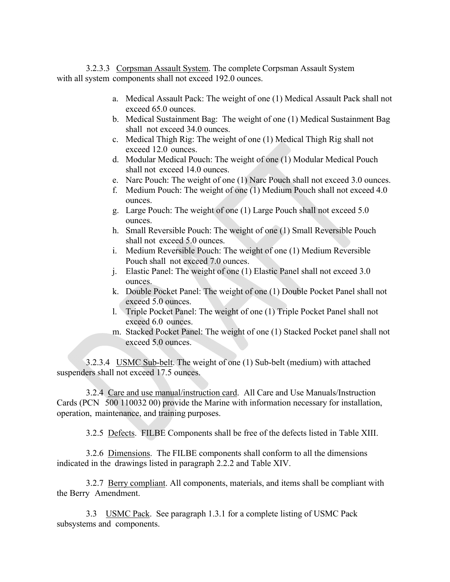3.2.3.3 Corpsman Assault System. The complete Corpsman Assault System with all system components shall not exceed 192.0 ounces.

- a. Medical Assault Pack: The weight of one (1) Medical Assault Pack shall not exceed 65.0 ounces.
- b. Medical Sustainment Bag: The weight of one (1) Medical Sustainment Bag shall not exceed 34.0 ounces.
- c. Medical Thigh Rig: The weight of one (1) Medical Thigh Rig shall not exceed 12.0 ounces.
- d. Modular Medical Pouch: The weight of one (1) Modular Medical Pouch shall not exceed 14.0 ounces.
- e. Narc Pouch: The weight of one (1) Narc Pouch shall not exceed 3.0 ounces.
- f. Medium Pouch: The weight of one (1) Medium Pouch shall not exceed 4.0 ounces.
- g. Large Pouch: The weight of one (1) Large Pouch shall not exceed 5.0 ounces.
- h. Small Reversible Pouch: The weight of one (1) Small Reversible Pouch shall not exceed 5.0 ounces.
- i. Medium Reversible Pouch: The weight of one (1) Medium Reversible Pouch shall not exceed 7.0 ounces.
- j. Elastic Panel: The weight of one (1) Elastic Panel shall not exceed 3.0 ounces.
- k. Double Pocket Panel: The weight of one (1) Double Pocket Panel shall not exceed 5.0 ounces.
- l. Triple Pocket Panel: The weight of one (1) Triple Pocket Panel shall not exceed 6.0 ounces.
- m. Stacked Pocket Panel: The weight of one (1) Stacked Pocket panel shall not exceed 5.0 ounces.

3.2.3.4 USMC Sub-belt. The weight of one (1) Sub-belt (medium) with attached suspenders shall not exceed 17.5 ounces.

3.2.4 Care and use manual/instruction card. All Care and Use Manuals/Instruction Cards (PCN 500 110032 00) provide the Marine with information necessary for installation, operation, maintenance, and training purposes.

3.2.5 Defects. FILBE Components shall be free of the defects listed in Table XIII.

3.2.6 Dimensions. The FILBE components shall conform to all the dimensions indicated in the drawings listed in paragraph 2.2.2 and Table XIV.

3.2.7 Berry compliant. All components, materials, and items shall be compliant with the Berry Amendment.

3.3 USMC Pack. See paragraph 1.3.1 for a complete listing of USMC Pack subsystems and components.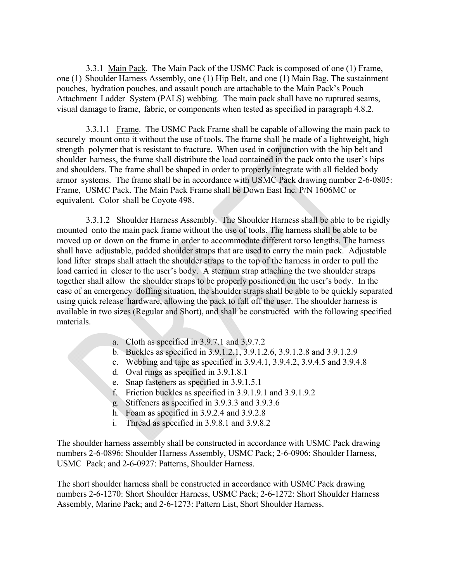3.3.1 Main Pack. The Main Pack of the USMC Pack is composed of one (1) Frame, one (1) Shoulder Harness Assembly, one (1) Hip Belt, and one (1) Main Bag. The sustainment pouches, hydration pouches, and assault pouch are attachable to the Main Pack's Pouch Attachment Ladder System (PALS) webbing. The main pack shall have no ruptured seams, visual damage to frame, fabric, or components when tested as specified in paragraph 4.8.2.

3.3.1.1 Frame. The USMC Pack Frame shall be capable of allowing the main pack to securely mount onto it without the use of tools. The frame shall be made of a lightweight, high strength polymer that is resistant to fracture. When used in conjunction with the hip belt and shoulder harness, the frame shall distribute the load contained in the pack onto the user's hips and shoulders. The frame shall be shaped in order to properly integrate with all fielded body armor systems. The frame shall be in accordance with USMC Pack drawing number 2-6-0805: Frame, USMC Pack. The Main Pack Frame shall be Down East Inc. P/N 1606MC or equivalent. Color shall be Coyote 498.

3.3.1.2 Shoulder Harness Assembly. The Shoulder Harness shall be able to be rigidly mounted onto the main pack frame without the use of tools. The harness shall be able to be moved up or down on the frame in order to accommodate different torso lengths. The harness shall have adjustable, padded shoulder straps that are used to carry the main pack. Adjustable load lifter straps shall attach the shoulder straps to the top of the harness in order to pull the load carried in closer to the user's body. A sternum strap attaching the two shoulder straps together shall allow the shoulder straps to be properly positioned on the user's body. In the case of an emergency doffing situation, the shoulder straps shall be able to be quickly separated using quick release hardware, allowing the pack to fall off the user. The shoulder harness is available in two sizes (Regular and Short), and shall be constructed with the following specified materials.

- a. Cloth as specified in 3.9.7.1 and 3.9.7.2
- b. Buckles as specified in 3.9.1.2.1, 3.9.1.2.6, 3.9.1.2.8 and 3.9.1.2.9
- c. Webbing and tape as specified in 3.9.4.1, 3.9.4.2, 3.9.4.5 and 3.9.4.8
- d. Oval rings as specified in 3.9.1.8.1
- e. Snap fasteners as specified in 3.9.1.5.1
- f. Friction buckles as specified in 3.9.1.9.1 and 3.9.1.9.2
- g. Stiffeners as specified in 3.9.3.3 and 3.9.3.6
- h. Foam as specified in 3.9.2.4 and 3.9.2.8
- i. Thread as specified in 3.9.8.1 and 3.9.8.2

The shoulder harness assembly shall be constructed in accordance with USMC Pack drawing numbers 2-6-0896: Shoulder Harness Assembly, USMC Pack; 2-6-0906: Shoulder Harness, USMC Pack; and 2-6-0927: Patterns, Shoulder Harness.

The short shoulder harness shall be constructed in accordance with USMC Pack drawing numbers 2-6-1270: Short Shoulder Harness, USMC Pack; 2-6-1272: Short Shoulder Harness Assembly, Marine Pack; and 2-6-1273: Pattern List, Short Shoulder Harness.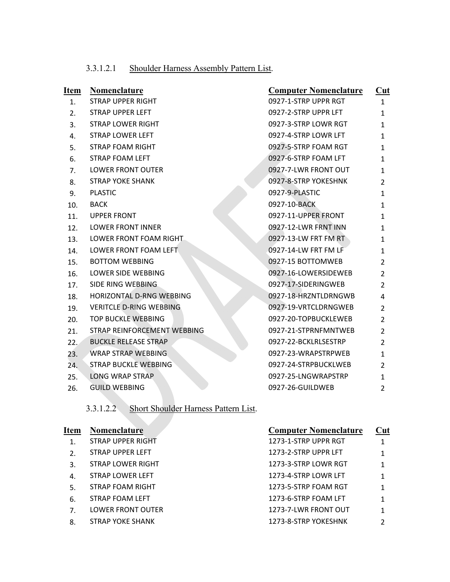| 3.3.1.2.1 | Shoulder Harness Assembly Pattern List. |  |
|-----------|-----------------------------------------|--|
|           |                                         |  |

| <u>Item</u> | <b>Nomenclature</b>             | <b>Computer Nomenclature</b> | Cut            |
|-------------|---------------------------------|------------------------------|----------------|
| 1.          | <b>STRAP UPPER RIGHT</b>        | 0927-1-STRP UPPR RGT         | $\mathbf{1}$   |
| 2.          | <b>STRAP UPPER LEFT</b>         | 0927-2-STRP UPPR LFT         | 1              |
| 3.          | STRAP LOWER RIGHT               | 0927-3-STRP LOWR RGT         | 1              |
| 4.          | <b>STRAP LOWER LEFT</b>         | 0927-4-STRP LOWR LFT         | 1              |
| 5.          | <b>STRAP FOAM RIGHT</b>         | 0927-5-STRP FOAM RGT         | 1              |
| 6.          | <b>STRAP FOAM LEFT</b>          | 0927-6-STRP FOAM LFT         | 1              |
| 7.          | <b>LOWER FRONT OUTER</b>        | 0927-7-LWR FRONT OUT         | 1              |
| 8.          | <b>STRAP YOKE SHANK</b>         | 0927-8-STRP YOKESHNK         | 2              |
| 9.          | <b>PLASTIC</b>                  | 0927-9-PLASTIC               | 1              |
| 10.         | <b>BACK</b>                     | 0927-10-BACK                 | 1              |
| 11.         | <b>UPPER FRONT</b>              | 0927-11-UPPER FRONT          | 1              |
| 12.         | <b>LOWER FRONT INNER</b>        | 0927-12-LWR FRNT INN         | 1              |
| 13.         | LOWER FRONT FOAM RIGHT          | 0927-13-LW FRT FM RT         | 1              |
| 14.         | LOWER FRONT FOAM LEFT           | 0927-14-LW FRT FM LF         | 1              |
| 15.         | <b>BOTTOM WEBBING</b>           | 0927-15 BOTTOMWEB            | 2              |
| 16.         | LOWER SIDE WEBBING              | 0927-16-LOWERSIDEWEB         | $\overline{2}$ |
| 17.         | SIDE RING WEBBING               | 0927-17-SIDERINGWEB          | 2              |
| 18.         | <b>HORIZONTAL D-RNG WEBBING</b> | 0927-18-HRZNTLDRNGWB         | 4              |
| 19.         | <b>VERITCLE D-RING WEBBING</b>  | 0927-19-VRTCLDRNGWEB         | 2              |
| 20.         | <b>TOP BUCKLE WEBBING</b>       | 0927-20-TOPBUCKLEWEB         | 2              |
| 21.         | STRAP REINFORCEMENT WEBBING     | 0927-21-STPRNFMNTWEB         | $\overline{2}$ |
| 22.         | <b>BUCKLE RELEASE STRAP</b>     | 0927-22-BCKLRLSESTRP         | 2              |
| 23.         | <b>WRAP STRAP WEBBING</b>       | 0927-23-WRAPSTRPWEB          | 1              |
| 24.         | <b>STRAP BUCKLE WEBBING</b>     | 0927-24-STRPBUCKLWEB         | 2              |
| 25.         | <b>LONG WRAP STRAP</b>          | 0927-25-LNGWRAPSTRP          | $\mathbf{1}$   |
| 26.         | <b>GUILD WEBBING</b>            | 0927-26-GUILDWEB             | 2              |

3.3.1.2.2 Short Shoulder Harness Pattern List.

| <b>Item</b>      | <b>Nomenclature</b>      | <b>Computer Nomenclature</b> | Cut |
|------------------|--------------------------|------------------------------|-----|
| 1.               | <b>STRAP UPPER RIGHT</b> | 1273-1-STRP UPPR RGT         |     |
| $\overline{2}$ . | STRAP UPPER LEFT         | 1273-2-STRP UPPR LFT         |     |
| 3.               | STRAP LOWER RIGHT        | 1273-3-STRP LOWR RGT         |     |
| 4.               | STRAP LOWER LEFT         | 1273-4-STRP LOWR LFT         |     |
| 5.               | STRAP FOAM RIGHT         | 1273-5-STRP FOAM RGT         |     |
| 6.               | STRAP FOAM LEFT          | 1273-6-STRP FOAM LFT         |     |
| 7.               | <b>LOWER FRONT OUTER</b> | 1273-7-LWR FRONT OUT         |     |
| 8.               | <b>STRAP YOKE SHANK</b>  | 1273-8-STRP YOKESHNK         | 2   |
|                  |                          |                              |     |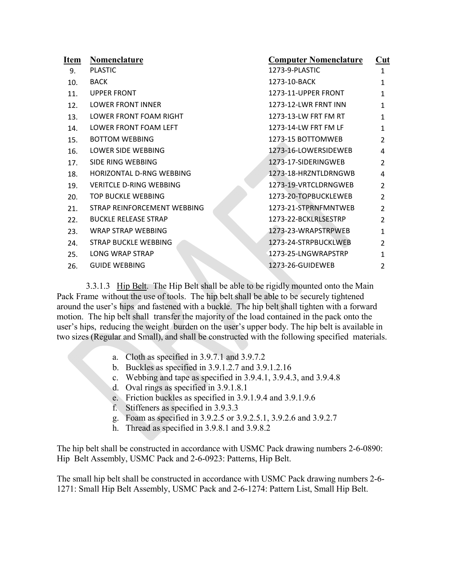| Item | Nomenclature                   | <b>Computer Nomenclature</b> | $\overline{\text{Cut}}$ |
|------|--------------------------------|------------------------------|-------------------------|
| 9.   | <b>PLASTIC</b>                 | 1273-9-PLASTIC               | $\mathbf{1}$            |
| 10.  | <b>BACK</b>                    | 1273-10-BACK                 | 1                       |
| 11.  | <b>UPPER FRONT</b>             | 1273-11-UPPER FRONT          | 1                       |
| 12.  | <b>LOWER FRONT INNER</b>       | 1273-12-LWR FRNT INN         | 1                       |
| 13.  | LOWER FRONT FOAM RIGHT         | 1273-13-LW FRT FM RT         | 1                       |
| 14.  | LOWER FRONT FOAM LEFT          | 1273-14-LW FRT FM LF         | 1                       |
| 15.  | <b>BOTTOM WEBBING</b>          | 1273-15 BOTTOMWEB            | $\mathcal{P}$           |
| 16.  | <b>LOWER SIDE WEBBING</b>      | 1273-16-LOWERSIDEWEB         | 4                       |
| 17.  | SIDE RING WEBBING              | 1273-17-SIDERINGWEB          | $\mathcal{P}$           |
| 18.  | HORIZONTAL D-RNG WEBBING       | 1273-18-HRZNTLDRNGWB         | 4                       |
| 19.  | <b>VERITCLE D-RING WEBBING</b> | 1273-19-VRTCLDRNGWEB         | $\overline{2}$          |
| 20.  | TOP BUCKLE WEBBING             | 1273-20-TOPBUCKLEWEB         | $\overline{2}$          |
| 21.  | STRAP REINFORCEMENT WEBBING    | 1273-21-STPRNFMNTWEB         | $\overline{2}$          |
| 22.  | <b>BUCKLE RELEASE STRAP</b>    | 1273-22-BCKLRLSESTRP         | $\overline{2}$          |
| 23.  | WRAP STRAP WEBBING             | 1273-23-WRAPSTRPWEB          | $\mathbf{1}$            |
| 24.  | STRAP BUCKLE WEBBING           | 1273-24-STRPBUCKLWEB         | $\mathcal{P}$           |
| 25.  | <b>LONG WRAP STRAP</b>         | 1273-25-LNGWRAPSTRP          | 1                       |
| 26.  | <b>GUIDE WEBBING</b>           | 1273-26-GUIDEWEB             | $\mathfrak z$           |
|      |                                |                              |                         |

3.3.1.3 Hip Belt. The Hip Belt shall be able to be rigidly mounted onto the Main Pack Frame without the use of tools. The hip belt shall be able to be securely tightened around the user's hips and fastened with a buckle. The hip belt shall tighten with a forward motion. The hip belt shall transfer the majority of the load contained in the pack onto the user's hips, reducing the weight burden on the user's upper body. The hip belt is available in two sizes (Regular and Small), and shall be constructed with the following specified materials.

- a. Cloth as specified in 3.9.7.1 and 3.9.7.2
- b. Buckles as specified in 3.9.1.2.7 and 3.9.1.2.16
- c. Webbing and tape as specified in 3.9.4.1, 3.9.4.3, and 3.9.4.8
- d. Oval rings as specified in 3.9.1.8.1
- e. Friction buckles as specified in 3.9.1.9.4 and 3.9.1.9.6
- f. Stiffeners as specified in 3.9.3.3
- g. Foam as specified in 3.9.2.5 or 3.9.2.5.1, 3.9.2.6 and 3.9.2.7
- h. Thread as specified in 3.9.8.1 and 3.9.8.2

The hip belt shall be constructed in accordance with USMC Pack drawing numbers 2-6-0890: Hip Belt Assembly, USMC Pack and 2-6-0923: Patterns, Hip Belt.

The small hip belt shall be constructed in accordance with USMC Pack drawing numbers 2-6- 1271: Small Hip Belt Assembly, USMC Pack and 2-6-1274: Pattern List, Small Hip Belt.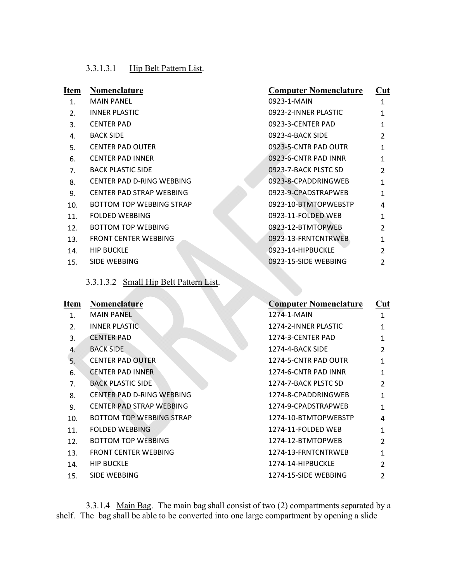# 3.3.1.3.1 Hip Belt Pattern List.

| Item | Nomenclature                           | <b>Computer Nomenclature</b> | Cut            |
|------|----------------------------------------|------------------------------|----------------|
| 1.   | <b>MAIN PANEL</b>                      | 0923-1-MAIN                  | 1              |
| 2.   | <b>INNER PLASTIC</b>                   | 0923-2-INNER PLASTIC         | 1              |
| 3.   | <b>CENTER PAD</b>                      | 0923-3-CENTER PAD            | 1              |
| 4.   | <b>BACK SIDE</b>                       | 0923-4-BACK SIDE             | $\mathcal{P}$  |
| 5.   | <b>CENTER PAD OUTER</b>                | 0923-5-CNTR PAD OUTR         | 1              |
| 6.   | <b>CENTER PAD INNER</b>                | 0923-6-CNTR PAD INNR         | 1              |
| 7.   | <b>BACK PLASTIC SIDE</b>               | 0923-7-BACK PLSTC SD         | $\mathfrak z$  |
| 8.   | CENTER PAD D-RING WEBBING              | 0923-8-CPADDRINGWEB          | 1              |
| 9.   | CENTER PAD STRAP WEBBING               | 0923-9-CPADSTRAPWEB          | 1              |
| 10.  | <b>BOTTOM TOP WEBBING STRAP</b>        | 0923-10-BTMTOPWEBSTP         | 4              |
| 11.  | <b>FOLDED WEBBING</b>                  | 0923-11-FOLDED WEB           | 1              |
| 12.  | <b>BOTTOM TOP WEBBING</b>              | 0923-12-BTMTOPWEB            | $\overline{2}$ |
| 13.  | <b>FRONT CENTER WEBBING</b>            | 0923-13-FRNTCNTRWEB          | 1              |
| 14.  | <b>HIP BUCKLE</b>                      | 0923-14-HIPBUCKLE            | $\mathfrak{p}$ |
| 15.  | SIDE WEBBING                           | 0923-15-SIDE WEBBING         | 2              |
|      | 3.3.1.3.2 Small Hip Belt Pattern List. |                              |                |

| Item             | <b>Nomenclature</b>             | <b>Computer Nomenclature</b> | Cut           |
|------------------|---------------------------------|------------------------------|---------------|
| 1.               | <b>MAIN PANEL</b>               | 1274-1-MAIN                  | 1             |
| $\overline{2}$ . | <b>INNER PLASTIC</b>            | 1274-2-INNER PLASTIC         | 1             |
| 3.               | <b>CENTER PAD</b>               | 1274-3-CENTER PAD            | 1             |
| 4.               | <b>BACK SIDE</b>                | 1274-4-BACK SIDE             | $\mathcal{P}$ |
| 5.               | <b>CENTER PAD OUTER</b>         | 1274-5-CNTR PAD OUTR         | 1             |
| 6.               | <b>CENTER PAD INNER</b>         | 1274-6-CNTR PAD INNR         | 1             |
| 7.               | <b>BACK PLASTIC SIDE</b>        | 1274-7-BACK PLSTC SD         | $\mathcal{P}$ |
| 8.               | CENTER PAD D-RING WEBBING       | 1274-8-CPADDRINGWEB          | 1             |
| 9.               | <b>CENTER PAD STRAP WEBBING</b> | 1274-9-CPADSTRAPWEB          | 1             |
| 10.              | <b>BOTTOM TOP WEBBING STRAP</b> | 1274-10-BTMTOPWEBSTP         | 4             |
| 11.              | <b>FOLDED WEBBING</b>           | 1274-11-FOLDED WEB           | 1             |
| 12.              | <b>BOTTOM TOP WEBBING</b>       | 1274-12-BTMTOPWEB            | $\mathcal{P}$ |
| 13.              | <b>FRONT CENTER WEBBING</b>     | 1274-13-FRNTCNTRWEB          | 1             |
| 14.              | <b>HIP BUCKLE</b>               | 1274-14-HIPBUCKLE            | $\mathfrak z$ |
| 15.              | SIDE WEBBING                    | 1274-15-SIDE WEBBING         | 2             |

3.3.1.4 Main Bag. The main bag shall consist of two (2) compartments separated by a shelf. The bag shall be able to be converted into one large compartment by opening a slide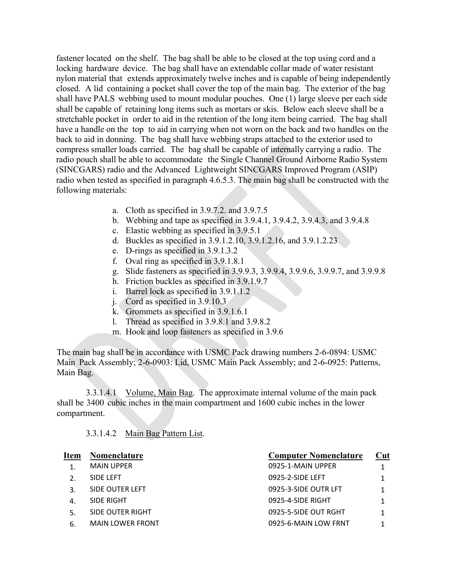fastener located on the shelf. The bag shall be able to be closed at the top using cord and a locking hardware device. The bag shall have an extendable collar made of water resistant nylon material that extends approximately twelve inches and is capable of being independently closed. A lid containing a pocket shall cover the top of the main bag. The exterior of the bag shall have PALS webbing used to mount modular pouches. One (1) large sleeve per each side shall be capable of retaining long items such as mortars or skis. Below each sleeve shall be a stretchable pocket in order to aid in the retention of the long item being carried. The bag shall have a handle on the top to aid in carrying when not worn on the back and two handles on the back to aid in donning. The bag shall have webbing straps attached to the exterior used to compress smaller loads carried. The bag shall be capable of internally carrying a radio. The radio pouch shall be able to accommodate the Single Channel Ground Airborne Radio System (SINCGARS) radio and the Advanced Lightweight SINCGARS Improved Program (ASIP) radio when tested as specified in paragraph 4.6.5.3. The main bag shall be constructed with the following materials:

- a. Cloth as specified in 3.9.7.2. and 3.9.7.5
- b. Webbing and tape as specified in 3.9.4.1, 3.9.4.2, 3.9.4.3, and 3.9.4.8
- c. Elastic webbing as specified in 3.9.5.1
- d. Buckles as specified in 3.9.1.2.10, 3.9.1.2.16, and 3.9.1.2.23
- e. D-rings as specified in 3.9.1.3.2
- f. Oval ring as specified in 3.9.1.8.1
- g. Slide fasteners as specified in 3.9.9.3, 3.9.9.4, 3.9.9.6, 3.9.9.7, and 3.9.9.8
- h. Friction buckles as specified in 3.9.1.9.7
- i. Barrel lock as specified in 3.9.1.1.2
- j. Cord as specified in 3.9.10.3
- k. Grommets as specified in 3.9.1.6.1
- l. Thread as specified in 3.9.8.1 and 3.9.8.2
- m. Hook and loop fasteners as specified in 3.9.6

The main bag shall be in accordance with USMC Pack drawing numbers 2-6-0894: USMC Main Pack Assembly; 2-6-0903: Lid, USMC Main Pack Assembly; and 2-6-0925: Patterns, Main Bag.

3.3.1.4.1 Volume, Main Bag. The approximate internal volume of the main pack shall be 3400 cubic inches in the main compartment and 1600 cubic inches in the lower compartment.

3.3.1.4.2 Main Bag Pattern List.

| Item             | Nomenclature            | <b>Computer Nomenclature</b> | Cut |
|------------------|-------------------------|------------------------------|-----|
|                  | <b>MAIN UPPER</b>       | 0925-1-MAIN UPPER            |     |
| $\overline{2}$ . | SIDE LEFT               | 0925-2-SIDE LEFT             |     |
| 3.               | SIDE OUTER LEFT         | 0925-3-SIDE OUTR LFT         |     |
| 4.               | SIDE RIGHT              | 0925-4-SIDE RIGHT            |     |
| 5.               | SIDE OUTER RIGHT        | 0925-5-SIDE OUT RGHT         |     |
| 6.               | <b>MAIN LOWER FRONT</b> | 0925-6-MAIN LOW FRNT         |     |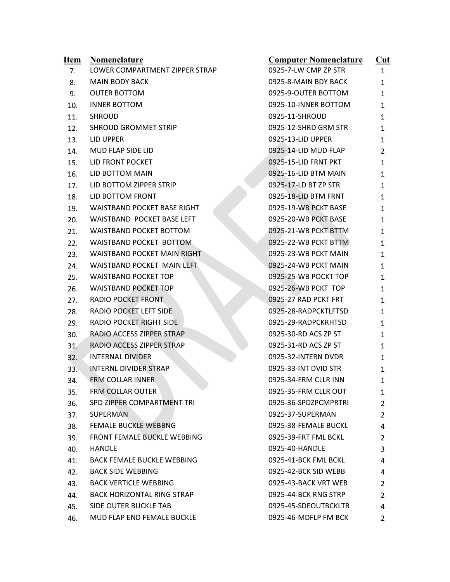| <u>Item</u> | <b>Nomenclature</b>                | <b>Computer Nomenclature</b> | $\overline{\text{Cut}}$ |
|-------------|------------------------------------|------------------------------|-------------------------|
| 7.          | LOWER COMPARTMENT ZIPPER STRAP     | 0925-7-LW CMP ZP STR         | $\mathbf{1}$            |
| 8.          | <b>MAIN BODY BACK</b>              | 0925-8-MAIN BDY BACK         | 1                       |
| 9.          | <b>OUTER BOTTOM</b>                | 0925-9-OUTER BOTTOM          | 1                       |
| 10.         | <b>INNER BOTTOM</b>                | 0925-10-INNER BOTTOM         | 1                       |
| 11.         | <b>SHROUD</b>                      | 0925-11-SHROUD               | 1                       |
| 12.         | <b>SHROUD GROMMET STRIP</b>        | 0925-12-SHRD GRM STR         | 1                       |
| 13.         | LID UPPER                          | 0925-13-LID UPPER            | 1                       |
| 14.         | MUD FLAP SIDE LID                  | 0925-14-LID MUD FLAP         | 2                       |
| 15.         | LID FRONT POCKET                   | 0925-15-LID FRNT PKT         | 1                       |
| 16.         | LID BOTTOM MAIN                    | 0925-16-LID BTM MAIN         | 1                       |
| 17.         | LID BOTTOM ZIPPER STRIP            | 0925-17-LD BT ZP STR         | 1                       |
| 18.         | LID BOTTOM FRONT                   | 0925-18-LID BTM FRNT         | 1                       |
| 19.         | <b>WAISTBAND POCKET BASE RIGHT</b> | 0925-19-WB PCKT BASE         | 1                       |
| 20.         | <b>WAISTBAND POCKET BASE LEFT</b>  | 0925-20-WB PCKT BASE         | 1                       |
| 21.         | WAISTBAND POCKET BOTTOM            | 0925-21-WB PCKT BTTM         | 1                       |
| 22.         | WAISTBAND POCKET BOTTOM            | 0925-22-WB PCKT BTTM         | 1                       |
| 23.         | <b>WAISTBAND POCKET MAIN RIGHT</b> | 0925-23-WB PCKT MAIN         | 1                       |
| 24.         | WAISTBAND POCKET MAIN LEFT         | 0925-24-WB PCKT MAIN         | 1                       |
| 25.         | <b>WAISTBAND POCKET TOP</b>        | 0925-25-WB POCKT TOP         | 1                       |
| 26.         | <b>WAISTBAND POCKET TOP</b>        | 0925-26-WB PCKT TOP          | 1                       |
| 27.         | <b>RADIO POCKET FRONT</b>          | 0925-27 RAD PCKT FRT         | 1                       |
| 28.         | RADIO POCKET LEFT SIDE             | 0925-28-RADPCKTLFTSD         | 1                       |
| 29.         | <b>RADIO POCKET RIGHT SIDE</b>     | 0925-29-RADPCKRHTSD          | 1                       |
| 30.         | RADIO ACCESS ZIPPER STRAP          | 0925-30-RD ACS ZP ST         | 1                       |
| 31.         | RADIO ACCESS ZIPPER STRAP          | 0925-31-RD ACS ZP ST         | 1                       |
| 32.         | <b>INTERNAL DIVIDER</b>            | 0925-32-INTERN DVDR          | 1                       |
| 33.         | INTERNL DIVIDER STRAP              | 0925-33-INT DVID STR         | 1                       |
| 34.         | FRM COLLAR INNER                   | 0925-34-FRM CLLR INN         | 1                       |
| 35.         | FRM COLLAR OUTER                   | 0925-35-FRM CLLR OUT         | 1                       |
| 36.         | SPD ZIPPER COMPARTMENT TRI         | 0925-36-SPDZPCMPRTRI         | 2                       |
| 37.         | <b>SUPERMAN</b>                    | 0925-37-SUPERMAN             | $\overline{2}$          |
| 38.         | <b>FEMALE BUCKLE WEBBNG</b>        | 0925-38-FEMALE BUCKL         | 4                       |
| 39.         | <b>FRONT FEMALE BUCKLE WEBBING</b> | 0925-39-FRT FML BCKL         | 2                       |
| 40.         | <b>HANDLE</b>                      | 0925-40-HANDLE               | 3                       |
| 41.         | <b>BACK FEMALE BUCKLE WEBBING</b>  | 0925-41-BCK FML BCKL         | 4                       |
| 42.         | <b>BACK SIDE WEBBING</b>           | 0925-42-BCK SID WEBB         | 4                       |
| 43.         | <b>BACK VERTICLE WEBBING</b>       | 0925-43-BACK VRT WEB         | 2                       |
| 44.         | <b>BACK HORIZONTAL RING STRAP</b>  | 0925-44-BCK RNG STRP         | 2                       |
| 45.         | SIDE OUTER BUCKLE TAB              | 0925-45-SDEOUTBCKLTB         | 4                       |
| 46.         | MUD FLAP END FEMALE BUCKLE         | 0925-46-MDFLP FM BCK         | $\overline{2}$          |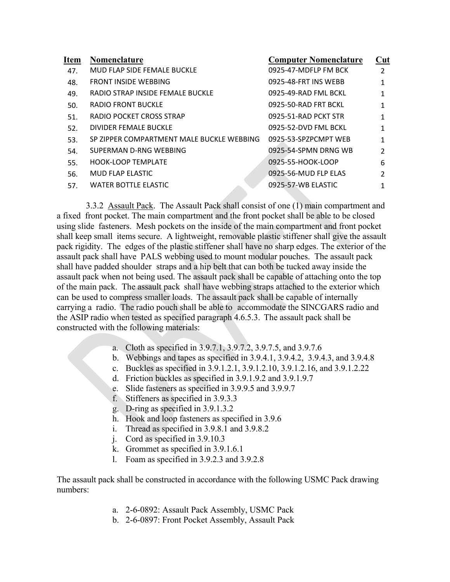| <b>Item</b> | Nomenclature                              | <b>Computer Nomenclature</b> | Cut            |
|-------------|-------------------------------------------|------------------------------|----------------|
| 47.         | MUD FLAP SIDE FEMALE BUCKLE               | 0925-47-MDFLP FM BCK         | $\mathfrak{p}$ |
| 48.         | <b>FRONT INSIDE WEBBING</b>               | 0925-48-FRT INS WEBB         | 1              |
| 49.         | RADIO STRAP INSIDE FEMALE BUCKLE          | 0925-49-RAD FML BCKL         | 1              |
| 50.         | RADIO FRONT BUCKLE                        | 0925-50-RAD FRT BCKL         | 1              |
| 51.         | RADIO POCKET CROSS STRAP                  | 0925-51-RAD PCKT STR         | 1              |
| 52.         | DIVIDER FEMALE BUCKLE                     | 0925-52-DVD FML BCKL         | 1              |
| 53.         | SP ZIPPER COMPARTMENT MALE BUCKLE WEBBING | 0925-53-SPZPCMPT WEB         | 1              |
| 54.         | SUPERMAN D-RNG WEBBING                    | 0925-54-SPMN DRNG WB         | $\mathfrak z$  |
| 55.         | <b>HOOK-LOOP TEMPLATE</b>                 | 0925-55-HOOK-LOOP            | 6              |
| 56.         | <b>MUD FLAP ELASTIC</b>                   | 0925-56-MUD FLP ELAS         | $\mathfrak z$  |
| 57.         | <b>WATER BOTTLE ELASTIC</b>               | 0925-57-WB ELASTIC           |                |

3.3.2 Assault Pack. The Assault Pack shall consist of one (1) main compartment and a fixed front pocket. The main compartment and the front pocket shall be able to be closed using slide fasteners. Mesh pockets on the inside of the main compartment and front pocket shall keep small items secure. A lightweight, removable plastic stiffener shall give the assault pack rigidity. The edges of the plastic stiffener shall have no sharp edges. The exterior of the assault pack shall have PALS webbing used to mount modular pouches. The assault pack shall have padded shoulder straps and a hip belt that can both be tucked away inside the assault pack when not being used. The assault pack shall be capable of attaching onto the top of the main pack. The assault pack shall have webbing straps attached to the exterior which can be used to compress smaller loads. The assault pack shall be capable of internally carrying a radio. The radio pouch shall be able to accommodate the SINCGARS radio and the ASIP radio when tested as specified paragraph 4.6.5.3. The assault pack shall be constructed with the following materials:

- a. Cloth as specified in 3.9.7.1, 3.9.7.2, 3.9.7.5, and 3.9.7.6
- b. Webbings and tapes as specified in 3.9.4.1, 3.9.4.2, 3.9.4.3, and 3.9.4.8
- c. Buckles as specified in 3.9.1.2.1, 3.9.1.2.10, 3.9.1.2.16, and 3.9.1.2.22
- d. Friction buckles as specified in 3.9.1.9.2 and 3.9.1.9.7
- e. Slide fasteners as specified in 3.9.9.5 and 3.9.9.7
- f. Stiffeners as specified in 3.9.3.3
- g. D-ring as specified in 3.9.1.3.2
- h. Hook and loop fasteners as specified in 3.9.6
- i. Thread as specified in 3.9.8.1 and 3.9.8.2
- j. Cord as specified in 3.9.10.3
- k. Grommet as specified in 3.9.1.6.1
- l. Foam as specified in 3.9.2.3 and 3.9.2.8

The assault pack shall be constructed in accordance with the following USMC Pack drawing numbers:

- a. 2-6-0892: Assault Pack Assembly, USMC Pack
- b. 2-6-0897: Front Pocket Assembly, Assault Pack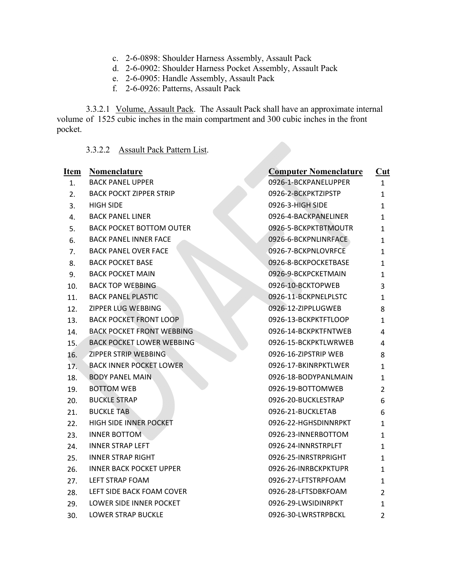- c. 2-6-0898: Shoulder Harness Assembly, Assault Pack
- d. 2-6-0902: Shoulder Harness Pocket Assembly, Assault Pack
- e. 2-6-0905: Handle Assembly, Assault Pack
- f. 2-6-0926: Patterns, Assault Pack

3.3.2.1 Volume, Assault Pack. The Assault Pack shall have an approximate internal volume of 1525 cubic inches in the main compartment and 300 cubic inches in the front pocket.

# 3.3.2.2 Assault Pack Pattern List.

| Item | Nomenclature                     | <b>Computer Nomenclature</b> | $Cut$          |
|------|----------------------------------|------------------------------|----------------|
| 1.   | <b>BACK PANEL UPPER</b>          | 0926-1-BCKPANELUPPER         | $\mathbf{1}$   |
| 2.   | <b>BACK POCKT ZIPPER STRIP</b>   | 0926-2-BCKPKTZIPSTP          | 1              |
| 3.   | <b>HIGH SIDE</b>                 | 0926-3-HIGH SIDE             | $\mathbf{1}$   |
| 4.   | <b>BACK PANEL LINER</b>          | 0926-4-BACKPANELINER         | 1              |
| 5.   | <b>BACK POCKET BOTTOM OUTER</b>  | 0926-5-BCKPKTBTMOUTR         | 1              |
| 6.   | <b>BACK PANEL INNER FACE</b>     | 0926-6-BCKPNLINRFACE         | 1              |
| 7.   | <b>BACK PANEL OVER FACE</b>      | 0926-7-BCKPNLOVRFCE          | 1              |
| 8.   | <b>BACK POCKET BASE</b>          | 0926-8-BCKPOCKETBASE         | 1              |
| 9.   | <b>BACK POCKET MAIN</b>          | 0926-9-BCKPCKETMAIN          | 1              |
| 10.  | <b>BACK TOP WEBBING</b>          | 0926-10-BCKTOPWEB            | 3              |
| 11.  | <b>BACK PANEL PLASTIC</b>        | 0926-11-BCKPNELPLSTC         | 1              |
| 12.  | ZIPPER LUG WEBBING               | 0926-12-ZIPPLUGWEB           | 8              |
| 13.  | <b>BACK POCKET FRONT LOOP</b>    | 0926-13-BCKPKTFTLOOP         | 1              |
| 14.  | <b>BACK POCKET FRONT WEBBING</b> | 0926-14-BCKPKTFNTWEB         | 4              |
| 15.  | <b>BACK POCKET LOWER WEBBING</b> | 0926-15-BCKPKTLWRWEB         | 4              |
| 16.  | ZIPPER STRIP WEBBING             | 0926-16-ZIPSTRIP WEB         | 8              |
| 17.  | <b>BACK INNER POCKET LOWER</b>   | 0926-17-BKINRPKTLWER         | 1              |
| 18.  | <b>BODY PANEL MAIN</b>           | 0926-18-BODYPANLMAIN         | 1              |
| 19.  | <b>BOTTOM WEB</b>                | 0926-19-BOTTOMWEB            | 2              |
| 20.  | <b>BUCKLE STRAP</b>              | 0926-20-BUCKLESTRAP          | 6              |
| 21.  | <b>BUCKLE TAB</b>                | 0926-21-BUCKLETAB            | 6              |
| 22.  | HIGH SIDE INNER POCKET           | 0926-22-HGHSDINNRPKT         | 1              |
| 23.  | <b>INNER BOTTOM</b>              | 0926-23-INNERBOTTOM          | 1              |
| 24.  | <b>INNER STRAP LEFT</b>          | 0926-24-INNRSTRPLFT          | 1              |
| 25.  | <b>INNER STRAP RIGHT</b>         | 0926-25-INRSTRPRIGHT         | 1              |
| 26.  | <b>INNER BACK POCKET UPPER</b>   | 0926-26-INRBCKPKTUPR         | 1              |
| 27.  | LEFT STRAP FOAM                  | 0926-27-LFTSTRPFOAM          | 1              |
| 28.  | LEFT SIDE BACK FOAM COVER        | 0926-28-LFTSDBKFOAM          | 2              |
| 29.  | LOWER SIDE INNER POCKET          | 0926-29-LWSIDINRPKT          | 1              |
| 30.  | <b>LOWER STRAP BUCKLE</b>        | 0926-30-LWRSTRPBCKL          | $\overline{2}$ |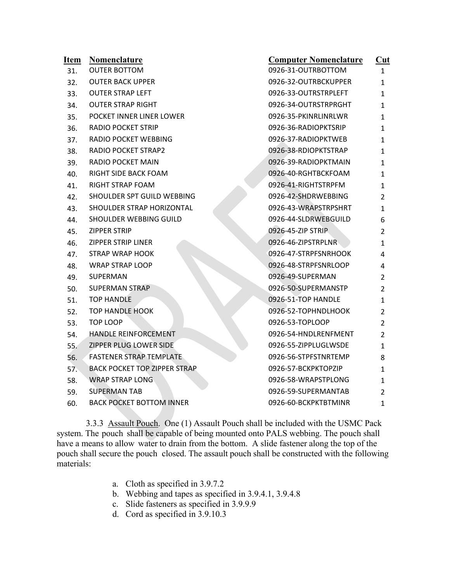| <u>Item</u> | Nomenclature                        | <b>Computer Nomenclature</b> | Cut            |
|-------------|-------------------------------------|------------------------------|----------------|
| 31.         | <b>OUTER BOTTOM</b>                 | 0926-31-OUTRBOTTOM           | $\mathbf{1}$   |
| 32.         | <b>OUTER BACK UPPER</b>             | 0926-32-OUTRBCKUPPER         | 1              |
| 33.         | <b>OUTER STRAP LEFT</b>             | 0926-33-OUTRSTRPLEFT         | 1              |
| 34.         | <b>OUTER STRAP RIGHT</b>            | 0926-34-OUTRSTRPRGHT         | 1              |
| 35.         | POCKET INNER LINER LOWER            | 0926-35-PKINRLINRLWR         | 1              |
| 36.         | <b>RADIO POCKET STRIP</b>           | 0926-36-RADIOPKTSRIP         | 1              |
| 37.         | RADIO POCKET WEBBING                | 0926-37-RADIOPKTWEB          | 1              |
| 38.         | <b>RADIO POCKET STRAP2</b>          | 0926-38-RDIOPKTSTRAP         | 1              |
| 39.         | RADIO POCKET MAIN                   | 0926-39-RADIOPKTMAIN         | 1              |
| 40.         | RIGHT SIDE BACK FOAM                | 0926-40-RGHTBCKFOAM          | 1              |
| 41.         | <b>RIGHT STRAP FOAM</b>             | 0926-41-RIGHTSTRPFM          | 1              |
| 42.         | SHOULDER SPT GUILD WEBBING          | 0926-42-SHDRWEBBING          | 2              |
| 43.         | SHOULDER STRAP HORIZONTAL           | 0926-43-WRAPSTRPSHRT         | 1              |
| 44.         | SHOULDER WEBBING GUILD              | 0926-44-SLDRWEBGUILD         | 6              |
| 45.         | ZIPPER STRIP                        | 0926-45-ZIP STRIP            | 2              |
| 46.         | <b>ZIPPER STRIP LINER</b>           | 0926-46-ZIPSTRPLNR           | 1              |
| 47.         | <b>STRAP WRAP HOOK</b>              | 0926-47-STRPFSNRHOOK         | 4              |
| 48.         | <b>WRAP STRAP LOOP</b>              | 0926-48-STRPFSNRLOOP         | 4              |
| 49.         | SUPERMAN                            | 0926-49-SUPERMAN             | 2              |
| 50.         | SUPERMAN STRAP                      | 0926-50-SUPERMANSTP          | 2              |
| 51.         | <b>TOP HANDLE</b>                   | 0926-51-TOP HANDLE           | 1              |
| 52.         | <b>TOP HANDLE HOOK</b>              | 0926-52-TOPHNDLHOOK          | 2              |
| 53.         | TOP LOOP                            | 0926-53-TOPLOOP              | $\overline{2}$ |
| 54.         | HANDLE REINFORCEMENT                | 0926-54-HNDLRENFMENT         | $\overline{2}$ |
| 55.         | ZIPPER PLUG LOWER SIDE              | 0926-55-ZIPPLUGLWSDE         | 1              |
| 56.         | <b>FASTENER STRAP TEMPLATE</b>      | 0926-56-STPFSTNRTEMP         | 8              |
| 57.         | <b>BACK POCKET TOP ZIPPER STRAP</b> | 0926-57-BCKPKTOPZIP          | 1              |
| 58.         | <b>WRAP STRAP LONG</b>              | 0926-58-WRAPSTPLONG          | 1              |
| 59.         | <b>SUPERMAN TAB</b>                 | 0926-59-SUPERMANTAB          | $\overline{2}$ |
| 60.         | <b>BACK POCKET BOTTOM INNER</b>     | 0926-60-BCKPKTBTMINR         | $\mathbf{1}$   |
|             |                                     |                              |                |

3.3.3 Assault Pouch. One (1) Assault Pouch shall be included with the USMC Pack system. The pouch shall be capable of being mounted onto PALS webbing. The pouch shall have a means to allow water to drain from the bottom. A slide fastener along the top of the pouch shall secure the pouch closed. The assault pouch shall be constructed with the following materials:

- a. Cloth as specified in 3.9.7.2
- b. Webbing and tapes as specified in 3.9.4.1, 3.9.4.8
- c. Slide fasteners as specified in 3.9.9.9
- d. Cord as specified in 3.9.10.3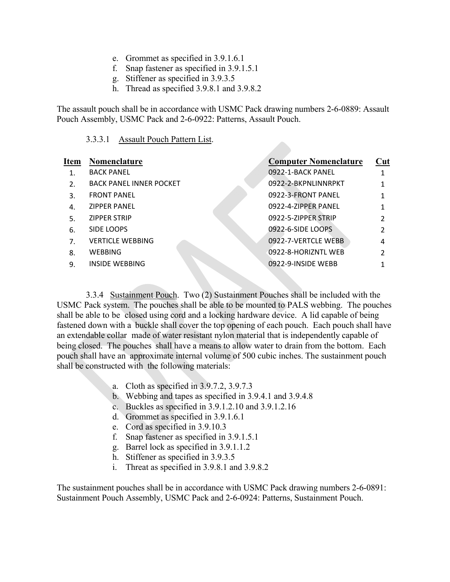- e. Grommet as specified in 3.9.1.6.1
- f. Snap fastener as specified in 3.9.1.5.1
- g. Stiffener as specified in 3.9.3.5
- h. Thread as specified 3.9.8.1 and 3.9.8.2

The assault pouch shall be in accordance with USMC Pack drawing numbers 2-6-0889: Assault Pouch Assembly, USMC Pack and 2-6-0922: Patterns, Assault Pouch.

#### 3.3.3.1 Assault Pouch Pattern List.

| <b>Item</b>      | Nomenclature                   | <b>Computer Nomenclature</b> | Cut           |
|------------------|--------------------------------|------------------------------|---------------|
|                  | <b>BACK PANEL</b>              | 0922-1-BACK PANEL            |               |
| $\overline{2}$ . | <b>BACK PANEL INNER POCKET</b> | 0922-2-BKPNLINNRPKT          |               |
| 3.               | <b>FRONT PANEL</b>             | 0922-3-FRONT PANEL           |               |
| $\mathbf{A}$ .   | <b>ZIPPER PANEL</b>            | 0922-4-ZIPPER PANEL          |               |
| 5.               | <b>ZIPPER STRIP</b>            | 0922-5-ZIPPER STRIP          | $\mathcal{P}$ |
| 6.               | SIDE LOOPS                     | 0922-6-SIDE LOOPS            |               |
| 7 <sub>1</sub>   | <b>VERTICLE WEBBING</b>        | 0922-7-VERTCLE WEBB          | 4             |
| 8.               | <b>WEBBING</b>                 | 0922-8-HORIZNTL WEB          | າ             |
| 9.               | INSIDE WEBBING                 | 0922-9-INSIDE WEBB           |               |
|                  |                                |                              |               |

3.3.4 Sustainment Pouch. Two (2) Sustainment Pouches shall be included with the USMC Pack system. The pouches shall be able to be mounted to PALS webbing. The pouches shall be able to be closed using cord and a locking hardware device. A lid capable of being fastened down with a buckle shall cover the top opening of each pouch. Each pouch shall have an extendable collar made of water resistant nylon material that is independently capable of being closed. The pouches shall have a means to allow water to drain from the bottom. Each pouch shall have an approximate internal volume of 500 cubic inches. The sustainment pouch shall be constructed with the following materials:

- a. Cloth as specified in 3.9.7.2, 3.9.7.3
- b. Webbing and tapes as specified in 3.9.4.1 and 3.9.4.8
- c. Buckles as specified in 3.9.1.2.10 and 3.9.1.2.16
- d. Grommet as specified in 3.9.1.6.1
- e. Cord as specified in 3.9.10.3
- f. Snap fastener as specified in 3.9.1.5.1
- g. Barrel lock as specified in 3.9.1.1.2
- h. Stiffener as specified in 3.9.3.5
- i. Threat as specified in 3.9.8.1 and 3.9.8.2

The sustainment pouches shall be in accordance with USMC Pack drawing numbers 2-6-0891: Sustainment Pouch Assembly, USMC Pack and 2-6-0924: Patterns, Sustainment Pouch.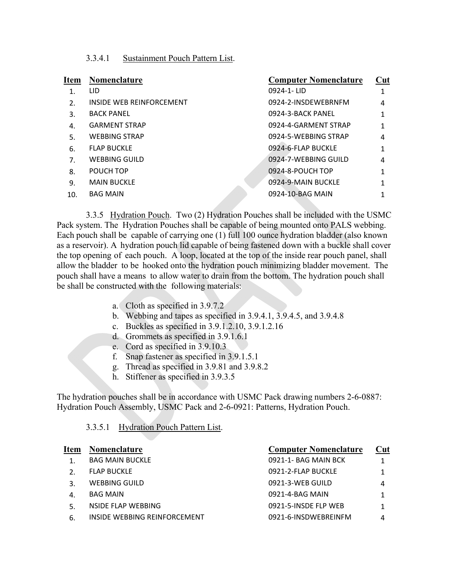# 3.3.4.1 Sustainment Pouch Pattern List.

| Item           | Nomenclature             | <b>Computer Nomenclature</b> | Cut |
|----------------|--------------------------|------------------------------|-----|
| $\mathbf{1}$ . | LID.                     | 0924-1-LID                   |     |
| $\mathcal{L}$  | INSIDE WEB REINFORCEMENT | 0924-2-INSDEWEBRNFM          | 4   |
| 3.             | <b>BACK PANEL</b>        | 0924-3-BACK PANEL            |     |
| 4.             | <b>GARMENT STRAP</b>     | 0924-4-GARMENT STRAP         |     |
| 5.             | <b>WEBBING STRAP</b>     | 0924-5-WEBBING STRAP         | 4   |
| 6.             | <b>FLAP BUCKLE</b>       | 0924-6-FLAP BUCKLE           | 1   |
| 7.             | <b>WEBBING GUILD</b>     | 0924-7-WEBBING GUILD         | 4   |
| 8.             | POUCH TOP                | 0924-8-POUCH TOP             | 1   |
| 9.             | <b>MAIN BUCKLE</b>       | 0924-9-MAIN BUCKLE           | 1   |
| 10.            | <b>BAG MAIN</b>          | 0924-10-BAG MAIN             |     |
|                |                          |                              |     |

3.3.5 Hydration Pouch. Two (2) Hydration Pouches shall be included with the USMC Pack system. The Hydration Pouches shall be capable of being mounted onto PALS webbing. Each pouch shall be capable of carrying one (1) full 100 ounce hydration bladder (also known as a reservoir). A hydration pouch lid capable of being fastened down with a buckle shall cover the top opening of each pouch. A loop, located at the top of the inside rear pouch panel, shall allow the bladder to be hooked onto the hydration pouch minimizing bladder movement. The pouch shall have a means to allow water to drain from the bottom. The hydration pouch shall be shall be constructed with the following materials:

- a. Cloth as specified in 3.9.7.2
- b. Webbing and tapes as specified in 3.9.4.1, 3.9.4.5, and 3.9.4.8
- c. Buckles as specified in 3.9.1.2.10, 3.9.1.2.16
- d. Grommets as specified in 3.9.1.6.1
- e. Cord as specified in 3.9.10.3
- f. Snap fastener as specified in 3.9.1.5.1
- g. Thread as specified in 3.9.81 and 3.9.8.2
- h. Stiffener as specified in 3.9.3.5

The hydration pouches shall be in accordance with USMC Pack drawing numbers 2-6-0887: Hydration Pouch Assembly, USMC Pack and 2-6-0921: Patterns, Hydration Pouch.

| <b>Hydration Pouch Pattern List.</b><br>3.3.5.1 |  |
|-------------------------------------------------|--|
|-------------------------------------------------|--|

| Nomenclature                 | <b>Computer Nomenclature</b> | Cut |
|------------------------------|------------------------------|-----|
| <b>BAG MAIN BUCKLE</b>       | 0921-1- BAG MAIN BCK         |     |
| <b>FLAP BUCKLE</b>           | 0921-2-FLAP BUCKLE           |     |
| <b>WEBBING GUILD</b>         | 0921-3-WEB GUILD             | 4   |
| <b>BAG MAIN</b>              | 0921-4-BAG MAIN              |     |
| NSIDE FLAP WEBBING           | 0921-5-INSDE FLP WEB         |     |
| INSIDE WEBBING REINFORCEMENT | 0921-6-INSDWEBREINFM         | 4   |
|                              |                              |     |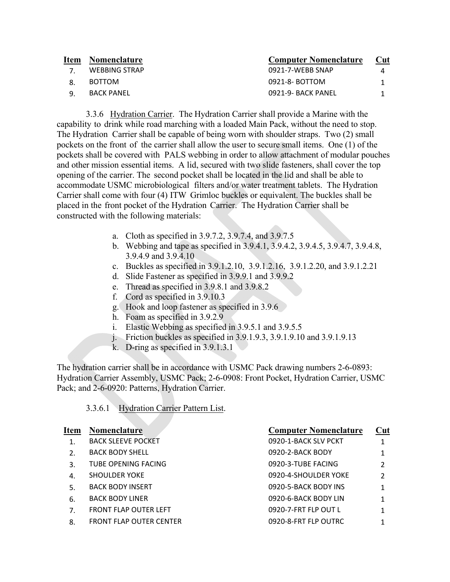| <b>Item</b> | <b>Nomenclature</b> | <b>Computer Nomenclature</b> | <b>Cut</b> |
|-------------|---------------------|------------------------------|------------|
|             | WEBBING STRAP       | 0921-7-WEBB SNAP             | 4          |
|             | <b>BOTTOM</b>       | 0921-8- BOTTOM               |            |
|             | BACK PANEL          | 0921-9- BACK PANEL           |            |

3.3.6 Hydration Carrier. The Hydration Carrier shall provide a Marine with the capability to drink while road marching with a loaded Main Pack, without the need to stop. The Hydration Carrier shall be capable of being worn with shoulder straps. Two (2) small pockets on the front of the carrier shall allow the user to secure small items. One (1) of the pockets shall be covered with PALS webbing in order to allow attachment of modular pouches and other mission essential items. A lid, secured with two slide fasteners, shall cover the top opening of the carrier. The second pocket shall be located in the lid and shall be able to accommodate USMC microbiological filters and/or water treatment tablets. The Hydration Carrier shall come with four (4) ITW Grimloc buckles or equivalent. The buckles shall be placed in the front pocket of the Hydration Carrier. The Hydration Carrier shall be constructed with the following materials:

- a. Cloth as specified in 3.9.7.2, 3.9.7.4, and 3.9.7.5
- b. Webbing and tape as specified in 3.9.4.1, 3.9.4.2, 3.9.4.5, 3.9.4.7, 3.9.4.8, 3.9.4.9 and 3.9.4.10
- c. Buckles as specified in 3.9.1.2.10, 3.9.1.2.16, 3.9.1.2.20, and 3.9.1.2.21
- d. Slide Fastener as specified in 3.9.9.1 and 3.9.9.2
- e. Thread as specified in 3.9.8.1 and 3.9.8.2
- f. Cord as specified in 3.9.10.3
- g. Hook and loop fastener as specified in 3.9.6
- h. Foam as specified in 3.9.2.9
- i. Elastic Webbing as specified in 3.9.5.1 and 3.9.5.5
- j. Friction buckles as specified in 3.9.1.9.3, 3.9.1.9.10 and 3.9.1.9.13
- k. D-ring as specified in 3.9.1.3.1

The hydration carrier shall be in accordance with USMC Pack drawing numbers 2-6-0893: Hydration Carrier Assembly, USMC Pack; 2-6-0908: Front Pocket, Hydration Carrier, USMC Pack; and 2-6-0920: Patterns, Hydration Carrier.

3.3.6.1 Hydration Carrier Pattern List.

| <b>Item</b>      | <b>Nomenclature</b>            | <b>Computer Nomenclature</b> | Cut |
|------------------|--------------------------------|------------------------------|-----|
| 1.               | <b>BACK SLEEVE POCKET</b>      | 0920-1-BACK SLV PCKT         |     |
| $\overline{2}$ . | <b>BACK BODY SHELL</b>         | 0920-2-BACK BODY             |     |
| 3.               | TUBE OPENING FACING            | 0920-3-TUBE FACING           | 2   |
| 4.               | <b>SHOULDER YOKE</b>           | 0920-4-SHOULDER YOKE         | 2   |
| .5               | <b>BACK BODY INSERT</b>        | 0920-5-BACK BODY INS         |     |
| 6.               | <b>BACK BODY LINER</b>         | 0920-6-BACK BODY LIN         |     |
| 7.               | <b>FRONT FLAP OUTER LEFT</b>   | 0920-7-FRT FLP OUT L         |     |
| 8.               | <b>FRONT FLAP OUTER CENTER</b> | 0920-8-FRT FLP OUTRC         |     |
|                  |                                |                              |     |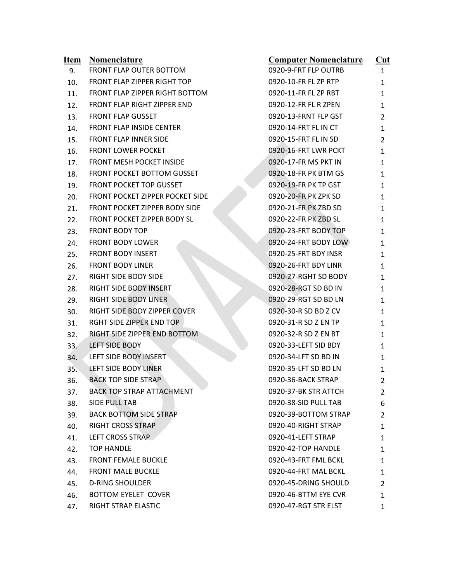| <u>Item</u> | <b>Nomenclature</b>              | <b>Computer Nomenclature</b> | $Cut$          |
|-------------|----------------------------------|------------------------------|----------------|
| 9.          | FRONT FLAP OUTER BOTTOM          | 0920-9-FRT FLP OUTRB         | 1              |
| 10.         | FRONT FLAP ZIPPER RIGHT TOP      | 0920-10-FR FL ZP RTP         | 1              |
| 11.         | FRONT FLAP ZIPPER RIGHT BOTTOM   | 0920-11-FR FL ZP RBT         | 1              |
| 12.         | FRONT FLAP RIGHT ZIPPER END      | 0920-12-FR FL R ZPEN         | 1              |
| 13.         | <b>FRONT FLAP GUSSET</b>         | 0920-13-FRNT FLP GST         | 2              |
| 14.         | <b>FRONT FLAP INSIDE CENTER</b>  | 0920-14-FRT FL IN CT         | 1              |
| 15.         | FRONT FLAP INNER SIDE            | 0920-15-FRT FL IN SD         | 2              |
| 16.         | <b>FRONT LOWER POCKET</b>        | 0920-16-FRT LWR PCKT         | 1              |
| 17.         | FRONT MESH POCKET INSIDE         | 0920-17-FR MS PKT IN         | 1              |
| 18.         | FRONT POCKET BOTTOM GUSSET       | 0920-18-FR PK BTM GS         | 1              |
| 19.         | FRONT POCKET TOP GUSSET          | 0920-19-FR PK TP GST         | 1              |
| 20.         | FRONT POCKET ZIPPER POCKET SIDE  | 0920-20-FR PK ZPK SD         | 1              |
| 21.         | FRONT POCKET ZIPPER BODY SIDE    | 0920-21-FR PK ZBD SD         | 1              |
| 22.         | FRONT POCKET ZIPPER BODY SL      | 0920-22-FR PK ZBD SL         | 1              |
| 23.         | <b>FRONT BODY TOP</b>            | 0920-23-FRT BODY TOP         | 1              |
| 24.         | <b>FRONT BODY LOWER</b>          | 0920-24-FRT BODY LOW         | 1              |
| 25.         | <b>FRONT BODY INSERT</b>         | 0920-25-FRT BDY INSR         | 1              |
| 26.         | <b>FRONT BODY LINER</b>          | 0920-26-FRT BDY LINR         | 1              |
| 27.         | RIGHT SIDE BODY SIDE             | 0920-27-RGHT SD BODY         | 1              |
| 28.         | RIGHT SIDE BODY INSERT           | 0920-28-RGT SD BD IN         | 1              |
| 29.         | RIGHT SIDE BODY LINER            | 0920-29-RGT SD BD LN         | 1              |
| 30.         | RIGHT SIDE BODY ZIPPER COVER     | 0920-30-R SD BD Z CV         | 1              |
| 31.         | RGHT SIDE ZIPPER END TOP         | 0920-31-R SD Z EN TP         | 1              |
| 32.         | RIGHT SIDE ZIPPER END BOTTOM     | 0920-32-R SD Z EN BT         | 1              |
| 33.         | <b>LEFT SIDE BODY</b>            | 0920-33-LEFT SID BDY         | 1              |
| 34.         | LEFT SIDE BODY INSERT            | 0920-34-LFT SD BD IN         | 1              |
| 35.         | LEFT SIDE BODY LINER             | 0920-35-LFT SD BD LN         | 1              |
| 36.         | <b>BACK TOP SIDE STRAP</b>       | 0920-36-BACK STRAP           | $\overline{2}$ |
| 37.         | <b>BACK TOP STRAP ATTACHMENT</b> | 0920-37-BK STR ATTCH         | 2              |
| 38.         | SIDE PULL TAB                    | 0920-38-SID PULL TAB         | 6              |
| 39.         | <b>BACK BOTTOM SIDE STRAP</b>    | 0920-39-BOTTOM STRAP         | 2              |
| 40.         | RIGHT CROSS STRAP                | 0920-40-RIGHT STRAP          | 1              |
| 41.         | LEFT CROSS STRAP                 | 0920-41-LEFT STRAP           | 1              |
| 42.         | <b>TOP HANDLE</b>                | 0920-42-TOP HANDLE           | 1              |
| 43.         | <b>FRONT FEMALE BUCKLE</b>       | 0920-43-FRT FML BCKL         | 1              |
| 44.         | <b>FRONT MALE BUCKLE</b>         | 0920-44-FRT MAL BCKL         | 1              |
| 45.         | <b>D-RING SHOULDER</b>           | 0920-45-DRING SHOULD         | 2              |
| 46.         | <b>BOTTOM EYELET COVER</b>       | 0920-46-BTTM EYE CVR         | 1              |
| 47.         | RIGHT STRAP ELASTIC              | 0920-47-RGT STR ELST         | 1              |
|             |                                  |                              |                |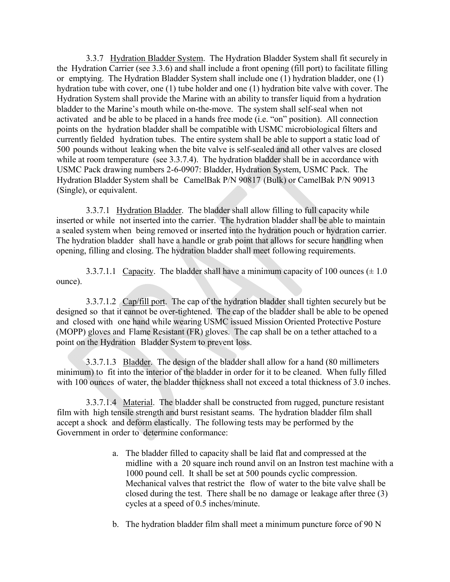3.3.7 Hydration Bladder System. The Hydration Bladder System shall fit securely in the Hydration Carrier (see 3.3.6) and shall include a front opening (fill port) to facilitate filling or emptying. The Hydration Bladder System shall include one (1) hydration bladder, one (1) hydration tube with cover, one (1) tube holder and one (1) hydration bite valve with cover. The Hydration System shall provide the Marine with an ability to transfer liquid from a hydration bladder to the Marine's mouth while on-the-move. The system shall self-seal when not activated and be able to be placed in a hands free mode (i.e. "on" position). All connection points on the hydration bladder shall be compatible with USMC microbiological filters and currently fielded hydration tubes. The entire system shall be able to support a static load of 500 pounds without leaking when the bite valve is self-sealed and all other valves are closed while at room temperature (see 3.3.7.4). The hydration bladder shall be in accordance with USMC Pack drawing numbers 2-6-0907: Bladder, Hydration System, USMC Pack. The Hydration Bladder System shall be CamelBak P/N 90817 (Bulk) or CamelBak P/N 90913 (Single), or equivalent.

3.3.7.1 Hydration Bladder. The bladder shall allow filling to full capacity while inserted or while not inserted into the carrier. The hydration bladder shall be able to maintain a sealed system when being removed or inserted into the hydration pouch or hydration carrier. The hydration bladder shall have a handle or grab point that allows for secure handling when opening, filling and closing. The hydration bladder shall meet following requirements.

3.3.7.1.1 Capacity. The bladder shall have a minimum capacity of 100 ounces  $(\pm 1.0)$ ounce).

3.3.7.1.2 Cap/fill port. The cap of the hydration bladder shall tighten securely but be designed so that it cannot be over-tightened. The cap of the bladder shall be able to be opened and closed with one hand while wearing USMC issued Mission Oriented Protective Posture (MOPP) gloves and Flame Resistant (FR) gloves. The cap shall be on a tether attached to a point on the Hydration Bladder System to prevent loss.

3.3.7.1.3 Bladder. The design of the bladder shall allow for a hand (80 millimeters minimum) to fit into the interior of the bladder in order for it to be cleaned. When fully filled with 100 ounces of water, the bladder thickness shall not exceed a total thickness of 3.0 inches.

3.3.7.1.4 Material. The bladder shall be constructed from rugged, puncture resistant film with high tensile strength and burst resistant seams. The hydration bladder film shall accept a shock and deform elastically. The following tests may be performed by the Government in order to determine conformance:

- a. The bladder filled to capacity shall be laid flat and compressed at the midline with a 20 square inch round anvil on an Instron test machine with a 1000 pound cell. It shall be set at 500 pounds cyclic compression. Mechanical valves that restrict the flow of water to the bite valve shall be closed during the test. There shall be no damage or leakage after three (3) cycles at a speed of 0.5 inches/minute.
- b. The hydration bladder film shall meet a minimum puncture force of 90 N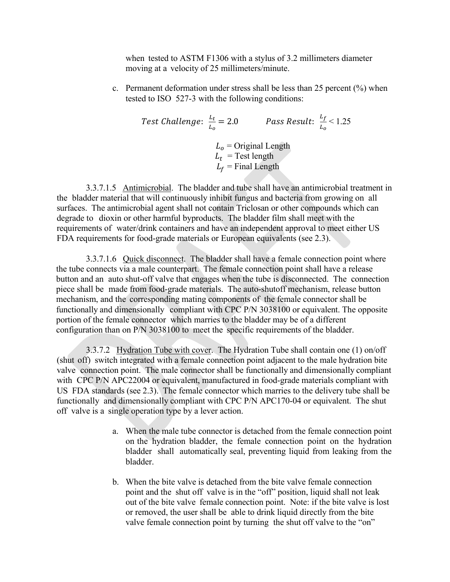when tested to ASTM F1306 with a stylus of 3.2 millimeters diameter moving at a velocity of 25 millimeters/minute.

c. Permanent deformation under stress shall be less than 25 percent (%) when tested to ISO 527-3 with the following conditions:

Test Challenge: 
$$
\frac{L_t}{L_o} = 2.0
$$
 Pass Result:  $\frac{L_f}{L_o} < 1.25$   
\n $L_o$  = Original Length  
\n $L_t$  = Test length  
\n $L_f$  = Final Length

3.3.7.1.5 Antimicrobial. The bladder and tube shall have an antimicrobial treatment in the bladder material that will continuously inhibit fungus and bacteria from growing on all surfaces. The antimicrobial agent shall not contain Triclosan or other compounds which can degrade to dioxin or other harmful byproducts. The bladder film shall meet with the requirements of water/drink containers and have an independent approval to meet either US FDA requirements for food-grade materials or European equivalents (see 2.3).

3.3.7.1.6 Quick disconnect. The bladder shall have a female connection point where the tube connects via a male counterpart. The female connection point shall have a release button and an auto shut-off valve that engages when the tube is disconnected. The connection piece shall be made from food-grade materials. The auto-shutoff mechanism, release button mechanism, and the corresponding mating components of the female connector shall be functionally and dimensionally compliant with CPC P/N 3038100 or equivalent. The opposite portion of the female connector which marries to the bladder may be of a different configuration than on P/N 3038100 to meet the specific requirements of the bladder.

3.3.7.2 Hydration Tube with cover. The Hydration Tube shall contain one (1) on/off (shut off) switch integrated with a female connection point adjacent to the male hydration bite valve connection point. The male connector shall be functionally and dimensionally compliant with CPC P/N APC22004 or equivalent, manufactured in food-grade materials compliant with US FDA standards (see 2.3). The female connector which marries to the delivery tube shall be functionally and dimensionally compliant with CPC P/N APC170-04 or equivalent. The shut off valve is a single operation type by a lever action.

- a. When the male tube connector is detached from the female connection point on the hydration bladder, the female connection point on the hydration bladder shall automatically seal, preventing liquid from leaking from the bladder.
- b. When the bite valve is detached from the bite valve female connection point and the shut off valve is in the "off" position, liquid shall not leak out of the bite valve female connection point. Note: if the bite valve is lost or removed, the user shall be able to drink liquid directly from the bite valve female connection point by turning the shut off valve to the "on"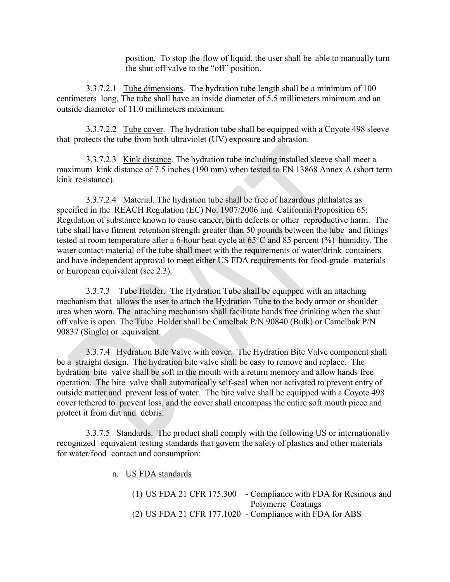position. To stop the flow of liquid, the user shall be able to manually turn the shut off valve to the "off" position.

3.3.7.2.1 Tube dimensions. The hydration tube length shall be a minimum of 100 centimeters long. The tube shall have an inside diameter of 5.5 millimeters minimum and an outside diameter of 11.0 millimeters maximum.

3.3.7.2.2 Tube cover. The hydration tube shall be equipped with a Coyote 498 sleeve that protects the tube from both ultraviolet (UV) exposure and abrasion.

3.3.7.2.3 Kink distance. The hydration tube including installed sleeve shall meet a maximum kink distance of 7.5 inches (190 mm) when tested to EN 13868 Annex A (short term kink resistance).

3.3.7.2.4 Material. The hydration tube shall be free of hazardous phthalates as specified in the REACH Regulation (EC) No. 1907/2006 and California Proposition 65: Regulation of substance known to cause cancer, birth defects or other reproductive harm. The tube shall have fitment retention strength greater than 50 pounds between the tube and fittings tested at room temperature after a 6-hour heat cycle at 65°C and 85 percent (%) humidity. The water contact material of the tube shall meet with the requirements of water/drink containers and have independent approval to meet either US FDA requirements for food-grade materials or European equivalent (see 2.3).

3.3.7.3 Tube Holder. The Hydration Tube shall be equipped with an attaching mechanism that allows the user to attach the Hydration Tube to the body armor or shoulder area when worn. The attaching mechanism shall facilitate hands free drinking when the shut off valve is open. The Tube Holder shall be Camelbak P/N 90840 (Bulk) or Camelbak P/N 90837 (Single) or equivalent.

3.3.7.4 Hydration Bite Valve with cover. The Hydration Bite Valve component shall be a straight design. The hydration bite valve shall be easy to remove and replace. The hydration bite valve shall be soft in the mouth with a return memory and allow hands free operation. The bite valve shall automatically self-seal when not activated to prevent entry of outside matter and prevent loss of water. The bite valve shall be equipped with a Coyote 498 cover tethered to prevent loss, and the cover shall encompass the entire soft mouth piece and protect it from dirt and debris.

3.3.7.5 Standards. The product shall comply with the following US or internationally recognized equivalent testing standards that govern the safety of plastics and other materials for water/food contact and consumption:

a. US FDA standards

(1) US FDA 21 CFR 175.300 - Compliance with FDA for Resinous and Polymeric Coatings (2) US FDA 21 CFR 177.1020 - Compliance with FDA for ABS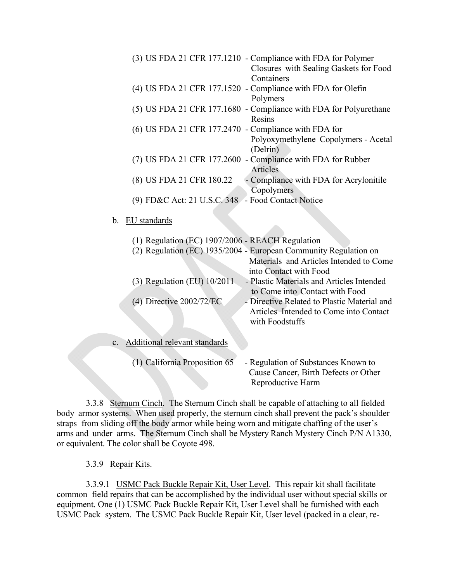|    | (3) US FDA 21 CFR 177.1210 - Compliance with FDA for Polymer<br>Closures with Sealing Gaskets for Food<br>Containers |
|----|----------------------------------------------------------------------------------------------------------------------|
|    | (4) US FDA 21 CFR 177.1520 - Compliance with FDA for Olefin<br>Polymers                                              |
|    | (5) US FDA 21 CFR 177.1680 - Compliance with FDA for Polyurethane<br>Resins                                          |
|    | (6) US FDA 21 CFR 177.2470 - Compliance with FDA for                                                                 |
|    | Polyoxymethylene Copolymers - Acetal<br>(Delrin)                                                                     |
|    | (7) US FDA 21 CFR 177.2600 - Compliance with FDA for Rubber<br><b>Articles</b>                                       |
|    | - Compliance with FDA for Acrylonitile<br>(8) US FDA 21 CFR 180.22<br>Copolymers                                     |
|    | (9) FD&C Act: 21 U.S.C. 348 - Food Contact Notice                                                                    |
|    |                                                                                                                      |
| b. | EU standards                                                                                                         |
|    |                                                                                                                      |
|    | (1) Regulation (EC) 1907/2006 - REACH Regulation                                                                     |
|    | (2) Regulation (EC) 1935/2004 - European Community Regulation on                                                     |
|    | Materials and Articles Intended to Come                                                                              |
|    | into Contact with Food                                                                                               |

| $(3)$ Regulation (EU) $10/2011$<br>$(4)$ Directive 2002/72/EC | into Contact with Food<br>- Plastic Materials and Articles Intended<br>to Come into Contact with Food<br>- Directive Related to Plastic Material and<br>Articles Intended to Come into Contact<br>with Foodstuffs |
|---------------------------------------------------------------|-------------------------------------------------------------------------------------------------------------------------------------------------------------------------------------------------------------------|
| c. Additional relevant standards                              |                                                                                                                                                                                                                   |
| (1) California Proposition 65                                 | - Regulation of Substances Known to<br>Cause Cancer, Birth Defects or Other                                                                                                                                       |

Reproductive Harm

3.3.8 Sternum Cinch. The Sternum Cinch shall be capable of attaching to all fielded body armor systems. When used properly, the sternum cinch shall prevent the pack's shoulder straps from sliding off the body armor while being worn and mitigate chaffing of the user's arms and under arms. The Sternum Cinch shall be Mystery Ranch Mystery Cinch P/N A1330, or equivalent. The color shall be Coyote 498.

3.3.9 Repair Kits.

3.3.9.1 USMC Pack Buckle Repair Kit, User Level. This repair kit shall facilitate common field repairs that can be accomplished by the individual user without special skills or equipment. One (1) USMC Pack Buckle Repair Kit, User Level shall be furnished with each USMC Pack system. The USMC Pack Buckle Repair Kit, User level (packed in a clear, re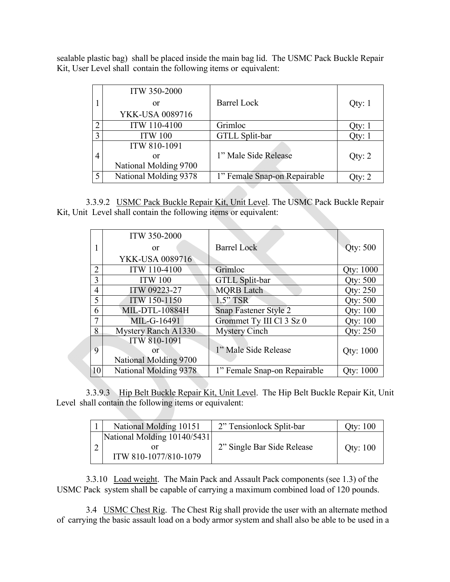sealable plastic bag) shall be placed inside the main bag lid. The USMC Pack Buckle Repair Kit, User Level shall contain the following items or equivalent:

|                | <b>ITW 350-2000</b>    |                              |        |
|----------------|------------------------|------------------------------|--------|
|                | or                     | <b>Barrel Lock</b>           | Qty: 1 |
|                | <b>YKK-USA 0089716</b> |                              |        |
| $\gamma$       | ITW 110-4100           | Grimloc                      | Qty: 1 |
| 3              | <b>ITW 100</b>         | GTLL Split-bar               | Qty: 1 |
|                | ITW 810-1091           |                              |        |
| $\overline{4}$ | or                     | 1" Male Side Release         | Qty: 2 |
|                | National Molding 9700  |                              |        |
| 5              | National Molding 9378  | 1" Female Snap-on Repairable | Oty: 2 |

3.3.9.2 USMC Pack Buckle Repair Kit, Unit Level. The USMC Pack Buckle Repair Kit, Unit Level shall contain the following items or equivalent:

|                | <b>ITW 350-2000</b>        |                              |                  |
|----------------|----------------------------|------------------------------|------------------|
|                | <b>or</b>                  | <b>Barrel Lock</b>           | <b>Qty: 500</b>  |
|                | <b>YKK-USA 0089716</b>     |                              |                  |
| $\overline{2}$ | ITW 110-4100               | Grimloc                      | <b>Qty: 1000</b> |
| 3              | <b>ITW 100</b>             | <b>GTLL Split-bar</b>        | Qty: 500         |
| $\overline{4}$ | ITW 09223-27               | <b>MQRB</b> Latch            | Qty: 250         |
| 5              | ITW 150-1150               | $1.5"$ TSR                   | Qty: 500         |
| 6              | <b>MIL-DTL-10884H</b>      | Snap Fastener Style 2        | <b>Qty: 100</b>  |
| $\overline{7}$ | MIL-G-16491                | Grommet Ty III Cl 3 Sz 0     | <b>Qty: 100</b>  |
| 8              | <b>Mystery Ranch A1330</b> | <b>Mystery Cinch</b>         | Qty: 250         |
|                | <b>ITW 810-1091</b>        |                              |                  |
| 9              | or:                        | 1" Male Side Release         | <b>Qty: 1000</b> |
|                | National Molding 9700      |                              |                  |
| 10             | National Molding 9378      | 1" Female Snap-on Repairable | <b>Oty: 1000</b> |

3.3.9.3 Hip Belt Buckle Repair Kit, Unit Level. The Hip Belt Buckle Repair Kit, Unit Level shall contain the following items or equivalent:

| National Molding 10151                               | 2" Tensionlock Split-bar   | Qty: 100 |
|------------------------------------------------------|----------------------------|----------|
| National Molding 10140/5431<br>ITW 810-1077/810-1079 | 2" Single Bar Side Release | Qty: 100 |

3.3.10 Load weight. The Main Pack and Assault Pack components (see 1.3) of the USMC Pack system shall be capable of carrying a maximum combined load of 120 pounds.

3.4 USMC Chest Rig. The Chest Rig shall provide the user with an alternate method of carrying the basic assault load on a body armor system and shall also be able to be used in a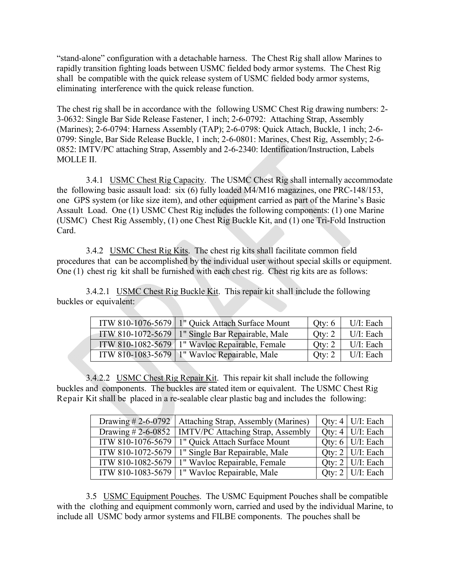"stand-alone" configuration with a detachable harness. The Chest Rig shall allow Marines to rapidly transition fighting loads between USMC fielded body armor systems. The Chest Rig shall be compatible with the quick release system of USMC fielded body armor systems, eliminating interference with the quick release function.

The chest rig shall be in accordance with the following USMC Chest Rig drawing numbers: 2- 3-0632: Single Bar Side Release Fastener, 1 inch; 2-6-0792: Attaching Strap, Assembly (Marines); 2-6-0794: Harness Assembly (TAP); 2-6-0798: Quick Attach, Buckle, 1 inch; 2-6- 0799: Single, Bar Side Release Buckle, 1 inch; 2-6-0801: Marines, Chest Rig, Assembly; 2-6- 0852: IMTV/PC attaching Strap, Assembly and 2-6-2340: Identification/Instruction, Labels MOLLE II.

3.4.1 USMC Chest Rig Capacity. The USMC Chest Rig shall internally accommodate the following basic assault load: six (6) fully loaded M4/M16 magazines, one PRC-148/153, one GPS system (or like size item), and other equipment carried as part of the Marine's Basic Assault Load. One (1) USMC Chest Rig includes the following components: (1) one Marine (USMC) Chest Rig Assembly, (1) one Chest Rig Buckle Kit, and (1) one Tri-Fold Instruction Card.

3.4.2 USMC Chest Rig Kits. The chest rig kits shall facilitate common field procedures that can be accomplished by the individual user without special skills or equipment. One (1) chest rig kit shall be furnished with each chest rig. Chest rig kits are as follows:

3.4.2.1 USMC Chest Rig Buckle Kit. This repair kit shall include the following buckles or equivalent:

| ITW 810-1076-5679   1" Quick Attach Surface Mount  | Qty: $6$ | U/I: Each    |
|----------------------------------------------------|----------|--------------|
| ITW 810-1072-5679   1" Single Bar Repairable, Male | Qty: 2   | $U/I$ : Each |
| ITW 810-1082-5679 1" Wavloc Repairable, Female     | Qty: 2   | $U/I$ : Each |
| ITW 810-1083-5679   1" Wavloc Repairable, Male     | Qty: 2   | U/I: Each    |

3.4.2.2 USMC Chest Rig Repair Kit. This repair kit shall include the following buckles and components. The buckles are stated item or equivalent. The USMC Chest Rig Repair Kit shall be placed in a re-sealable clear plastic bag and includes the following:

| Drawing #2-6-0792   Attaching Strap, Assembly (Marines) | Qty: 4   U/I: Each       |
|---------------------------------------------------------|--------------------------|
| Drawing #2-6-0852   IMTV/PC Attaching Strap, Assembly   | Qty: $4$   U/I: Each     |
| ITW 810-1076-5679   1" Quick Attach Surface Mount       | Qty: $6$   U/I: Each     |
| ITW 810-1072-5679   1" Single Bar Repairable, Male      | Qty: $2 \mid U/I$ : Each |
| ITW 810-1082-5679   1" Wavloc Repairable, Female        | Oty: $2 \mid U/I$ : Each |
| ITW 810-1083-5679   1" Wavloc Repairable, Male          | Qty: $2$   U/I: Each     |

3.5 USMC Equipment Pouches. The USMC Equipment Pouches shall be compatible with the clothing and equipment commonly worn, carried and used by the individual Marine, to include all USMC body armor systems and FILBE components. The pouches shall be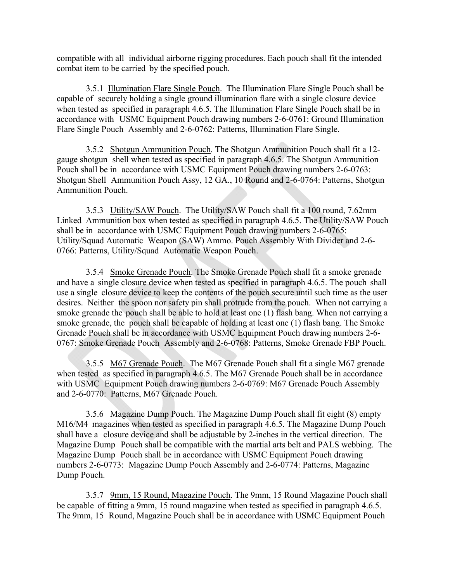compatible with all individual airborne rigging procedures. Each pouch shall fit the intended combat item to be carried by the specified pouch.

3.5.1 Illumination Flare Single Pouch. The Illumination Flare Single Pouch shall be capable of securely holding a single ground illumination flare with a single closure device when tested as specified in paragraph 4.6.5. The Illumination Flare Single Pouch shall be in accordance with USMC Equipment Pouch drawing numbers 2-6-0761: Ground Illumination Flare Single Pouch Assembly and 2-6-0762: Patterns, Illumination Flare Single.

3.5.2 Shotgun Ammunition Pouch. The Shotgun Ammunition Pouch shall fit a 12 gauge shotgun shell when tested as specified in paragraph 4.6.5. The Shotgun Ammunition Pouch shall be in accordance with USMC Equipment Pouch drawing numbers 2-6-0763: Shotgun Shell Ammunition Pouch Assy, 12 GA., 10 Round and 2-6-0764: Patterns, Shotgun Ammunition Pouch.

3.5.3 Utility/SAW Pouch. The Utility/SAW Pouch shall fit a 100 round, 7.62mm Linked Ammunition box when tested as specified in paragraph 4.6.5. The Utility/SAW Pouch shall be in accordance with USMC Equipment Pouch drawing numbers 2-6-0765: Utility/Squad Automatic Weapon (SAW) Ammo. Pouch Assembly With Divider and 2-6- 0766: Patterns, Utility/Squad Automatic Weapon Pouch.

3.5.4 Smoke Grenade Pouch. The Smoke Grenade Pouch shall fit a smoke grenade and have a single closure device when tested as specified in paragraph 4.6.5. The pouch shall use a single closure device to keep the contents of the pouch secure until such time as the user desires. Neither the spoon nor safety pin shall protrude from the pouch. When not carrying a smoke grenade the pouch shall be able to hold at least one (1) flash bang. When not carrying a smoke grenade, the pouch shall be capable of holding at least one (1) flash bang. The Smoke Grenade Pouch shall be in accordance with USMC Equipment Pouch drawing numbers 2-6- 0767: Smoke Grenade Pouch Assembly and 2-6-0768: Patterns, Smoke Grenade FBP Pouch.

3.5.5 M67 Grenade Pouch. The M67 Grenade Pouch shall fit a single M67 grenade when tested as specified in paragraph 4.6.5. The M67 Grenade Pouch shall be in accordance with USMC Equipment Pouch drawing numbers 2-6-0769: M67 Grenade Pouch Assembly and 2-6-0770: Patterns, M67 Grenade Pouch.

3.5.6 Magazine Dump Pouch. The Magazine Dump Pouch shall fit eight (8) empty M16/M4 magazines when tested as specified in paragraph 4.6.5. The Magazine Dump Pouch shall have a closure device and shall be adjustable by 2-inches in the vertical direction. The Magazine Dump Pouch shall be compatible with the martial arts belt and PALS webbing. The Magazine Dump Pouch shall be in accordance with USMC Equipment Pouch drawing numbers 2-6-0773: Magazine Dump Pouch Assembly and 2-6-0774: Patterns, Magazine Dump Pouch.

3.5.7 9mm, 15 Round, Magazine Pouch. The 9mm, 15 Round Magazine Pouch shall be capable of fitting a 9mm, 15 round magazine when tested as specified in paragraph 4.6.5. The 9mm, 15 Round, Magazine Pouch shall be in accordance with USMC Equipment Pouch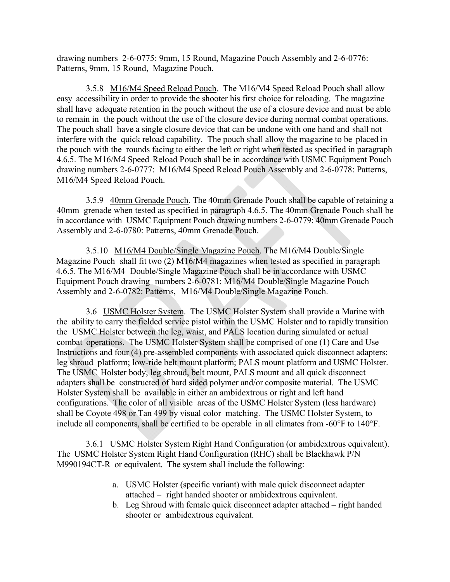drawing numbers 2-6-0775: 9mm, 15 Round, Magazine Pouch Assembly and 2-6-0776: Patterns, 9mm, 15 Round, Magazine Pouch.

3.5.8 M16/M4 Speed Reload Pouch. The M16/M4 Speed Reload Pouch shall allow easy accessibility in order to provide the shooter his first choice for reloading. The magazine shall have adequate retention in the pouch without the use of a closure device and must be able to remain in the pouch without the use of the closure device during normal combat operations. The pouch shall have a single closure device that can be undone with one hand and shall not interfere with the quick reload capability. The pouch shall allow the magazine to be placed in the pouch with the rounds facing to either the left or right when tested as specified in paragraph 4.6.5. The M16/M4 Speed Reload Pouch shall be in accordance with USMC Equipment Pouch drawing numbers 2-6-0777: M16/M4 Speed Reload Pouch Assembly and 2-6-0778: Patterns, M16/M4 Speed Reload Pouch.

3.5.9 40mm Grenade Pouch. The 40mm Grenade Pouch shall be capable of retaining a 40mm grenade when tested as specified in paragraph 4.6.5. The 40mm Grenade Pouch shall be in accordance with USMC Equipment Pouch drawing numbers 2-6-0779: 40mm Grenade Pouch Assembly and 2-6-0780: Patterns, 40mm Grenade Pouch.

3.5.10 M16/M4 Double/Single Magazine Pouch. The M16/M4 Double/Single Magazine Pouch shall fit two (2) M16/M4 magazines when tested as specified in paragraph 4.6.5. The M16/M4 Double/Single Magazine Pouch shall be in accordance with USMC Equipment Pouch drawing numbers 2-6-0781: M16/M4 Double/Single Magazine Pouch Assembly and 2-6-0782: Patterns, M16/M4 Double/Single Magazine Pouch.

3.6 USMC Holster System. The USMC Holster System shall provide a Marine with the ability to carry the fielded service pistol within the USMC Holster and to rapidly transition the USMC Holster between the leg, waist, and PALS location during simulated or actual combat operations. The USMC Holster System shall be comprised of one (1) Care and Use Instructions and four (4) pre-assembled components with associated quick disconnect adapters: leg shroud platform; low-ride belt mount platform; PALS mount platform and USMC Holster. The USMC Holster body, leg shroud, belt mount, PALS mount and all quick disconnect adapters shall be constructed of hard sided polymer and/or composite material. The USMC Holster System shall be available in either an ambidextrous or right and left hand configurations. The color of all visible areas of the USMC Holster System (less hardware) shall be Coyote 498 or Tan 499 by visual color matching. The USMC Holster System, to include all components, shall be certified to be operable in all climates from  $-60^{\circ}$ F to  $140^{\circ}$ F.

3.6.1 USMC Holster System Right Hand Configuration (or ambidextrous equivalent). The USMC Holster System Right Hand Configuration (RHC) shall be Blackhawk P/N M990194CT-R or equivalent. The system shall include the following:

- a. USMC Holster (specific variant) with male quick disconnect adapter attached – right handed shooter or ambidextrous equivalent.
- b. Leg Shroud with female quick disconnect adapter attached right handed shooter or ambidextrous equivalent.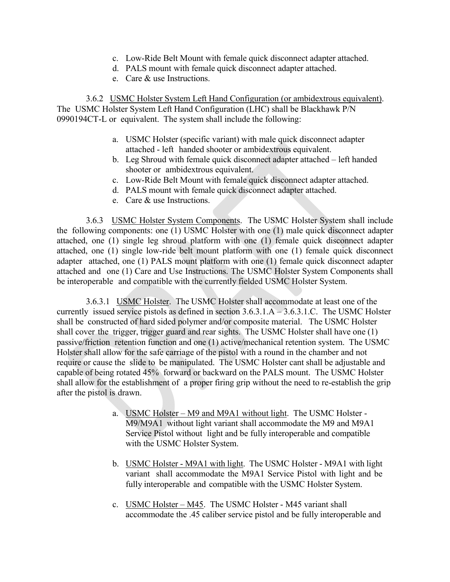- c. Low-Ride Belt Mount with female quick disconnect adapter attached.
- d. PALS mount with female quick disconnect adapter attached.
- e. Care & use Instructions.

3.6.2 USMC Holster System Left Hand Configuration (or ambidextrous equivalent). The USMC Holster System Left Hand Configuration (LHC) shall be Blackhawk P/N 0990194CT-L or equivalent. The system shall include the following:

- a. USMC Holster (specific variant) with male quick disconnect adapter attached - left handed shooter or ambidextrous equivalent.
- b. Leg Shroud with female quick disconnect adapter attached left handed shooter or ambidextrous equivalent.
- c. Low-Ride Belt Mount with female quick disconnect adapter attached.
- d. PALS mount with female quick disconnect adapter attached.
- e. Care & use Instructions.

3.6.3 USMC Holster System Components. The USMC Holster System shall include the following components: one (1) USMC Holster with one (1) male quick disconnect adapter attached, one (1) single leg shroud platform with one (1) female quick disconnect adapter attached, one (1) single low-ride belt mount platform with one (1) female quick disconnect adapter attached, one (1) PALS mount platform with one (1) female quick disconnect adapter attached and one (1) Care and Use Instructions. The USMC Holster System Components shall be interoperable and compatible with the currently fielded USMC Holster System.

3.6.3.1 USMC Holster. The USMC Holster shall accommodate at least one of the currently issued service pistols as defined in section 3.6.3.1.A – 3.6.3.1.C. The USMC Holster shall be constructed of hard sided polymer and/or composite material. The USMC Holster shall cover the trigger, trigger guard and rear sights. The USMC Holster shall have one (1) passive/friction retention function and one (1) active/mechanical retention system. The USMC Holster shall allow for the safe carriage of the pistol with a round in the chamber and not require or cause the slide to be manipulated. The USMC Holster cant shall be adjustable and capable of being rotated 45% forward or backward on the PALS mount. The USMC Holster shall allow for the establishment of a proper firing grip without the need to re-establish the grip after the pistol is drawn.

- a. USMC Holster M9 and M9A1 without light. The USMC Holster M9/M9A1 without light variant shall accommodate the M9 and M9A1 Service Pistol without light and be fully interoperable and compatible with the USMC Holster System.
- b. USMC Holster M9A1 with light. The USMC Holster M9A1 with light variant shall accommodate the M9A1 Service Pistol with light and be fully interoperable and compatible with the USMC Holster System.
- c. USMC Holster M45. The USMC Holster M45 variant shall accommodate the .45 caliber service pistol and be fully interoperable and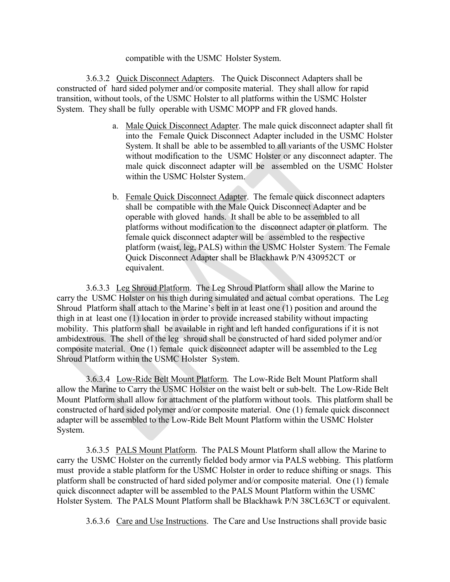compatible with the USMC Holster System.

3.6.3.2 Quick Disconnect Adapters. The Quick Disconnect Adapters shall be constructed of hard sided polymer and/or composite material. They shall allow for rapid transition, without tools, of the USMC Holster to all platforms within the USMC Holster System. They shall be fully operable with USMC MOPP and FR gloved hands.

- a. Male Quick Disconnect Adapter. The male quick disconnect adapter shall fit into the Female Quick Disconnect Adapter included in the USMC Holster System. It shall be able to be assembled to all variants of the USMC Holster without modification to the USMC Holster or any disconnect adapter. The male quick disconnect adapter will be assembled on the USMC Holster within the USMC Holster System.
- b. Female Quick Disconnect Adapter. The female quick disconnect adapters shall be compatible with the Male Quick Disconnect Adapter and be operable with gloved hands. It shall be able to be assembled to all platforms without modification to the disconnect adapter or platform. The female quick disconnect adapter will be assembled to the respective platform (waist, leg, PALS) within the USMC Holster System. The Female Quick Disconnect Adapter shall be Blackhawk P/N 430952CT or equivalent.

3.6.3.3 Leg Shroud Platform. The Leg Shroud Platform shall allow the Marine to carry the USMC Holster on his thigh during simulated and actual combat operations. The Leg Shroud Platform shall attach to the Marine's belt in at least one (1) position and around the thigh in at least one (1) location in order to provide increased stability without impacting mobility. This platform shall be available in right and left handed configurations if it is not ambidextrous. The shell of the leg shroud shall be constructed of hard sided polymer and/or composite material. One (1) female quick disconnect adapter will be assembled to the Leg Shroud Platform within the USMC Holster System.

3.6.3.4 Low-Ride Belt Mount Platform. The Low-Ride Belt Mount Platform shall allow the Marine to Carry the USMC Holster on the waist belt or sub-belt. The Low-Ride Belt Mount Platform shall allow for attachment of the platform without tools. This platform shall be constructed of hard sided polymer and/or composite material. One (1) female quick disconnect adapter will be assembled to the Low-Ride Belt Mount Platform within the USMC Holster System.

3.6.3.5 PALS Mount Platform. The PALS Mount Platform shall allow the Marine to carry the USMC Holster on the currently fielded body armor via PALS webbing. This platform must provide a stable platform for the USMC Holster in order to reduce shifting or snags. This platform shall be constructed of hard sided polymer and/or composite material. One (1) female quick disconnect adapter will be assembled to the PALS Mount Platform within the USMC Holster System. The PALS Mount Platform shall be Blackhawk P/N 38CL63CT or equivalent.

3.6.3.6 Care and Use Instructions. The Care and Use Instructions shall provide basic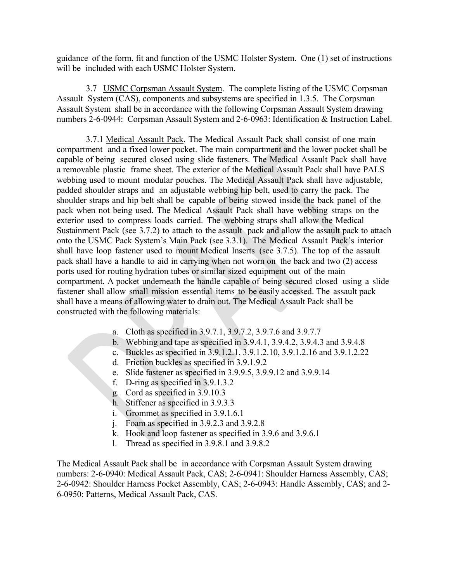guidance of the form, fit and function of the USMC Holster System. One (1) set of instructions will be included with each USMC Holster System.

3.7 USMC Corpsman Assault System. The complete listing of the USMC Corpsman Assault System (CAS), components and subsystems are specified in 1.3.5. The Corpsman Assault System shall be in accordance with the following Corpsman Assault System drawing numbers 2-6-0944: Corpsman Assault System and 2-6-0963: Identification & Instruction Label.

3.7.1 Medical Assault Pack. The Medical Assault Pack shall consist of one main compartment and a fixed lower pocket. The main compartment and the lower pocket shall be capable of being secured closed using slide fasteners. The Medical Assault Pack shall have a removable plastic frame sheet. The exterior of the Medical Assault Pack shall have PALS webbing used to mount modular pouches. The Medical Assault Pack shall have adjustable, padded shoulder straps and an adjustable webbing hip belt, used to carry the pack. The shoulder straps and hip belt shall be capable of being stowed inside the back panel of the pack when not being used. The Medical Assault Pack shall have webbing straps on the exterior used to compress loads carried. The webbing straps shall allow the Medical Sustainment Pack (see 3.7.2) to attach to the assault pack and allow the assault pack to attach onto the USMC Pack System's Main Pack (see 3.3.1). The Medical Assault Pack's interior shall have loop fastener used to mount Medical Inserts (see 3.7.5). The top of the assault pack shall have a handle to aid in carrying when not worn on the back and two (2) access ports used for routing hydration tubes or similar sized equipment out of the main compartment. A pocket underneath the handle capable of being secured closed using a slide fastener shall allow small mission essential items to be easily accessed. The assault pack shall have a means of allowing water to drain out. The Medical Assault Pack shall be constructed with the following materials:

- a. Cloth as specified in 3.9.7.1, 3.9.7.2, 3.9.7.6 and 3.9.7.7
- b. Webbing and tape as specified in 3.9.4.1, 3.9.4.2, 3.9.4.3 and 3.9.4.8
- c. Buckles as specified in 3.9.1.2.1, 3.9.1.2.10, 3.9.1.2.16 and 3.9.1.2.22
- d. Friction buckles as specified in 3.9.1.9.2
- e. Slide fastener as specified in 3.9.9.5, 3.9.9.12 and 3.9.9.14
- f. D-ring as specified in 3.9.1.3.2
- g. Cord as specified in 3.9.10.3
- h. Stiffener as specified in 3.9.3.3
- i. Grommet as specified in 3.9.1.6.1
- j. Foam as specified in 3.9.2.3 and 3.9.2.8
- k. Hook and loop fastener as specified in 3.9.6 and 3.9.6.1
- l. Thread as specified in 3.9.8.1 and 3.9.8.2

The Medical Assault Pack shall be in accordance with Corpsman Assault System drawing numbers: 2-6-0940: Medical Assault Pack, CAS; 2-6-0941: Shoulder Harness Assembly, CAS; 2-6-0942: Shoulder Harness Pocket Assembly, CAS; 2-6-0943: Handle Assembly, CAS; and 2- 6-0950: Patterns, Medical Assault Pack, CAS.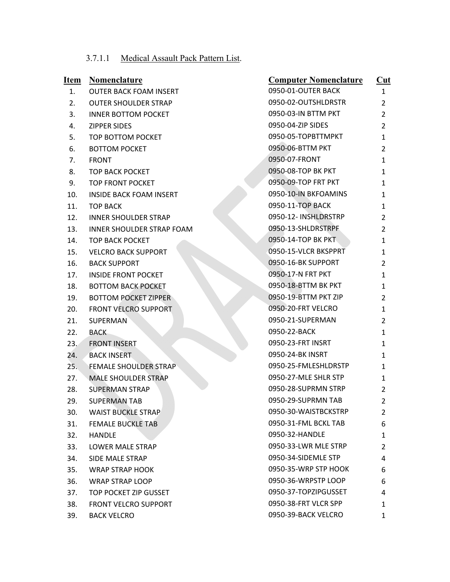# 3.7.1.1 Medical Assault Pack Pattern List.

| <u>Item</u> | <b>Nomenclature</b>              | <b>Computer Nomenclature</b> | $\overline{\text{Cut}}$ |
|-------------|----------------------------------|------------------------------|-------------------------|
| 1.          | <b>OUTER BACK FOAM INSERT</b>    | 0950-01-OUTER BACK           | $\mathbf{1}$            |
| 2.          | <b>OUTER SHOULDER STRAP</b>      | 0950-02-OUTSHLDRSTR          | $\overline{2}$          |
| 3.          | <b>INNER BOTTOM POCKET</b>       | 0950-03-IN BTTM PKT          | $\overline{2}$          |
| 4.          | <b>ZIPPER SIDES</b>              | 0950-04-ZIP SIDES            | $\overline{2}$          |
| 5.          | TOP BOTTOM POCKET                | 0950-05-TOPBTTMPKT           | $\mathbf{1}$            |
| 6.          | <b>BOTTOM POCKET</b>             | 0950-06-BTTM PKT             | 2                       |
| 7.          | <b>FRONT</b>                     | 0950-07-FRONT                | $\mathbf{1}$            |
| 8.          | <b>TOP BACK POCKET</b>           | 0950-08-TOP BK PKT           | 1                       |
| 9.          | TOP FRONT POCKET                 | 0950-09-TOP FRT PKT          | 1                       |
| 10.         | <b>INSIDE BACK FOAM INSERT</b>   | 0950-10-IN BKFOAMINS         | 1                       |
| 11.         | <b>TOP BACK</b>                  | 0950-11-TOP BACK             | 1                       |
| 12.         | <b>INNER SHOULDER STRAP</b>      | 0950-12- INSHLDRSTRP         | 2                       |
| 13.         | <b>INNER SHOULDER STRAP FOAM</b> | 0950-13-SHLDRSTRPF           | $\overline{2}$          |
| 14.         | <b>TOP BACK POCKET</b>           | 0950-14-TOP BK PKT           | 1                       |
| 15.         | <b>VELCRO BACK SUPPORT</b>       | 0950-15-VLCR BKSPPRT         | $\mathbf{1}$            |
| 16.         | <b>BACK SUPPORT</b>              | 0950-16-BK SUPPORT           | 2                       |
| 17.         | <b>INSIDE FRONT POCKET</b>       | 0950-17-N FRT PKT            | $\mathbf{1}$            |
| 18.         | <b>BOTTOM BACK POCKET</b>        | 0950-18-BTTM BK PKT          | 1                       |
| 19.         | <b>BOTTOM POCKET ZIPPER</b>      | 0950-19-BTTM PKT ZIP         | 2                       |
| 20.         | <b>FRONT VELCRO SUPPORT</b>      | 0950-20-FRT VELCRO           | 1                       |
| 21.         | SUPERMAN                         | 0950-21-SUPERMAN             | 2                       |
| 22.         | <b>BACK</b>                      | 0950-22-BACK                 | $\mathbf{1}$            |
| 23.         | <b>FRONT INSERT</b>              | 0950-23-FRT INSRT            | 1                       |
| 24.         | <b>BACK INSERT</b>               | 0950-24-BK INSRT             | $\mathbf{1}$            |
| 25.         | <b>FEMALE SHOULDER STRAP</b>     | 0950-25-FMLESHLDRSTP         | 1                       |
| 27.         | <b>MALE SHOULDER STRAP</b>       | 0950-27-MLE SHLR STP         | 1                       |
| 28.         | <b>SUPERMAN STRAP</b>            | 0950-28-SUPRMN STRP          | $\overline{2}$          |
| 29.         | <b>SUPERMAN TAB</b>              | 0950-29-SUPRMN TAB           | 2                       |
| 30.         | <b>WAIST BUCKLE STRAP</b>        | 0950-30-WAISTBCKSTRP         | $\overline{2}$          |
| 31.         | <b>FEMALE BUCKLE TAB</b>         | 0950-31-FML BCKL TAB         | 6                       |
| 32.         | <b>HANDLE</b>                    | 0950-32-HANDLE               | 1                       |
| 33.         | LOWER MALE STRAP                 | 0950-33-LWR MLE STRP         | $\overline{2}$          |
| 34.         | SIDE MALE STRAP                  | 0950-34-SIDEMLE STP          | 4                       |
| 35.         | <b>WRAP STRAP HOOK</b>           | 0950-35-WRP STP HOOK         | 6                       |
| 36.         | <b>WRAP STRAP LOOP</b>           | 0950-36-WRPSTP LOOP          | 6                       |
| 37.         | TOP POCKET ZIP GUSSET            | 0950-37-TOPZIPGUSSET         | 4                       |
| 38.         | FRONT VELCRO SUPPORT             | 0950-38-FRT VLCR SPP         | 1                       |
| 39.         | <b>BACK VELCRO</b>               | 0950-39-BACK VELCRO          | $\mathbf{1}$            |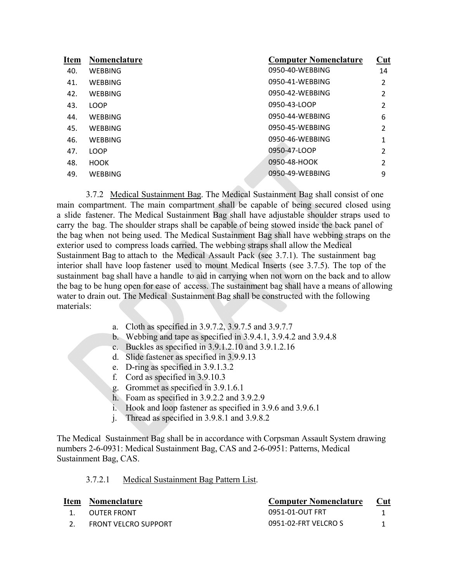| Item | <b>Nomenclature</b> | <b>Computer Nomenclature</b> | Cut                      |
|------|---------------------|------------------------------|--------------------------|
| 40.  | <b>WEBBING</b>      | 0950-40-WEBBING              | 14                       |
| 41.  | WEBBING             | 0950-41-WEBBING              | 2                        |
| 42.  | <b>WEBBING</b>      | 0950-42-WEBBING              | 2                        |
| 43.  | <b>LOOP</b>         | 0950-43-LOOP                 | $\overline{\phantom{a}}$ |
| 44.  | <b>WEBBING</b>      | 0950-44-WEBBING              | 6                        |
| 45.  | <b>WEBBING</b>      | 0950-45-WEBBING              | 2                        |
| 46.  | <b>WEBBING</b>      | 0950-46-WEBBING              | $\mathbf{1}$             |
| 47.  | <b>LOOP</b>         | 0950-47-LOOP                 | 2                        |
| 48.  | <b>HOOK</b>         | 0950-48-HOOK                 | $\overline{\phantom{a}}$ |
| 49.  | WEBBING             | 0950-49-WEBBING              | 9                        |
|      |                     |                              |                          |

3.7.2 Medical Sustainment Bag. The Medical Sustainment Bag shall consist of one main compartment. The main compartment shall be capable of being secured closed using a slide fastener. The Medical Sustainment Bag shall have adjustable shoulder straps used to carry the bag. The shoulder straps shall be capable of being stowed inside the back panel of the bag when not being used. The Medical Sustainment Bag shall have webbing straps on the exterior used to compress loads carried. The webbing straps shall allow the Medical Sustainment Bag to attach to the Medical Assault Pack (see 3.7.1). The sustainment bag interior shall have loop fastener used to mount Medical Inserts (see 3.7.5). The top of the sustainment bag shall have a handle to aid in carrying when not worn on the back and to allow the bag to be hung open for ease of access. The sustainment bag shall have a means of allowing water to drain out. The Medical Sustainment Bag shall be constructed with the following materials:

- a. Cloth as specified in 3.9.7.2, 3.9.7.5 and 3.9.7.7
- b. Webbing and tape as specified in 3.9.4.1, 3.9.4.2 and 3.9.4.8
- c. Buckles as specified in 3.9.1.2.10 and 3.9.1.2.16
- d. Slide fastener as specified in 3.9.9.13
- e. D-ring as specified in 3.9.1.3.2
- f. Cord as specified in 3.9.10.3
- g. Grommet as specified in 3.9.1.6.1
- h. Foam as specified in 3.9.2.2 and 3.9.2.9
- i. Hook and loop fastener as specified in 3.9.6 and 3.9.6.1
- j. Thread as specified in 3.9.8.1 and 3.9.8.2

The Medical Sustainment Bag shall be in accordance with Corpsman Assault System drawing numbers 2-6-0931: Medical Sustainment Bag, CAS and 2-6-0951: Patterns, Medical Sustainment Bag, CAS.

#### 3.7.2.1 Medical Sustainment Bag Pattern List.

|    | Item Nomenclature    | <b>Computer Nomenclature</b> | Cut |
|----|----------------------|------------------------------|-----|
| 1. | OUTER FRONT          | 0951-01-OUT FRT              |     |
|    | FRONT VELCRO SUPPORT | 0951-02-FRT VELCRO S         |     |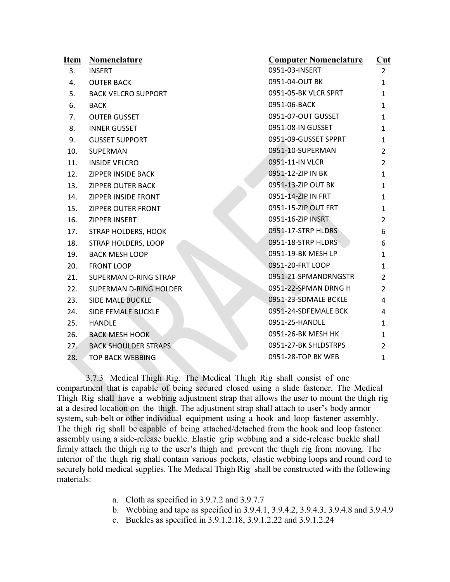| Item | <b>Nomenclature</b>           | <b>Computer Nomenclature</b> | $Cut$          |
|------|-------------------------------|------------------------------|----------------|
| 3.   | <b>INSERT</b>                 | 0951-03-INSERT               | $\overline{2}$ |
| 4.   | <b>OUTER BACK</b>             | 0951-04-OUT BK               | $\mathbf{1}$   |
| 5.   | <b>BACK VELCRO SUPPORT</b>    | 0951-05-BK VLCR SPRT         | $\mathbf{1}$   |
| 6.   | <b>BACK</b>                   | 0951-06-BACK                 | $\mathbf{1}$   |
| 7.   | <b>OUTER GUSSET</b>           | 0951-07-OUT GUSSET           | $\mathbf{1}$   |
| 8.   | <b>INNER GUSSET</b>           | 0951-08-IN GUSSET            | $\mathbf{1}$   |
| 9.   | <b>GUSSET SUPPORT</b>         | 0951-09-GUSSET SPPRT         | $\mathbf{1}$   |
| 10.  | SUPERMAN                      | 0951-10-SUPERMAN             | $\overline{2}$ |
| 11.  | <b>INSIDE VELCRO</b>          | 0951-11-IN VLCR              | $\overline{2}$ |
| 12.  | <b>ZIPPER INSIDE BACK</b>     | 0951-12-ZIP IN BK            | $\mathbf{1}$   |
| 13.  | <b>ZIPPER OUTER BACK</b>      | 0951-13-ZIP OUT BK           | $\mathbf{1}$   |
| 14.  | ZIPPER INSIDE FRONT           | 0951-14-ZIP IN FRT           | $\mathbf{1}$   |
| 15.  | ZIPPER OUTER FRONT            | 0951-15-ZIP OUT FRT          | $\mathbf{1}$   |
| 16.  | ZIPPER INSERT                 | 0951-16-ZIP INSRT            | $\overline{2}$ |
| 17.  | <b>STRAP HOLDERS, HOOK</b>    | 0951-17-STRP HLDRS           | 6              |
| 18.  | STRAP HOLDERS, LOOP           | 0951-18-STRP HLDRS           | 6              |
| 19.  | <b>BACK MESH LOOP</b>         | 0951-19-BK MESH LP           | $\mathbf{1}$   |
| 20.  | <b>FRONT LOOP</b>             | 0951-20-FRT LOOP             | $\mathbf{1}$   |
| 21.  | SUPERMAN D-RING STRAP         | 0951-21-SPMANDRNGSTR         | 2              |
| 22.  | <b>SUPERMAN D-RING HOLDER</b> | 0951-22-SPMAN DRNG H         | $\overline{2}$ |
| 23.  | <b>SIDE MALE BUCKLE</b>       | 0951-23-SDMALE BCKLE         | 4              |
| 24.  | SIDE FEMALE BUCKLE            | 0951-24-SDFEMALE BCK         | 4              |
| 25.  | <b>HANDLE</b>                 | 0951-25-HANDLE               | 1              |
| 26.  | <b>BACK MESH HOOK</b>         | 0951-26-BK MESH HK           | $\mathbf{1}$   |
| 27.  | <b>BACK SHOULDER STRAPS</b>   | 0951-27-BK SHLDSTRPS         | 2              |
| 28.  | <b>TOP BACK WEBBING</b>       | 0951-28-TOP BK WEB           | $\mathbf{1}$   |

3.7.3 Medical Thigh Rig. The Medical Thigh Rig shall consist of one compartment that is capable of being secured closed using a slide fastener. The Medical Thigh Rig shall have a webbing adjustment strap that allows the user to mount the thigh rig at a desired location on the thigh. The adjustment strap shall attach to user's body armor system, sub-belt or other individual equipment using a hook and loop fastener assembly. The thigh rig shall be capable of being attached/detached from the hook and loop fastener assembly using a side-release buckle. Elastic grip webbing and a side-release buckle shall firmly attach the thigh rig to the user's thigh and prevent the thigh rig from moving. The interior of the thigh rig shall contain various pockets, elastic webbing loops and round cord to securely hold medical supplies. The Medical Thigh Rig shall be constructed with the following materials:

- a. Cloth as specified in 3.9.7.2 and 3.9.7.7
- b. Webbing and tape as specified in 3.9.4.1, 3.9.4.2, 3.9.4.3, 3.9.4.8 and 3.9.4.9
- c. Buckles as specified in 3.9.1.2.18, 3.9.1.2.22 and 3.9.1.2.24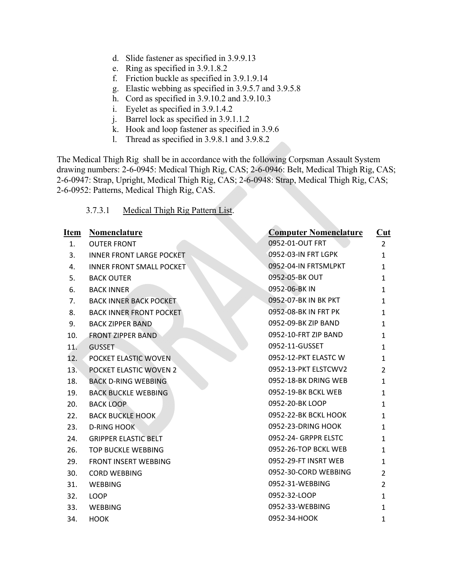- d. Slide fastener as specified in 3.9.9.13
- e. Ring as specified in 3.9.1.8.2
- f. Friction buckle as specified in 3.9.1.9.14
- g. Elastic webbing as specified in 3.9.5.7 and 3.9.5.8
- h. Cord as specified in 3.9.10.2 and 3.9.10.3
- i. Eyelet as specified in 3.9.1.4.2
- j. Barrel lock as specified in 3.9.1.1.2
- k. Hook and loop fastener as specified in 3.9.6
- l. Thread as specified in 3.9.8.1 and 3.9.8.2

The Medical Thigh Rig shall be in accordance with the following Corpsman Assault System drawing numbers: 2-6-0945: Medical Thigh Rig, CAS; 2-6-0946: Belt, Medical Thigh Rig, CAS; 2-6-0947: Strap, Upright, Medical Thigh Rig, CAS; 2-6-0948: Strap, Medical Thigh Rig, CAS; 2-6-0952: Patterns, Medical Thigh Rig, CAS.

## 3.7.3.1 Medical Thigh Rig Pattern List.

| Item | Nomenclature                    | <b>Computer Nomenclature</b> | $\overline{\text{Cut}}$ |
|------|---------------------------------|------------------------------|-------------------------|
| 1.   | <b>OUTER FRONT</b>              | 0952-01-OUT FRT              | $\overline{2}$          |
| 3.   | <b>INNER FRONT LARGE POCKET</b> | 0952-03-IN FRT LGPK          | $\mathbf{1}$            |
| 4.   | <b>INNER FRONT SMALL POCKET</b> | 0952-04-IN FRTSMLPKT         | $\mathbf{1}$            |
| 5.   | <b>BACK OUTER</b>               | 0952-05-BK OUT               | 1                       |
| 6.   | <b>BACK INNER</b>               | 0952-06-BK IN                | $\mathbf{1}$            |
| 7.   | <b>BACK INNER BACK POCKET</b>   | 0952-07-BK IN BK PKT         | $\mathbf{1}$            |
| 8.   | <b>BACK INNER FRONT POCKET</b>  | 0952-08-BK IN FRT PK         | $\mathbf{1}$            |
| 9.   | <b>BACK ZIPPER BAND</b>         | 0952-09-BK ZIP BAND          | $\mathbf{1}$            |
| 10.  | <b>FRONT ZIPPER BAND</b>        | 0952-10-FRT ZIP BAND         | $\mathbf{1}$            |
| 11.  | <b>GUSSET</b>                   | 0952-11-GUSSET               | $\mathbf{1}$            |
| 12.  | POCKET ELASTIC WOVEN            | 0952-12-PKT ELASTC W         | 1                       |
| 13.  | POCKET ELASTIC WOVEN 2          | 0952-13-PKT ELSTCWV2         | $\overline{2}$          |
| 18.  | <b>BACK D-RING WEBBING</b>      | 0952-18-BK DRING WEB         | $\mathbf{1}$            |
| 19.  | <b>BACK BUCKLE WEBBING</b>      | 0952-19-BK BCKL WEB          | $\mathbf{1}$            |
| 20.  | <b>BACK LOOP</b>                | 0952-20-BK LOOP              | $\mathbf{1}$            |
| 22.  | <b>BACK BUCKLE HOOK</b>         | 0952-22-BK BCKL HOOK         | 1                       |
| 23.  | <b>D-RING HOOK</b>              | 0952-23-DRING HOOK           | $\mathbf{1}$            |
| 24.  | <b>GRIPPER ELASTIC BELT</b>     | 0952-24- GRPPR ELSTC         | 1                       |
| 26.  | <b>TOP BUCKLE WEBBING</b>       | 0952-26-TOP BCKL WEB         | $\mathbf{1}$            |
| 29.  | <b>FRONT INSERT WEBBING</b>     | 0952-29-FT INSRT WEB         | 1                       |
| 30.  | <b>CORD WEBBING</b>             | 0952-30-CORD WEBBING         | $\overline{2}$          |
| 31.  | <b>WEBBING</b>                  | 0952-31-WEBBING              | $\overline{2}$          |
| 32.  | <b>LOOP</b>                     | 0952-32-LOOP                 | $\mathbf{1}$            |
| 33.  | <b>WEBBING</b>                  | 0952-33-WEBBING              | 1                       |
| 34.  | <b>HOOK</b>                     | 0952-34-HOOK                 | $\mathbf{1}$            |
|      |                                 |                              |                         |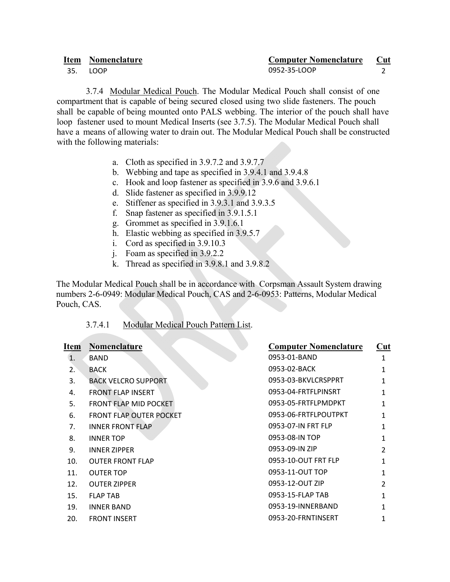|     | Item Nomenclature | <b>Computer Nomenclature</b> | Cut |
|-----|-------------------|------------------------------|-----|
| 35. | LOOP.             | 0952-35-LOOP                 |     |

3.7.4 Modular Medical Pouch. The Modular Medical Pouch shall consist of one compartment that is capable of being secured closed using two slide fasteners. The pouch shall be capable of being mounted onto PALS webbing. The interior of the pouch shall have loop fastener used to mount Medical Inserts (see 3.7.5). The Modular Medical Pouch shall have a means of allowing water to drain out. The Modular Medical Pouch shall be constructed with the following materials:

- a. Cloth as specified in 3.9.7.2 and 3.9.7.7
- b. Webbing and tape as specified in 3.9.4.1 and 3.9.4.8
- c. Hook and loop fastener as specified in 3.9.6 and 3.9.6.1
- d. Slide fastener as specified in 3.9.9.12
- e. Stiffener as specified in 3.9.3.1 and 3.9.3.5
- f. Snap fastener as specified in 3.9.1.5.1
- g. Grommet as specified in 3.9.1.6.1
- h. Elastic webbing as specified in 3.9.5.7
- i. Cord as specified in 3.9.10.3
- j. Foam as specified in 3.9.2.2
- k. Thread as specified in 3.9.8.1 and 3.9.8.2

The Modular Medical Pouch shall be in accordance with Corpsman Assault System drawing numbers 2-6-0949: Modular Medical Pouch, CAS and 2-6-0953: Patterns, Modular Medical Pouch, CAS.

3.7.4.1 Modular Medical Pouch Pattern List.

| Item | Nomenclature                   | <b>Computer Nomenclature</b> | Cut            |
|------|--------------------------------|------------------------------|----------------|
| 1.   | <b>BAND</b>                    | 0953-01-BAND                 | 1              |
| 2.   | <b>BACK</b>                    | 0953-02-BACK                 | 1              |
| 3.   | <b>BACK VELCRO SUPPORT</b>     | 0953-03-BKVLCRSPPRT          | 1              |
| 4.   | <b>FRONT ELAP INSERT</b>       | 0953-04-FRTFLPINSRT          | 1              |
| 5.   | FRONT FLAP MID POCKET          | 0953-05-FRTFLPMDPKT          | 1              |
| 6.   | <b>FRONT FLAP OUTER POCKET</b> | 0953-06-FRTFLPOUTPKT         | 1              |
| 7.   | <b>INNER FRONT FLAP</b>        | 0953-07-IN FRT FLP           | 1              |
| 8.   | <b>INNER TOP</b>               | 0953-08-IN TOP               | 1              |
| 9.   | <b>INNER ZIPPER</b>            | 0953-09-IN ZIP               | $\mathfrak{p}$ |
| 10.  | <b>OUTER FRONT FLAP</b>        | 0953-10-OUT FRT FLP          | 1              |
| 11.  | <b>OUTER TOP</b>               | 0953-11-OUT TOP              | 1              |
| 12.  | <b>OUTER ZIPPER</b>            | 0953-12-OUT ZIP              | $\mathfrak{p}$ |
| 15.  | <b>FLAP TAB</b>                | 0953-15-FLAP TAB             | 1              |
| 19.  | <b>INNER BAND</b>              | 0953-19-INNERBAND            | 1              |
| 20.  | <b>FRONT INSERT</b>            | 0953-20-FRNTINSERT           | 1              |
|      |                                |                              |                |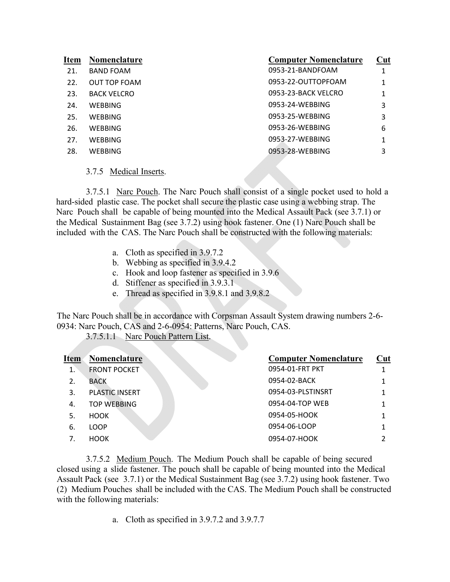| <b>Item</b> | Nomenclature       | <b>Computer Nomenclature</b> | Cut |
|-------------|--------------------|------------------------------|-----|
| 21.         | <b>BAND FOAM</b>   | 0953-21-BANDFOAM             |     |
| 22.         | OUT TOP FOAM       | 0953-22-OUTTOPFOAM           | 1   |
| 23.         | <b>BACK VELCRO</b> | 0953-23-BACK VELCRO          | 1   |
| 24.         | WEBBING            | 0953-24-WEBBING              | 3   |
| 25.         | WEBBING            | 0953-25-WEBBING              | 3   |
| 26.         | <b>WEBBING</b>     | 0953-26-WEBBING              | 6   |
| 27.         | WEBBING            | 0953-27-WEBBING              | 1   |
| 28.         | <b>WEBBING</b>     | 0953-28-WEBBING              | 3   |
|             |                    |                              |     |

#### 3.7.5 Medical Inserts.

3.7.5.1 Narc Pouch. The Narc Pouch shall consist of a single pocket used to hold a hard-sided plastic case. The pocket shall secure the plastic case using a webbing strap. The Narc Pouch shall be capable of being mounted into the Medical Assault Pack (see 3.7.1) or the Medical Sustainment Bag (see 3.7.2) using hook fastener. One (1) Narc Pouch shall be included with the CAS. The Narc Pouch shall be constructed with the following materials:

- a. Cloth as specified in 3.9.7.2
- b. Webbing as specified in 3.9.4.2
- c. Hook and loop fastener as specified in 3.9.6
- d. Stiffener as specified in 3.9.3.1
- e. Thread as specified in 3.9.8.1 and 3.9.8.2

The Narc Pouch shall be in accordance with Corpsman Assault System drawing numbers 2-6- 0934: Narc Pouch, CAS and 2-6-0954: Patterns, Narc Pouch, CAS.

3.7.5.1.1 Narc Pouch Pattern List.

| <b>Item</b> | <b>Nomenclature</b>   | <b>Computer Nomenclature</b> | Cut |
|-------------|-----------------------|------------------------------|-----|
| 1.          | <b>FRONT POCKET</b>   | 0954-01-FRT PKT              |     |
| 2.          | <b>BACK</b>           | 0954-02-BACK                 |     |
| 3.          | <b>PLASTIC INSERT</b> | 0954-03-PLSTINSRT            |     |
| 4.          | <b>TOP WEBBING</b>    | 0954-04-TOP WEB              |     |
| 5.          | <b>HOOK</b>           | 0954-05-HOOK                 |     |
| 6.          | <b>LOOP</b>           | 0954-06-LOOP                 |     |
|             | <b>HOOK</b>           | 0954-07-HOOK                 |     |
|             |                       |                              |     |

3.7.5.2 Medium Pouch. The Medium Pouch shall be capable of being secured closed using a slide fastener. The pouch shall be capable of being mounted into the Medical Assault Pack (see 3.7.1) or the Medical Sustainment Bag (see 3.7.2) using hook fastener. Two (2) Medium Pouches shall be included with the CAS. The Medium Pouch shall be constructed with the following materials:

a. Cloth as specified in 3.9.7.2 and 3.9.7.7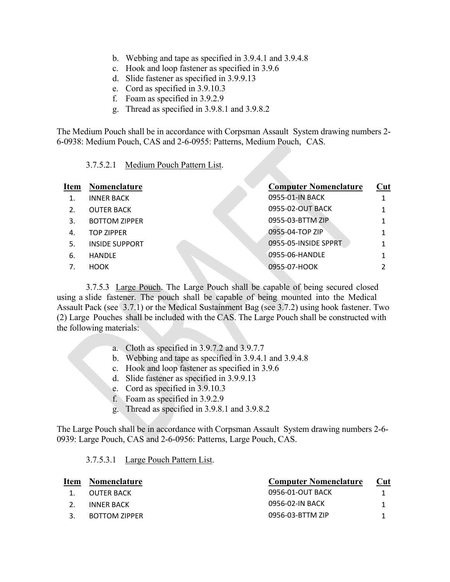- b. Webbing and tape as specified in 3.9.4.1 and 3.9.4.8
- c. Hook and loop fastener as specified in 3.9.6
- d. Slide fastener as specified in 3.9.9.13
- e. Cord as specified in 3.9.10.3
- f. Foam as specified in 3.9.2.9
- g. Thread as specified in 3.9.8.1 and 3.9.8.2

The Medium Pouch shall be in accordance with Corpsman Assault System drawing numbers 2- 6-0938: Medium Pouch, CAS and 2-6-0955: Patterns, Medium Pouch, CAS.

3.7.5.2.1 Medium Pouch Pattern List.

| <b>Item</b>      | Nomenclature          | <b>Computer Nomenclature</b> | Cut |
|------------------|-----------------------|------------------------------|-----|
|                  | <b>INNER BACK</b>     | 0955-01-IN BACK              |     |
| $\mathfrak{D}$ . | <b>OUTER BACK</b>     | 0955-02-OUT BACK             |     |
| 3.               | <b>BOTTOM ZIPPER</b>  | 0955-03-BTTM ZIP             |     |
| 4.               | <b>TOP ZIPPER</b>     | 0955-04-TOP ZIP              |     |
| 5.               | <b>INSIDE SUPPORT</b> | 0955-05-INSIDE SPPRT         |     |
| 6.               | <b>HANDLE</b>         | 0955-06-HANDLE               |     |
| 7.               | <b>HOOK</b>           | 0955-07-HOOK                 |     |
|                  |                       |                              |     |

3.7.5.3 Large Pouch. The Large Pouch shall be capable of being secured closed using a slide fastener. The pouch shall be capable of being mounted into the Medical Assault Pack (see 3.7.1) or the Medical Sustainment Bag (see 3.7.2) using hook fastener. Two (2) Large Pouches shall be included with the CAS. The Large Pouch shall be constructed with the following materials:

- a. Cloth as specified in 3.9.7.2 and 3.9.7.7
- b. Webbing and tape as specified in 3.9.4.1 and 3.9.4.8
- c. Hook and loop fastener as specified in 3.9.6
- d. Slide fastener as specified in 3.9.9.13
- e. Cord as specified in 3.9.10.3
- f. Foam as specified in 3.9.2.9
- g. Thread as specified in 3.9.8.1 and 3.9.8.2

The Large Pouch shall be in accordance with Corpsman Assault System drawing numbers 2-6- 0939: Large Pouch, CAS and 2-6-0956: Patterns, Large Pouch, CAS.

#### 3.7.5.3.1 Large Pouch Pattern List.

| Item | Nomenclature  | <b>Computer Nomenclature</b> | Cut |
|------|---------------|------------------------------|-----|
|      | OUTER BACK    | 0956-01-OUT BACK             |     |
|      | INNER BACK    | 0956-02-IN BACK              |     |
|      | BOTTOM ZIPPER | 0956-03-BTTM ZIP             |     |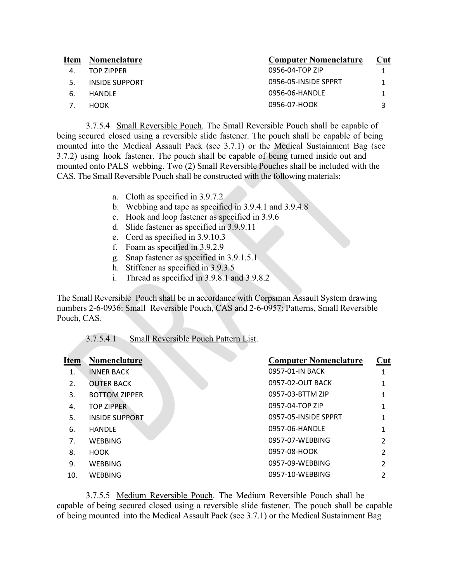| <b>Nomenclature</b> | <b>Computer Nomenclature</b> | <b>Cut</b> |
|---------------------|------------------------------|------------|
| TOP ZIPPER          | 0956-04-TOP ZIP              |            |
| INSIDE SUPPORT      | 0956-05-INSIDE SPPRT         |            |
| HANDLE              | 0956-06-HANDLE               |            |
| <b>HOOK</b>         | 0956-07-HOOK                 |            |
|                     |                              |            |

3.7.5.4 Small Reversible Pouch. The Small Reversible Pouch shall be capable of being secured closed using a reversible slide fastener. The pouch shall be capable of being mounted into the Medical Assault Pack (see 3.7.1) or the Medical Sustainment Bag (see 3.7.2) using hook fastener. The pouch shall be capable of being turned inside out and mounted onto PALS webbing. Two (2) Small Reversible Pouches shall be included with the CAS. The Small Reversible Pouch shall be constructed with the following materials:

- a. Cloth as specified in 3.9.7.2
- b. Webbing and tape as specified in 3.9.4.1 and 3.9.4.8
- c. Hook and loop fastener as specified in 3.9.6
- d. Slide fastener as specified in 3.9.9.11
- e. Cord as specified in 3.9.10.3
- f. Foam as specified in 3.9.2.9
- g. Snap fastener as specified in 3.9.1.5.1
- h. Stiffener as specified in 3.9.3.5
- i. Thread as specified in 3.9.8.1 and 3.9.8.2

The Small Reversible Pouch shall be in accordance with Corpsman Assault System drawing numbers 2-6-0936: Small Reversible Pouch, CAS and 2-6-0957: Patterns, Small Reversible Pouch, CAS.

#### 3.7.5.4.1 Small Reversible Pouch Pattern List.

| Item | <b>Nomenclature</b>   | <b>Computer Nomenclature</b> | $Cut$         |
|------|-----------------------|------------------------------|---------------|
| 1.   | <b>INNER BACK</b>     | 0957-01-IN BACK              |               |
| 2.   | <b>OUTER BACK</b>     | 0957-02-OUT BACK             |               |
| 3.   | <b>BOTTOM ZIPPER</b>  | 0957-03-BTTM ZIP             | 1             |
| 4.   | <b>TOP ZIPPER</b>     | 0957-04-TOP ZIP              |               |
| 5.   | <b>INSIDE SUPPORT</b> | 0957-05-INSIDE SPPRT         |               |
| 6.   | <b>HANDLE</b>         | 0957-06-HANDLE               | 1             |
| 7.   | <b>WEBBING</b>        | 0957-07-WEBBING              | $\mathfrak z$ |
| 8.   | <b>HOOK</b>           | 0957-08-HOOK                 | $\mathfrak z$ |
| 9.   | <b>WEBBING</b>        | 0957-09-WEBBING              | C             |
| 10.  | <b>WEBBING</b>        | 0957-10-WEBBING              | 2             |
|      |                       |                              |               |

3.7.5.5 Medium Reversible Pouch. The Medium Reversible Pouch shall be capable of being secured closed using a reversible slide fastener. The pouch shall be capable of being mounted into the Medical Assault Pack (see 3.7.1) or the Medical Sustainment Bag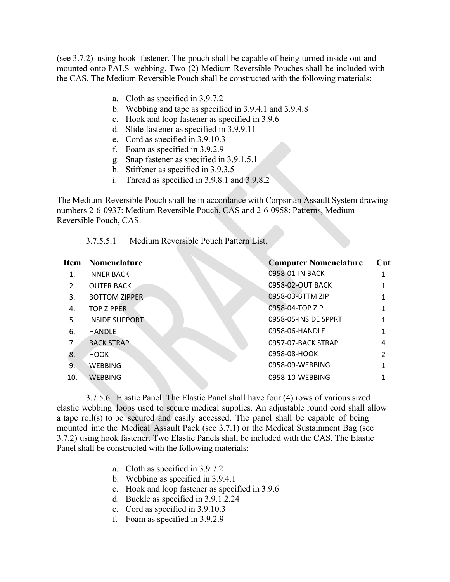(see 3.7.2) using hook fastener. The pouch shall be capable of being turned inside out and mounted onto PALS webbing. Two (2) Medium Reversible Pouches shall be included with the CAS. The Medium Reversible Pouch shall be constructed with the following materials:

- a. Cloth as specified in 3.9.7.2
- b. Webbing and tape as specified in 3.9.4.1 and 3.9.4.8
- c. Hook and loop fastener as specified in 3.9.6
- d. Slide fastener as specified in 3.9.9.11
- e. Cord as specified in 3.9.10.3
- f. Foam as specified in 3.9.2.9
- g. Snap fastener as specified in 3.9.1.5.1
- h. Stiffener as specified in 3.9.3.5
- i. Thread as specified in 3.9.8.1 and 3.9.8.2

The Medium Reversible Pouch shall be in accordance with Corpsman Assault System drawing numbers 2-6-0937: Medium Reversible Pouch, CAS and 2-6-0958: Patterns, Medium Reversible Pouch, CAS.

#### 3.7.5.5.1 Medium Reversible Pouch Pattern List.

| Item | Nomenclature          | <b>Computer Nomenclature</b> | Cut |
|------|-----------------------|------------------------------|-----|
| 1.   | <b>INNER BACK</b>     | 0958-01-IN BACK              |     |
| 2.   | <b>OUTER BACK</b>     | 0958-02-OUT BACK             |     |
| 3.   | <b>BOTTOM ZIPPER</b>  | 0958-03-BTTM ZIP             |     |
| 4.   | <b>TOP ZIPPER</b>     | 0958-04-TOP ZIP              |     |
| 5.   | <b>INSIDE SUPPORT</b> | 0958-05-INSIDE SPPRT         |     |
| 6.   | <b>HANDLE</b>         | 0958-06-HANDLE               |     |
| 7.   | <b>BACK STRAP</b>     | 0957-07-BACK STRAP           | 4   |
| 8.   | <b>HOOK</b>           | 0958-08-HOOK                 | 2   |
| 9.   | <b>WEBBING</b>        | 0958-09-WEBBING              |     |
| 10.  | <b>WEBBING</b>        | 0958-10-WEBBING              |     |
|      |                       |                              |     |

3.7.5.6 Elastic Panel. The Elastic Panel shall have four (4) rows of various sized elastic webbing loops used to secure medical supplies. An adjustable round cord shall allow a tape roll(s) to be secured and easily accessed. The panel shall be capable of being mounted into the Medical Assault Pack (see 3.7.1) or the Medical Sustainment Bag (see 3.7.2) using hook fastener. Two Elastic Panels shall be included with the CAS. The Elastic Panel shall be constructed with the following materials:

- a. Cloth as specified in 3.9.7.2
- b. Webbing as specified in 3.9.4.1
- c. Hook and loop fastener as specified in 3.9.6
- d. Buckle as specified in 3.9.1.2.24
- e. Cord as specified in 3.9.10.3
- f. Foam as specified in 3.9.2.9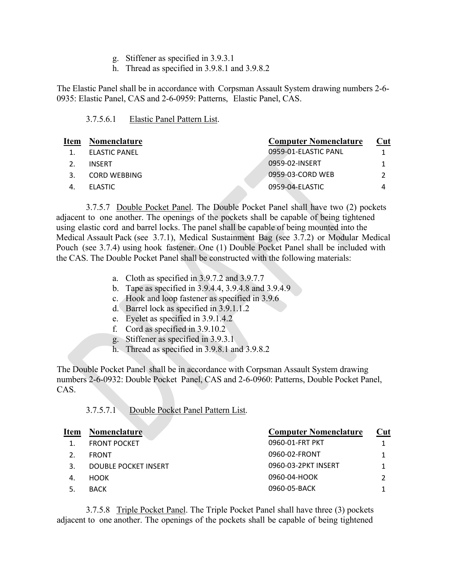- g. Stiffener as specified in 3.9.3.1
- h. Thread as specified in 3.9.8.1 and 3.9.8.2

The Elastic Panel shall be in accordance with Corpsman Assault System drawing numbers 2-6- 0935: Elastic Panel, CAS and 2-6-0959: Patterns, Elastic Panel, CAS.

| 3.7.5.6.1 | Elastic Panel Pattern List. |
|-----------|-----------------------------|
|           |                             |

| Item | Nomenclature        | <b>Computer Nomenclature</b> | Cut |
|------|---------------------|------------------------------|-----|
|      | ELASTIC PANEL       | 0959-01-ELASTIC PANL         |     |
|      | <b>INSERT</b>       | 0959-02-INSERT               |     |
|      | <b>CORD WEBBING</b> | 0959-03-CORD WEB             |     |
|      | <b>ELASTIC</b>      | 0959-04-ELASTIC              | 4   |
|      |                     |                              |     |

3.7.5.7 Double Pocket Panel. The Double Pocket Panel shall have two (2) pockets adjacent to one another. The openings of the pockets shall be capable of being tightened using elastic cord and barrel locks. The panel shall be capable of being mounted into the Medical Assault Pack (see 3.7.1), Medical Sustainment Bag (see 3.7.2) or Modular Medical Pouch (see 3.7.4) using hook fastener. One (1) Double Pocket Panel shall be included with the CAS. The Double Pocket Panel shall be constructed with the following materials:

- a. Cloth as specified in 3.9.7.2 and 3.9.7.7
- b. Tape as specified in 3.9.4.4, 3.9.4.8 and 3.9.4.9
- c. Hook and loop fastener as specified in 3.9.6
- d. Barrel lock as specified in 3.9.1.1.2
- e. Eyelet as specified in 3.9.1.4.2
- f. Cord as specified in 3.9.10.2
- g. Stiffener as specified in 3.9.3.1
- h. Thread as specified in 3.9.8.1 and 3.9.8.2

The Double Pocket Panel shall be in accordance with Corpsman Assault System drawing numbers 2-6-0932: Double Pocket Panel, CAS and 2-6-0960: Patterns, Double Pocket Panel, CAS.

|  | 3.7.5.7.1 | Double Pocket Panel Pattern List. |  |  |
|--|-----------|-----------------------------------|--|--|
|  |           |                                   |  |  |

| <b>Item</b> | <b>Nomenclature</b>  | <b>Computer Nomenclature</b> | Cut |
|-------------|----------------------|------------------------------|-----|
|             | <b>FRONT POCKET</b>  | 0960-01-FRT PKT              |     |
|             | <b>FRONT</b>         | 0960-02-FRONT                |     |
|             | DOUBLE POCKET INSERT | 0960-03-2PKT INSERT          |     |
| 4.          | <b>HOOK</b>          | 0960-04-HOOK                 |     |
|             | <b>BACK</b>          | 0960-05-BACK                 |     |
|             |                      |                              |     |

3.7.5.8 Triple Pocket Panel. The Triple Pocket Panel shall have three (3) pockets adjacent to one another. The openings of the pockets shall be capable of being tightened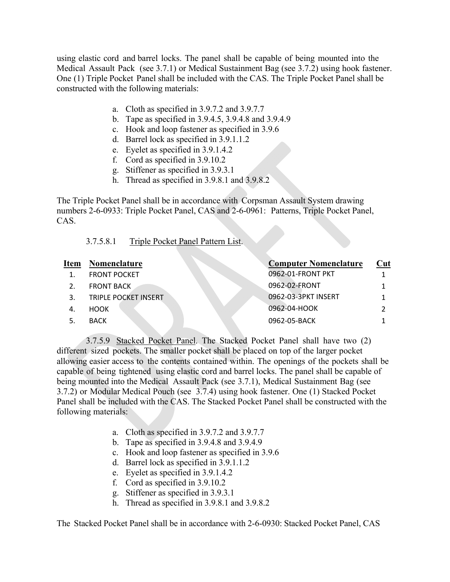using elastic cord and barrel locks. The panel shall be capable of being mounted into the Medical Assault Pack (see 3.7.1) or Medical Sustainment Bag (see 3.7.2) using hook fastener. One (1) Triple Pocket Panel shall be included with the CAS. The Triple Pocket Panel shall be constructed with the following materials:

- a. Cloth as specified in 3.9.7.2 and 3.9.7.7
- b. Tape as specified in 3.9.4.5, 3.9.4.8 and 3.9.4.9
- c. Hook and loop fastener as specified in 3.9.6
- d. Barrel lock as specified in 3.9.1.1.2
- e. Eyelet as specified in 3.9.1.4.2
- f. Cord as specified in 3.9.10.2
- g. Stiffener as specified in 3.9.3.1
- h. Thread as specified in 3.9.8.1 and 3.9.8.2

The Triple Pocket Panel shall be in accordance with Corpsman Assault System drawing numbers 2-6-0933: Triple Pocket Panel, CAS and 2-6-0961: Patterns, Triple Pocket Panel, CAS.

#### 3.7.5.8.1 Triple Pocket Panel Pattern List.

| <b>Item</b> | Nomenclature         | <b>Computer Nomenclature</b> | Cut |
|-------------|----------------------|------------------------------|-----|
|             | <b>FRONT POCKET</b>  | 0962-01-FRONT PKT            |     |
|             | <b>FRONT BACK</b>    | 0962-02-FRONT                |     |
|             | TRIPLE POCKET INSERT | 0962-03-3PKT INSERT          |     |
|             | <b>HOOK</b>          | 0962-04-HOOK                 |     |
|             | <b>BACK</b>          | 0962-05-BACK                 |     |

3.7.5.9 Stacked Pocket Panel. The Stacked Pocket Panel shall have two (2) different sized pockets. The smaller pocket shall be placed on top of the larger pocket allowing easier access to the contents contained within. The openings of the pockets shall be capable of being tightened using elastic cord and barrel locks. The panel shall be capable of being mounted into the Medical Assault Pack (see 3.7.1), Medical Sustainment Bag (see 3.7.2) or Modular Medical Pouch (see 3.7.4) using hook fastener. One (1) Stacked Pocket Panel shall be included with the CAS. The Stacked Pocket Panel shall be constructed with the following materials:

- a. Cloth as specified in 3.9.7.2 and 3.9.7.7
- b. Tape as specified in 3.9.4.8 and 3.9.4.9
- c. Hook and loop fastener as specified in 3.9.6
- d. Barrel lock as specified in 3.9.1.1.2
- e. Eyelet as specified in 3.9.1.4.2
- f. Cord as specified in 3.9.10.2
- g. Stiffener as specified in 3.9.3.1
- h. Thread as specified in 3.9.8.1 and 3.9.8.2

The Stacked Pocket Panel shall be in accordance with 2-6-0930: Stacked Pocket Panel, CAS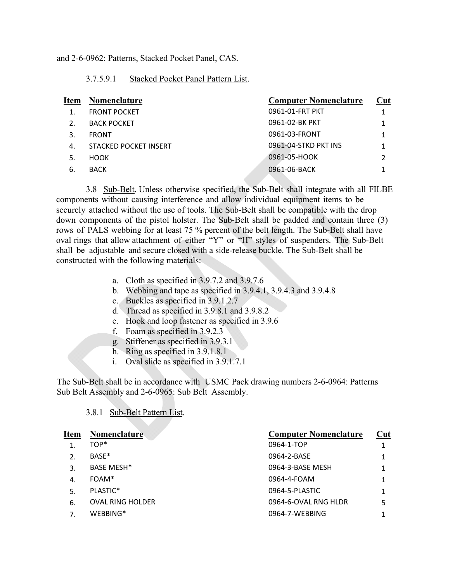and 2-6-0962: Patterns, Stacked Pocket Panel, CAS.

#### 3.7.5.9.1 Stacked Pocket Panel Pattern List.

| <b>Item</b>      | <b>Nomenclature</b>   | <b>Computer Nomenclature</b> | Cut |
|------------------|-----------------------|------------------------------|-----|
|                  | <b>FRONT POCKET</b>   | 0961-01-FRT PKT              |     |
| $\mathfrak{D}$ . | <b>BACK POCKET</b>    | 0961-02-BK PKT               |     |
| 3.               | <b>FRONT</b>          | 0961-03-FRONT                |     |
| 4.               | STACKED POCKET INSERT | 0961-04-STKD PKT INS         |     |
| 5.               | <b>HOOK</b>           | 0961-05-HOOK                 |     |
| 6.               | <b>BACK</b>           | 0961-06-BACK                 |     |
|                  |                       |                              |     |

3.8 Sub-Belt. Unless otherwise specified, the Sub-Belt shall integrate with all FILBE components without causing interference and allow individual equipment items to be securely attached without the use of tools. The Sub-Belt shall be compatible with the drop down components of the pistol holster. The Sub-Belt shall be padded and contain three (3) rows of PALS webbing for at least 75 % percent of the belt length. The Sub-Belt shall have oval rings that allow attachment of either "Y" or "H" styles of suspenders. The Sub-Belt shall be adjustable and secure closed with a side-release buckle. The Sub-Belt shall be constructed with the following materials:

- a. Cloth as specified in 3.9.7.2 and 3.9.7.6
- b. Webbing and tape as specified in 3.9.4.1, 3.9.4.3 and 3.9.4.8
- c. Buckles as specified in 3.9.1.2.7
- d. Thread as specified in 3.9.8.1 and 3.9.8.2
- e. Hook and loop fastener as specified in 3.9.6
- f. Foam as specified in 3.9.2.3
- g. Stiffener as specified in 3.9.3.1
- h. Ring as specified in 3.9.1.8.1
- i. Oval slide as specified in 3.9.1.7.1

The Sub-Belt shall be in accordance with USMC Pack drawing numbers 2-6-0964: Patterns Sub Belt Assembly and 2-6-0965: Sub Belt Assembly.

| <b>Item</b> | <b>Nomenclature</b>     | <b>Computer Nomenclature</b> | Cut |
|-------------|-------------------------|------------------------------|-----|
|             | TOP*                    | 0964-1-TOP                   |     |
| 2.          | BASE*                   | 0964-2-BASE                  |     |
| 3.          | <b>BASE MESH*</b>       | 0964-3-BASE MESH             |     |
| 4.          | FOAM*                   | 0964-4-FOAM                  |     |
| 5.          | PLASTIC*                | 0964-5-PLASTIC               |     |
| 6.          | <b>OVAL RING HOLDER</b> | 0964-6-OVAL RNG HLDR         |     |
|             | WEBBING*                | 0964-7-WEBBING               |     |
|             |                         |                              |     |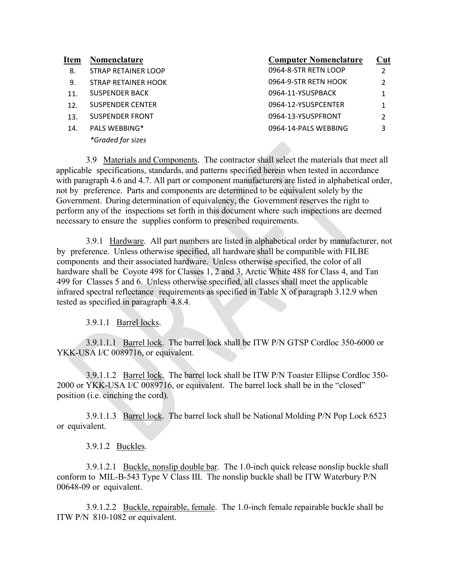| Item            | <b>Nomenclature</b>     | <b>Computer Nomenclature</b> | Cut |
|-----------------|-------------------------|------------------------------|-----|
| 8.              | STRAP RETAINER LOOP     | 0964-8-STR RETN LOOP         | っ   |
| 9.              | STRAP RETAINER HOOK     | 0964-9-STR RETN HOOK         | っ   |
| 11 <sub>1</sub> | <b>SUSPENDER BACK</b>   | 0964-11-YSUSPBACK            |     |
| 12 <sub>1</sub> | <b>SUSPENDER CENTER</b> | 0964-12-YSUSPCENTER          |     |
| 13.             | <b>SUSPENDER FRONT</b>  | 0964-13-YSUSPFRONT           |     |
| 14.             | <b>PALS WEBBING*</b>    | 0964-14-PALS WEBBING         | 3   |
|                 | *Graded for sizes       | <b>STORY</b>                 |     |

3.9 Materials and Components. The contractor shall select the materials that meet all applicable specifications, standards, and patterns specified herein when tested in accordance with paragraph 4.6 and 4.7. All part or component manufacturers are listed in alphabetical order, not by preference. Parts and components are determined to be equivalent solely by the Government. During determination of equivalency, the Government reserves the right to perform any of the inspections set forth in this document where such inspections are deemed necessary to ensure the supplies conform to prescribed requirements.

3.9.1 Hardware. All part numbers are listed in alphabetical order by manufacturer, not by preference. Unless otherwise specified, all hardware shall be compatible with FILBE components and their associated hardware. Unless otherwise specified, the color of all hardware shall be Coyote 498 for Classes 1, 2 and 3, Arctic White 488 for Class 4, and Tan 499 for Classes 5 and 6. Unless otherwise specified, all classes shall meet the applicable infrared spectral reflectance requirements as specified in Table X of paragraph 3.12.9 when tested as specified in paragraph 4.8.4.

3.9.1.1 Barrel locks.

3.9.1.1.1 Barrel lock. The barrel lock shall be ITW P/N GTSP Cordloc 350-6000 or YKK-USA I/C 0089716, or equivalent.

3.9.1.1.2 Barrel lock. The barrel lock shall be ITW P/N Toaster Ellipse Cordloc 350- 2000 or YKK-USA I/C 0089716, or equivalent. The barrel lock shall be in the "closed" position (i.e. cinching the cord).

3.9.1.1.3 Barrel lock. The barrel lock shall be National Molding P/N Pop Lock 6523 or equivalent.

3.9.1.2 Buckles.

3.9.1.2.1 Buckle, nonslip double bar. The 1.0-inch quick release nonslip buckle shall conform to MIL-B-543 Type V Class III. The nonslip buckle shall be ITW Waterbury P/N 00648-09 or equivalent.

3.9.1.2.2 Buckle, repairable, female. The 1.0-inch female repairable buckle shall be ITW P/N 810-1082 or equivalent.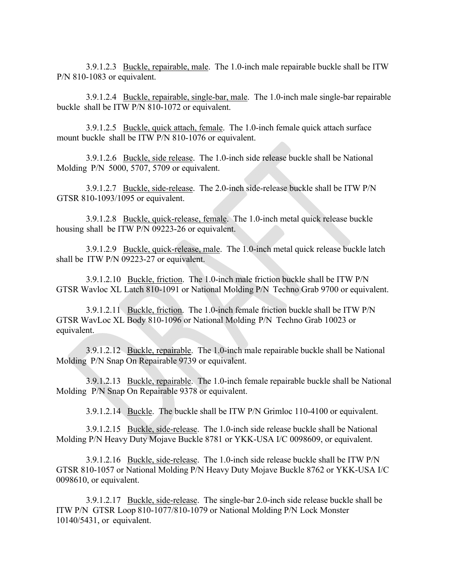3.9.1.2.3 Buckle, repairable, male. The 1.0-inch male repairable buckle shall be ITW P/N 810-1083 or equivalent.

3.9.1.2.4 Buckle, repairable, single-bar, male. The 1.0-inch male single-bar repairable buckle shall be ITW P/N 810-1072 or equivalent.

3.9.1.2.5 Buckle, quick attach, female. The 1.0-inch female quick attach surface mount buckle shall be ITW P/N 810-1076 or equivalent.

3.9.1.2.6 Buckle, side release. The 1.0-inch side release buckle shall be National Molding P/N 5000, 5707, 5709 or equivalent.

3.9.1.2.7 Buckle, side-release. The 2.0-inch side-release buckle shall be ITW P/N GTSR 810-1093/1095 or equivalent.

3.9.1.2.8 Buckle, quick-release, female. The 1.0-inch metal quick release buckle housing shall be ITW P/N 09223-26 or equivalent.

3.9.1.2.9 Buckle, quick-release, male. The 1.0-inch metal quick release buckle latch shall be ITW P/N 09223-27 or equivalent.

3.9.1.2.10 Buckle, friction. The 1.0-inch male friction buckle shall be ITW P/N GTSR Wavloc XL Latch 810-1091 or National Molding P/N Techno Grab 9700 or equivalent.

3.9.1.2.11 Buckle, friction. The 1.0-inch female friction buckle shall be ITW P/N GTSR WavLoc XL Body 810-1096 or National Molding P/N Techno Grab 10023 or equivalent.

3.9.1.2.12 Buckle, repairable. The 1.0-inch male repairable buckle shall be National Molding P/N Snap On Repairable 9739 or equivalent.

3.9.1.2.13 Buckle, repairable. The 1.0-inch female repairable buckle shall be National Molding P/N Snap On Repairable 9378 or equivalent.

3.9.1.2.14 Buckle. The buckle shall be ITW P/N Grimloc 110-4100 or equivalent.

3.9.1.2.15 Buckle, side-release. The 1.0-inch side release buckle shall be National Molding P/N Heavy Duty Mojave Buckle 8781 or YKK-USA I/C 0098609, or equivalent.

3.9.1.2.16 Buckle, side-release. The 1.0-inch side release buckle shall be ITW P/N GTSR 810-1057 or National Molding P/N Heavy Duty Mojave Buckle 8762 or YKK-USA I/C 0098610, or equivalent.

3.9.1.2.17 Buckle, side-release. The single-bar 2.0-inch side release buckle shall be ITW P/N GTSR Loop 810-1077/810-1079 or National Molding P/N Lock Monster 10140/5431, or equivalent.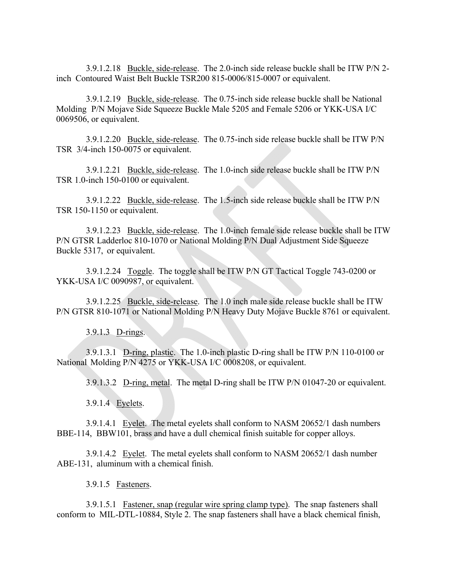3.9.1.2.18 Buckle, side-release. The 2.0-inch side release buckle shall be ITW P/N 2 inch Contoured Waist Belt Buckle TSR200 815-0006/815-0007 or equivalent.

3.9.1.2.19 Buckle, side-release. The 0.75-inch side release buckle shall be National Molding P/N Mojave Side Squeeze Buckle Male 5205 and Female 5206 or YKK-USA I/C 0069506, or equivalent.

3.9.1.2.20 Buckle, side-release. The 0.75-inch side release buckle shall be ITW P/N TSR 3/4-inch 150-0075 or equivalent.

3.9.1.2.21 Buckle, side-release. The 1.0-inch side release buckle shall be ITW P/N TSR 1.0-inch 150-0100 or equivalent.

3.9.1.2.22 Buckle, side-release. The 1.5-inch side release buckle shall be ITW P/N TSR 150-1150 or equivalent.

3.9.1.2.23 Buckle, side-release. The 1.0-inch female side release buckle shall be ITW P/N GTSR Ladderloc 810-1070 or National Molding P/N Dual Adjustment Side Squeeze Buckle 5317, or equivalent.

3.9.1.2.24 Toggle. The toggle shall be ITW P/N GT Tactical Toggle 743-0200 or YKK-USA I/C 0090987, or equivalent.

3.9.1.2.25 Buckle, side-release. The 1.0 inch male side release buckle shall be ITW P/N GTSR 810-1071 or National Molding P/N Heavy Duty Mojave Buckle 8761 or equivalent.

3.9.1.3 D-rings.

3.9.1.3.1 D-ring, plastic. The 1.0-inch plastic D-ring shall be ITW P/N 110-0100 or National Molding P/N 4275 or YKK-USA I/C 0008208, or equivalent.

3.9.1.3.2 D-ring, metal. The metal D-ring shall be ITW P/N 01047-20 or equivalent.

3.9.1.4 Eyelets.

3.9.1.4.1 Eyelet. The metal eyelets shall conform to NASM 20652/1 dash numbers BBE-114, BBW101, brass and have a dull chemical finish suitable for copper alloys.

3.9.1.4.2 Eyelet. The metal eyelets shall conform to NASM 20652/1 dash number ABE-131, aluminum with a chemical finish.

3.9.1.5 Fasteners.

3.9.1.5.1 Fastener, snap (regular wire spring clamp type). The snap fasteners shall conform to MIL-DTL-10884, Style 2. The snap fasteners shall have a black chemical finish,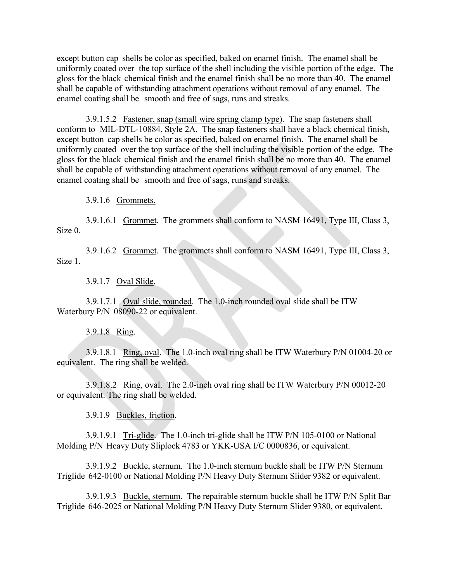except button cap shells be color as specified, baked on enamel finish. The enamel shall be uniformly coated over the top surface of the shell including the visible portion of the edge. The gloss for the black chemical finish and the enamel finish shall be no more than 40. The enamel shall be capable of withstanding attachment operations without removal of any enamel. The enamel coating shall be smooth and free of sags, runs and streaks.

3.9.1.5.2 Fastener, snap (small wire spring clamp type). The snap fasteners shall conform to MIL-DTL-10884, Style 2A. The snap fasteners shall have a black chemical finish, except button cap shells be color as specified, baked on enamel finish. The enamel shall be uniformly coated over the top surface of the shell including the visible portion of the edge. The gloss for the black chemical finish and the enamel finish shall be no more than 40. The enamel shall be capable of withstanding attachment operations without removal of any enamel. The enamel coating shall be smooth and free of sags, runs and streaks.

3.9.1.6 Grommets.

3.9.1.6.1 Grommet. The grommets shall conform to NASM 16491, Type III, Class 3, Size 0.

3.9.1.6.2 Grommet. The grommets shall conform to NASM 16491, Type III, Class 3, Size 1.

3.9.1.7 Oval Slide.

3.9.1.7.1 Oval slide, rounded. The 1.0-inch rounded oval slide shall be ITW Waterbury P/N 08090-22 or equivalent.

3.9.1.8 Ring.

3.9.1.8.1 Ring, oval. The 1.0-inch oval ring shall be ITW Waterbury P/N 01004-20 or equivalent. The ring shall be welded.

3.9.1.8.2 Ring, oval. The 2.0-inch oval ring shall be ITW Waterbury P/N 00012-20 or equivalent. The ring shall be welded.

3.9.1.9 Buckles, friction.

3.9.1.9.1 Tri-glide. The 1.0-inch tri-glide shall be ITW P/N 105-0100 or National Molding P/N Heavy Duty Sliplock 4783 or YKK-USA I/C 0000836, or equivalent.

3.9.1.9.2 Buckle, sternum. The 1.0-inch sternum buckle shall be ITW P/N Sternum Triglide 642-0100 or National Molding P/N Heavy Duty Sternum Slider 9382 or equivalent.

3.9.1.9.3 Buckle, sternum. The repairable sternum buckle shall be ITW P/N Split Bar Triglide 646-2025 or National Molding P/N Heavy Duty Sternum Slider 9380, or equivalent.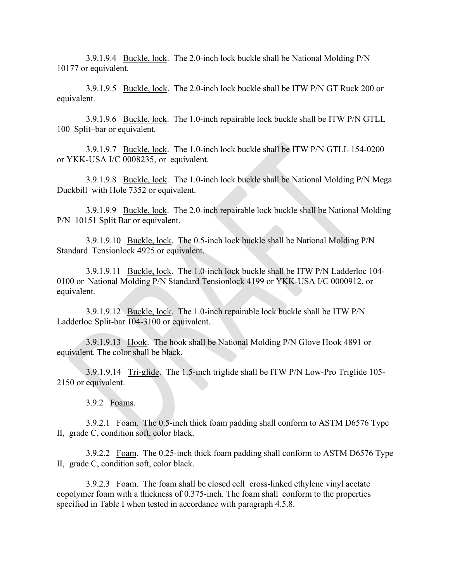3.9.1.9.4 Buckle, lock. The 2.0-inch lock buckle shall be National Molding P/N 10177 or equivalent.

3.9.1.9.5 Buckle, lock. The 2.0-inch lock buckle shall be ITW P/N GT Ruck 200 or equivalent.

3.9.1.9.6 Buckle, lock. The 1.0-inch repairable lock buckle shall be ITW P/N GTLL 100 Split–bar or equivalent.

3.9.1.9.7 Buckle, lock. The 1.0-inch lock buckle shall be ITW P/N GTLL 154-0200 or YKK-USA I/C 0008235, or equivalent.

3.9.1.9.8 Buckle, lock. The 1.0-inch lock buckle shall be National Molding P/N Mega Duckbill with Hole 7352 or equivalent.

3.9.1.9.9 Buckle, lock. The 2.0-inch repairable lock buckle shall be National Molding P/N 10151 Split Bar or equivalent.

3.9.1.9.10 Buckle, lock. The 0.5-inch lock buckle shall be National Molding P/N Standard Tensionlock 4925 or equivalent.

3.9.1.9.11 Buckle, lock. The 1.0-inch lock buckle shall be ITW P/N Ladderloc 104- 0100 or National Molding P/N Standard Tensionlock 4199 or YKK-USA I/C 0000912, or equivalent.

3.9.1.9.12 Buckle, lock. The 1.0-inch repairable lock buckle shall be ITW P/N Ladderloc Split-bar 104-3100 or equivalent.

3.9.1.9.13 Hook. The hook shall be National Molding P/N Glove Hook 4891 or equivalent. The color shall be black.

3.9.1.9.14 Tri-glide. The 1.5-inch triglide shall be ITW P/N Low-Pro Triglide 105- 2150 or equivalent.

3.9.2 Foams.

3.9.2.1 Foam. The 0.5-inch thick foam padding shall conform to ASTM D6576 Type II, grade C, condition soft, color black.

3.9.2.2 Foam. The 0.25-inch thick foam padding shall conform to ASTM D6576 Type II, grade C, condition soft, color black.

3.9.2.3 Foam. The foam shall be closed cell cross-linked ethylene vinyl acetate copolymer foam with a thickness of 0.375-inch. The foam shall conform to the properties specified in Table I when tested in accordance with paragraph 4.5.8.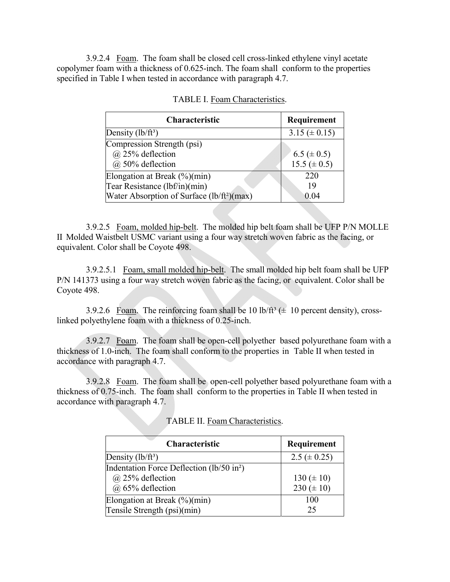3.9.2.4 Foam. The foam shall be closed cell cross-linked ethylene vinyl acetate copolymer foam with a thickness of 0.625-inch. The foam shall conform to the properties specified in Table I when tested in accordance with paragraph 4.7.

| Characteristic                                                                                                             | Requirement                           |
|----------------------------------------------------------------------------------------------------------------------------|---------------------------------------|
| Density $(lb/ft^3)$                                                                                                        | 3.15 ( $\pm$ 0.15)                    |
| Compression Strength (psi)<br>$(a)$ 25% deflection<br>@ 50% deflection                                                     | 6.5 ( $\pm$ 0.5)<br>$15.5 ( \pm 0.5)$ |
| Elongation at Break $(\%)(min)$<br>Tear Resistance (lbf/in)(min)<br>Water Absorption of Surface (lb/ft <sup>2</sup> )(max) | 220<br>19<br>0.04                     |

|  | <b>TABLE I. Foam Characteristics.</b> |
|--|---------------------------------------|
|  |                                       |

3.9.2.5 Foam, molded hip-belt. The molded hip belt foam shall be UFP P/N MOLLE II Molded Waistbelt USMC variant using a four way stretch woven fabric as the facing, or equivalent. Color shall be Coyote 498.

3.9.2.5.1 Foam, small molded hip-belt. The small molded hip belt foam shall be UFP P/N 141373 using a four way stretch woven fabric as the facing, or equivalent. Color shall be Coyote 498.

3.9.2.6 Foam. The reinforcing foam shall be 10 lb/ft<sup>3</sup> ( $\pm$  10 percent density), crosslinked polyethylene foam with a thickness of 0.25-inch.

3.9.2.7 Foam. The foam shall be open-cell polyether based polyurethane foam with a thickness of 1.0-inch. The foam shall conform to the properties in Table II when tested in accordance with paragraph 4.7.

3.9.2.8 Foam. The foam shall be open-cell polyether based polyurethane foam with a thickness of 0.75-inch. The foam shall conform to the properties in Table II when tested in accordance with paragraph 4.7.

| <b>Characteristic</b>                                 | Requirement       |
|-------------------------------------------------------|-------------------|
| Density $(lb/ft^3)$                                   | 2.5 ( $\pm$ 0.25) |
| Indentation Force Deflection (lb/50 in <sup>2</sup> ) |                   |
| $(a)$ 25% deflection                                  | 130 $(\pm 10)$    |
| $(a)$ 65% deflection                                  | 230 ( $\pm$ 10)   |
| Elongation at Break $(\%)(min)$                       | 100               |
| Tensile Strength (psi)(min)                           | 25                |

TABLE II. Foam Characteristics.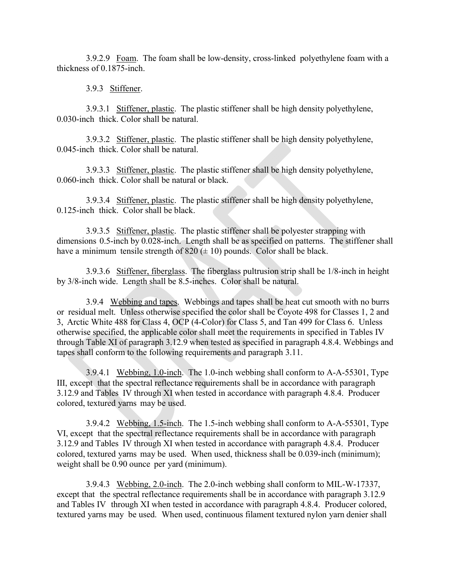3.9.2.9 Foam. The foam shall be low-density, cross-linked polyethylene foam with a thickness of 0.1875-inch.

3.9.3 Stiffener.

3.9.3.1 Stiffener, plastic. The plastic stiffener shall be high density polyethylene, 0.030-inch thick. Color shall be natural.

3.9.3.2 Stiffener, plastic. The plastic stiffener shall be high density polyethylene, 0.045-inch thick. Color shall be natural.

3.9.3.3 Stiffener, plastic. The plastic stiffener shall be high density polyethylene, 0.060-inch thick. Color shall be natural or black.

3.9.3.4 Stiffener, plastic. The plastic stiffener shall be high density polyethylene, 0.125-inch thick. Color shall be black.

3.9.3.5 Stiffener, plastic. The plastic stiffener shall be polyester strapping with dimensions 0.5-inch by 0.028-inch. Length shall be as specified on patterns. The stiffener shall have a minimum tensile strength of  $820 (\pm 10)$  pounds. Color shall be black.

3.9.3.6 Stiffener, fiberglass. The fiberglass pultrusion strip shall be 1/8-inch in height by 3/8-inch wide. Length shall be 8.5-inches. Color shall be natural.

3.9.4 Webbing and tapes. Webbings and tapes shall be heat cut smooth with no burrs or residual melt. Unless otherwise specified the color shall be Coyote 498 for Classes 1, 2 and 3, Arctic White 488 for Class 4, OCP (4-Color) for Class 5, and Tan 499 for Class 6. Unless otherwise specified, the applicable color shall meet the requirements in specified in Tables IV through Table XI of paragraph 3.12.9 when tested as specified in paragraph 4.8.4. Webbings and tapes shall conform to the following requirements and paragraph 3.11.

3.9.4.1 Webbing, 1.0-inch. The 1.0-inch webbing shall conform to A-A-55301, Type III, except that the spectral reflectance requirements shall be in accordance with paragraph 3.12.9 and Tables IV through XI when tested in accordance with paragraph 4.8.4. Producer colored, textured yarns may be used.

3.9.4.2 Webbing, 1.5-inch. The 1.5-inch webbing shall conform to A-A-55301, Type VI, except that the spectral reflectance requirements shall be in accordance with paragraph 3.12.9 and Tables IV through XI when tested in accordance with paragraph 4.8.4. Producer colored, textured yarns may be used. When used, thickness shall be 0.039-inch (minimum); weight shall be 0.90 ounce per yard (minimum).

3.9.4.3 Webbing, 2.0-inch. The 2.0-inch webbing shall conform to MIL-W-17337, except that the spectral reflectance requirements shall be in accordance with paragraph 3.12.9 and Tables IV through XI when tested in accordance with paragraph 4.8.4. Producer colored, textured yarns may be used. When used, continuous filament textured nylon yarn denier shall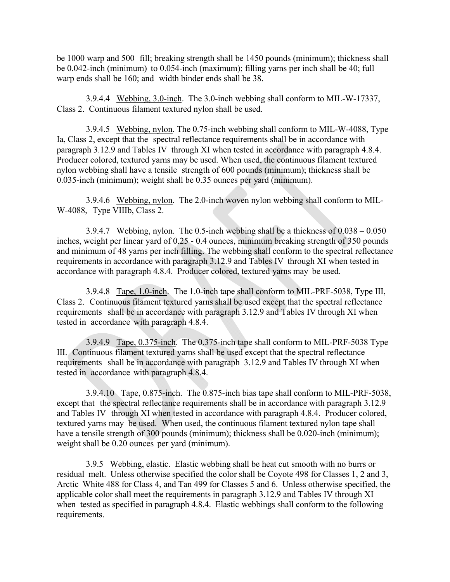be 1000 warp and 500 fill; breaking strength shall be 1450 pounds (minimum); thickness shall be 0.042-inch (minimum) to 0.054-inch (maximum); filling yarns per inch shall be 40; full warp ends shall be 160; and width binder ends shall be 38.

3.9.4.4 Webbing, 3.0-inch. The 3.0-inch webbing shall conform to MIL-W-17337, Class 2. Continuous filament textured nylon shall be used.

3.9.4.5 Webbing, nylon. The 0.75-inch webbing shall conform to MIL-W-4088, Type Ia, Class 2, except that the spectral reflectance requirements shall be in accordance with paragraph 3.12.9 and Tables IV through XI when tested in accordance with paragraph 4.8.4. Producer colored, textured yarns may be used. When used, the continuous filament textured nylon webbing shall have a tensile strength of 600 pounds (minimum); thickness shall be 0.035-inch (minimum); weight shall be 0.35 ounces per yard (minimum).

3.9.4.6 Webbing, nylon. The 2.0-inch woven nylon webbing shall conform to MIL-W-4088, Type VIIIb, Class 2.

3.9.4.7 Webbing, nylon. The 0.5-inch webbing shall be a thickness of 0.038 – 0.050 inches, weight per linear yard of 0.25 - 0.4 ounces, minimum breaking strength of 350 pounds and minimum of 48 yarns per inch filling. The webbing shall conform to the spectral reflectance requirements in accordance with paragraph 3.12.9 and Tables IV through XI when tested in accordance with paragraph 4.8.4. Producer colored, textured yarns may be used.

3.9.4.8 Tape, 1.0-inch. The 1.0-inch tape shall conform to MIL-PRF-5038, Type III, Class 2. Continuous filament textured yarns shall be used except that the spectral reflectance requirements shall be in accordance with paragraph 3.12.9 and Tables IV through XI when tested in accordance with paragraph 4.8.4.

3.9.4.9 Tape, 0.375-inch. The 0.375-inch tape shall conform to MIL-PRF-5038 Type III. Continuous filament textured yarns shall be used except that the spectral reflectance requirements shall be in accordance with paragraph 3.12.9 and Tables IV through XI when tested in accordance with paragraph 4.8.4.

3.9.4.10 Tape, 0.875-inch. The 0.875-inch bias tape shall conform to MIL-PRF-5038, except that the spectral reflectance requirements shall be in accordance with paragraph 3.12.9 and Tables IV through XI when tested in accordance with paragraph 4.8.4. Producer colored, textured yarns may be used. When used, the continuous filament textured nylon tape shall have a tensile strength of 300 pounds (minimum); thickness shall be 0.020-inch (minimum); weight shall be 0.20 ounces per yard (minimum).

3.9.5 Webbing, elastic. Elastic webbing shall be heat cut smooth with no burrs or residual melt. Unless otherwise specified the color shall be Coyote 498 for Classes 1, 2 and 3, Arctic White 488 for Class 4, and Tan 499 for Classes 5 and 6. Unless otherwise specified, the applicable color shall meet the requirements in paragraph 3.12.9 and Tables IV through XI when tested as specified in paragraph 4.8.4. Elastic webbings shall conform to the following requirements.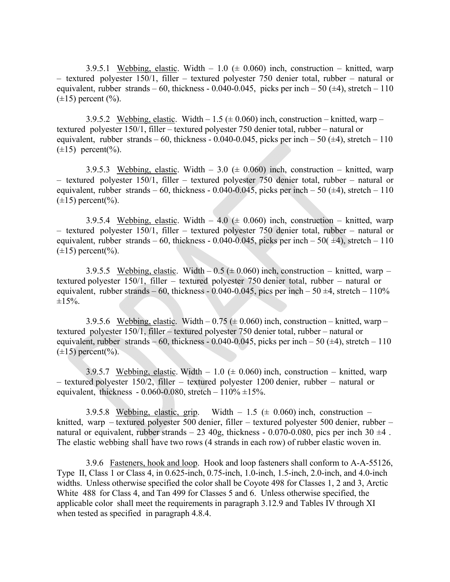3.9.5.1 Webbing, elastic. Width  $-1.0$  ( $\pm$  0.060) inch, construction  $-$  knitted, warp – textured polyester 150/1, filler – textured polyester 750 denier total, rubber – natural or equivalent, rubber strands – 60, thickness - 0.040-0.045, picks per inch – 50 ( $\pm$ 4), stretch – 110  $(\pm 15)$  percent  $(\%).$ 

3.9.5.2 Webbing, elastic. Width  $-1.5 \ (\pm 0.060)$  inch, construction – knitted, warp – textured polyester 150/1, filler – textured polyester 750 denier total, rubber – natural or equivalent, rubber strands – 60, thickness - 0.040-0.045, picks per inch – 50 ( $\pm$ 4), stretch – 110  $(\pm 15)$  percent(%).

3.9.5.3 Webbing, elastic. Width – 3.0 ( $\pm$  0.060) inch, construction – knitted, warp – textured polyester 150/1, filler – textured polyester 750 denier total, rubber – natural or equivalent, rubber strands – 60, thickness - 0.040-0.045, picks per inch – 50  $(\pm 4)$ , stretch – 110  $(\pm 15)$  percent(%).

3.9.5.4 Webbing, elastic. Width  $-4.0$  ( $\pm$  0.060) inch, construction  $-$  knitted, warp – textured polyester 150/1, filler – textured polyester 750 denier total, rubber – natural or equivalent, rubber strands – 60, thickness - 0.040-0.045, picks per inch – 50( $\pm$ 4), stretch – 110  $(\pm 15)$  percent(%).

3.9.5.5 Webbing, elastic. Width  $-0.5 \ (\pm 0.060)$  inch, construction – knitted, warp – textured polyester 150/1, filler – textured polyester 750 denier total, rubber – natural or equivalent, rubber strands – 60, thickness - 0.040-0.045, pics per inch – 50  $\pm$ 4, stretch – 110%  $\pm 15\%$ .

3.9.5.6 Webbing, elastic. Width  $-0.75 \ (\pm 0.060)$  inch, construction – knitted, warp – textured polyester 150/1, filler – textured polyester 750 denier total, rubber – natural or equivalent, rubber strands – 60, thickness - 0.040-0.045, picks per inch – 50 ( $\pm$ 4), stretch – 110  $(\pm 15)$  percent(%).

3.9.5.7 Webbing, elastic. Width  $-1.0$  ( $\pm$  0.060) inch, construction  $-$  knitted, warp – textured polyester 150/2, filler – textured polyester 1200 denier, rubber – natural or equivalent, thickness - 0.060-0.080, stretch –  $110\% + 15\%$ .

3.9.5.8 Webbing, elastic, grip. Width  $-1.5$  ( $\pm$  0.060) inch, construction  $$ knitted, warp – textured polyester 500 denier, filler – textured polyester 500 denier, rubber – natural or equivalent, rubber strands  $-23\,40g$ , thickness - 0.070-0.080, pics per inch 30  $\pm 4$ . The elastic webbing shall have two rows (4 strands in each row) of rubber elastic woven in.

3.9.6 Fasteners, hook and loop. Hook and loop fasteners shall conform to A-A-55126, Type II, Class 1 or Class 4, in 0.625-inch, 0.75-inch, 1.0-inch, 1.5-inch, 2.0-inch, and 4.0-inch widths. Unless otherwise specified the color shall be Coyote 498 for Classes 1, 2 and 3, Arctic White 488 for Class 4, and Tan 499 for Classes 5 and 6. Unless otherwise specified, the applicable color shall meet the requirements in paragraph 3.12.9 and Tables IV through XI when tested as specified in paragraph 4.8.4.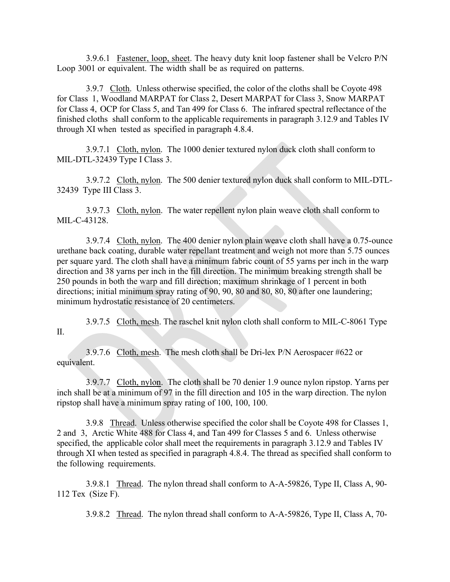3.9.6.1 Fastener, loop, sheet. The heavy duty knit loop fastener shall be Velcro P/N Loop 3001 or equivalent. The width shall be as required on patterns.

3.9.7 Cloth. Unless otherwise specified, the color of the cloths shall be Coyote 498 for Class 1, Woodland MARPAT for Class 2, Desert MARPAT for Class 3, Snow MARPAT for Class 4, OCP for Class 5, and Tan 499 for Class 6. The infrared spectral reflectance of the finished cloths shall conform to the applicable requirements in paragraph 3.12.9 and Tables IV through XI when tested as specified in paragraph 4.8.4.

3.9.7.1 Cloth, nylon. The 1000 denier textured nylon duck cloth shall conform to MIL-DTL-32439 Type I Class 3.

3.9.7.2 Cloth, nylon. The 500 denier textured nylon duck shall conform to MIL-DTL-32439 Type III Class 3.

3.9.7.3 Cloth, nylon. The water repellent nylon plain weave cloth shall conform to MIL-C-43128.

3.9.7.4 Cloth, nylon. The 400 denier nylon plain weave cloth shall have a 0.75-ounce urethane back coating, durable water repellant treatment and weigh not more than 5.75 ounces per square yard. The cloth shall have a minimum fabric count of 55 yarns per inch in the warp direction and 38 yarns per inch in the fill direction. The minimum breaking strength shall be 250 pounds in both the warp and fill direction; maximum shrinkage of 1 percent in both directions; initial minimum spray rating of 90, 90, 80 and 80, 80, 80 after one laundering; minimum hydrostatic resistance of 20 centimeters.

3.9.7.5 Cloth, mesh. The raschel knit nylon cloth shall conform to MIL-C-8061 Type II.

3.9.7.6 Cloth, mesh. The mesh cloth shall be Dri-lex P/N Aerospacer #622 or equivalent.

3.9.7.7 Cloth, nylon. The cloth shall be 70 denier 1.9 ounce nylon ripstop. Yarns per inch shall be at a minimum of 97 in the fill direction and 105 in the warp direction. The nylon ripstop shall have a minimum spray rating of 100, 100, 100.

3.9.8 Thread. Unless otherwise specified the color shall be Coyote 498 for Classes 1, 2 and 3, Arctic White 488 for Class 4, and Tan 499 for Classes 5 and 6. Unless otherwise specified, the applicable color shall meet the requirements in paragraph 3.12.9 and Tables IV through XI when tested as specified in paragraph 4.8.4. The thread as specified shall conform to the following requirements.

3.9.8.1 Thread. The nylon thread shall conform to A-A-59826, Type II, Class A, 90- 112 Tex (Size F).

3.9.8.2 Thread. The nylon thread shall conform to A-A-59826, Type II, Class A, 70-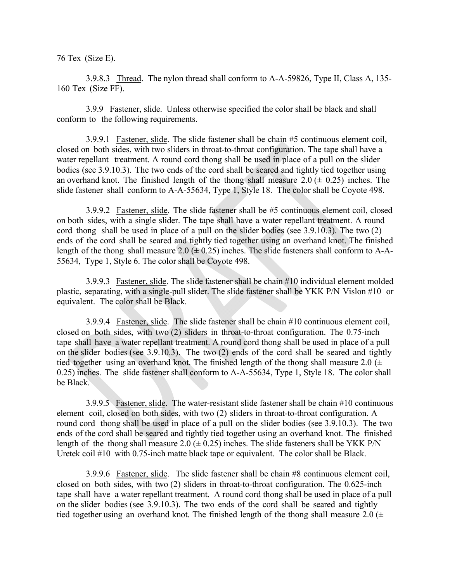76 Tex (Size E).

3.9.8.3 Thread. The nylon thread shall conform to A-A-59826, Type II, Class A, 135- 160 Tex (Size FF).

3.9.9 Fastener, slide. Unless otherwise specified the color shall be black and shall conform to the following requirements.

3.9.9.1 Fastener, slide. The slide fastener shall be chain #5 continuous element coil, closed on both sides, with two sliders in throat-to-throat configuration. The tape shall have a water repellant treatment. A round cord thong shall be used in place of a pull on the slider bodies (see 3.9.10.3). The two ends of the cord shall be seared and tightly tied together using an overhand knot. The finished length of the thong shall measure  $2.0 \ (\pm 0.25)$  inches. The slide fastener shall conform to A-A-55634, Type 1, Style 18. The color shall be Coyote 498.

3.9.9.2 Fastener, slide. The slide fastener shall be #5 continuous element coil, closed on both sides, with a single slider. The tape shall have a water repellant treatment. A round cord thong shall be used in place of a pull on the slider bodies (see 3.9.10.3). The two (2) ends of the cord shall be seared and tightly tied together using an overhand knot. The finished length of the thong shall measure 2.0  $(\pm 0.25)$  inches. The slide fasteners shall conform to A-A-55634, Type 1, Style 6. The color shall be Coyote 498.

3.9.9.3 Fastener, slide. The slide fastener shall be chain #10 individual element molded plastic, separating, with a single-pull slider. The slide fastener shall be YKK P/N Vislon #10 or equivalent. The color shall be Black.

3.9.9.4 Fastener, slide. The slide fastener shall be chain #10 continuous element coil, closed on both sides, with two (2) sliders in throat-to-throat configuration. The 0.75-inch tape shall have a water repellant treatment. A round cord thong shall be used in place of a pull on the slider bodies (see 3.9.10.3). The two (2) ends of the cord shall be seared and tightly tied together using an overhand knot. The finished length of the thong shall measure 2.0  $(\pm$ 0.25) inches. The slide fastener shall conform to A-A-55634, Type 1, Style 18. The color shall be Black.

3.9.9.5 Fastener, slide. The water-resistant slide fastener shall be chain #10 continuous element coil, closed on both sides, with two (2) sliders in throat-to-throat configuration. A round cord thong shall be used in place of a pull on the slider bodies (see 3.9.10.3). The two ends of the cord shall be seared and tightly tied together using an overhand knot. The finished length of the thong shall measure 2.0  $(\pm 0.25)$  inches. The slide fasteners shall be YKK P/N Uretek coil #10 with 0.75-inch matte black tape or equivalent. The color shall be Black.

3.9.9.6 Fastener, slide. The slide fastener shall be chain #8 continuous element coil, closed on both sides, with two (2) sliders in throat-to-throat configuration. The 0.625-inch tape shall have a water repellant treatment. A round cord thong shall be used in place of a pull on the slider bodies (see 3.9.10.3). The two ends of the cord shall be seared and tightly tied together using an overhand knot. The finished length of the thong shall measure  $2.0 \times$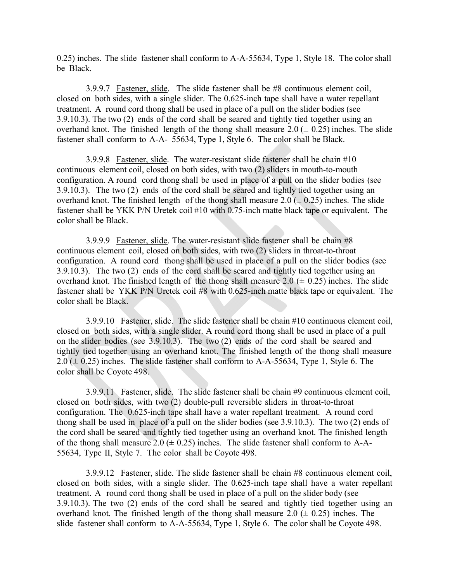0.25) inches. The slide fastener shall conform to A-A-55634, Type 1, Style 18. The color shall be Black.

3.9.9.7 Fastener, slide. The slide fastener shall be #8 continuous element coil, closed on both sides, with a single slider. The 0.625-inch tape shall have a water repellant treatment. A round cord thong shall be used in place of a pull on the slider bodies (see 3.9.10.3). The two (2) ends of the cord shall be seared and tightly tied together using an overhand knot. The finished length of the thong shall measure  $2.0 \ (\pm 0.25)$  inches. The slide fastener shall conform to A-A- 55634, Type 1, Style 6. The color shall be Black.

3.9.9.8 Fastener, slide. The water-resistant slide fastener shall be chain #10 continuous element coil, closed on both sides, with two (2) sliders in mouth-to-mouth configuration. A round cord thong shall be used in place of a pull on the slider bodies (see 3.9.10.3). The two (2) ends of the cord shall be seared and tightly tied together using an overhand knot. The finished length of the thong shall measure  $2.0 \ (\pm 0.25)$  inches. The slide fastener shall be YKK P/N Uretek coil #10 with 0.75-inch matte black tape or equivalent. The color shall be Black.

3.9.9.9 Fastener, slide. The water-resistant slide fastener shall be chain #8 continuous element coil, closed on both sides, with two (2) sliders in throat-to-throat configuration. A round cord thong shall be used in place of a pull on the slider bodies (see 3.9.10.3). The two (2) ends of the cord shall be seared and tightly tied together using an overhand knot. The finished length of the thong shall measure 2.0  $(\pm 0.25)$  inches. The slide fastener shall be YKK P/N Uretek coil #8 with 0.625-inch matte black tape or equivalent. The color shall be Black.

3.9.9.10 Fastener, slide. The slide fastener shall be chain #10 continuous element coil, closed on both sides, with a single slider. A round cord thong shall be used in place of a pull on the slider bodies (see 3.9.10.3). The two (2) ends of the cord shall be seared and tightly tied together using an overhand knot. The finished length of the thong shall measure  $2.0 \ (\pm 0.25)$  inches. The slide fastener shall conform to A-A-55634, Type 1, Style 6. The color shall be Coyote 498.

3.9.9.11 Fastener, slide. The slide fastener shall be chain #9 continuous element coil, closed on both sides, with two (2) double-pull reversible sliders in throat-to-throat configuration. The 0.625-inch tape shall have a water repellant treatment. A round cord thong shall be used in place of a pull on the slider bodies (see 3.9.10.3). The two (2) ends of the cord shall be seared and tightly tied together using an overhand knot. The finished length of the thong shall measure 2.0 ( $\pm$  0.25) inches. The slide fastener shall conform to A-A-55634, Type II, Style 7. The color shall be Coyote 498.

3.9.9.12 Fastener, slide. The slide fastener shall be chain #8 continuous element coil, closed on both sides, with a single slider. The 0.625-inch tape shall have a water repellant treatment. A round cord thong shall be used in place of a pull on the slider body (see 3.9.10.3). The two (2) ends of the cord shall be seared and tightly tied together using an overhand knot. The finished length of the thong shall measure  $2.0 \ (\pm 0.25)$  inches. The slide fastener shall conform to A-A-55634, Type 1, Style 6. The color shall be Coyote 498.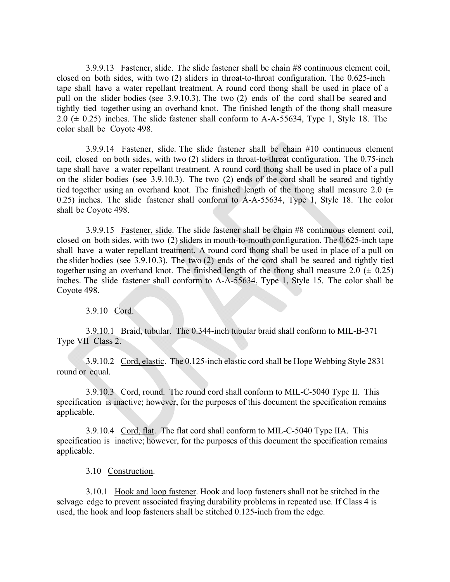3.9.9.13 Fastener, slide. The slide fastener shall be chain #8 continuous element coil, closed on both sides, with two (2) sliders in throat-to-throat configuration. The 0.625-inch tape shall have a water repellant treatment. A round cord thong shall be used in place of a pull on the slider bodies (see 3.9.10.3). The two (2) ends of the cord shall be seared and tightly tied together using an overhand knot. The finished length of the thong shall measure 2.0  $(\pm 0.25)$  inches. The slide fastener shall conform to A-A-55634, Type 1, Style 18. The color shall be Coyote 498.

3.9.9.14 Fastener, slide. The slide fastener shall be chain #10 continuous element coil, closed on both sides, with two (2) sliders in throat-to-throat configuration. The 0.75-inch tape shall have a water repellant treatment. A round cord thong shall be used in place of a pull on the slider bodies (see 3.9.10.3). The two (2) ends of the cord shall be seared and tightly tied together using an overhand knot. The finished length of the thong shall measure 2.0  $(±$ 0.25) inches. The slide fastener shall conform to A-A-55634, Type 1, Style 18. The color shall be Coyote 498.

3.9.9.15 Fastener, slide. The slide fastener shall be chain #8 continuous element coil, closed on both sides, with two (2) sliders in mouth-to-mouth configuration. The 0.625-inch tape shall have a water repellant treatment. A round cord thong shall be used in place of a pull on the slider bodies (see 3.9.10.3). The two (2) ends of the cord shall be seared and tightly tied together using an overhand knot. The finished length of the thong shall measure 2.0  $(± 0.25)$ inches. The slide fastener shall conform to A-A-55634, Type 1, Style 15. The color shall be Coyote 498.

3.9.10 Cord.

3.9.10.1 Braid, tubular. The 0.344-inch tubular braid shall conform to MIL-B-371 Type VII Class 2.

3.9.10.2 Cord, elastic. The 0.125-inch elastic cord shall be Hope Webbing Style 2831 round or equal.

3.9.10.3 Cord, round. The round cord shall conform to MIL-C-5040 Type II. This specification is inactive; however, for the purposes of this document the specification remains applicable.

3.9.10.4 Cord, flat. The flat cord shall conform to MIL-C-5040 Type IIA. This specification is inactive; however, for the purposes of this document the specification remains applicable.

3.10 Construction.

3.10.1 Hook and loop fastener. Hook and loop fasteners shall not be stitched in the selvage edge to prevent associated fraying durability problems in repeated use. If Class 4 is used, the hook and loop fasteners shall be stitched 0.125-inch from the edge.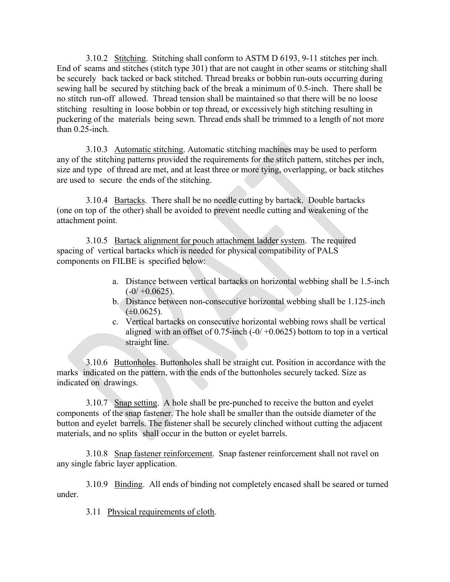3.10.2 Stitching. Stitching shall conform to ASTM D 6193, 9-11 stitches per inch. End of seams and stitches (stitch type 301) that are not caught in other seams or stitching shall be securely back tacked or back stitched. Thread breaks or bobbin run-outs occurring during sewing hall be secured by stitching back of the break a minimum of 0.5-inch. There shall be no stitch run-off allowed. Thread tension shall be maintained so that there will be no loose stitching resulting in loose bobbin or top thread, or excessively high stitching resulting in puckering of the materials being sewn. Thread ends shall be trimmed to a length of not more than 0.25-inch.

3.10.3 Automatic stitching. Automatic stitching machines may be used to perform any of the stitching patterns provided the requirements for the stitch pattern, stitches per inch, size and type of thread are met, and at least three or more tying, overlapping, or back stitches are used to secure the ends of the stitching.

3.10.4 Bartacks. There shall be no needle cutting by bartack. Double bartacks (one on top of the other) shall be avoided to prevent needle cutting and weakening of the attachment point.

3.10.5 Bartack alignment for pouch attachment ladder system. The required spacing of vertical bartacks which is needed for physical compatibility of PALS components on FILBE is specified below:

- a. Distance between vertical bartacks on horizontal webbing shall be 1.5-inch  $(-0/+0.0625).$
- b. Distance between non-consecutive horizontal webbing shall be 1.125-inch  $(\pm 0.0625)$ .
- c. Vertical bartacks on consecutive horizontal webbing rows shall be vertical aligned with an offset of  $0.75$ -inch  $(-0/ +0.0625)$  bottom to top in a vertical straight line.

3.10.6 Buttonholes. Buttonholes shall be straight cut. Position in accordance with the marks indicated on the pattern, with the ends of the buttonholes securely tacked. Size as indicated on drawings.

3.10.7 Snap setting. A hole shall be pre-punched to receive the button and eyelet components of the snap fastener. The hole shall be smaller than the outside diameter of the button and eyelet barrels. The fastener shall be securely clinched without cutting the adjacent materials, and no splits shall occur in the button or eyelet barrels.

3.10.8 Snap fastener reinforcement. Snap fastener reinforcement shall not ravel on any single fabric layer application.

3.10.9 Binding. All ends of binding not completely encased shall be seared or turned under.

3.11 Physical requirements of cloth.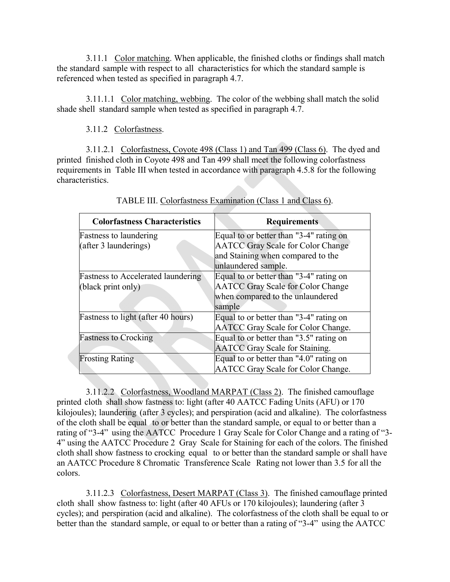3.11.1 Color matching. When applicable, the finished cloths or findings shall match the standard sample with respect to all characteristics for which the standard sample is referenced when tested as specified in paragraph 4.7.

3.11.1.1 Color matching, webbing. The color of the webbing shall match the solid shade shell standard sample when tested as specified in paragraph 4.7.

3.11.2 Colorfastness.

3.11.2.1 Colorfastness, Coyote 498 (Class 1) and Tan 499 (Class 6). The dyed and printed finished cloth in Coyote 498 and Tan 499 shall meet the following colorfastness requirements in Table III when tested in accordance with paragraph 4.5.8 for the following characteristics.

| <b>Colorfastness Characteristics</b>      | <b>Requirements</b>                       |
|-------------------------------------------|-------------------------------------------|
| <b>Fastness to laundering</b>             | Equal to or better than "3-4" rating on   |
| (after 3 launderings)                     | <b>AATCC Gray Scale for Color Change</b>  |
|                                           | and Staining when compared to the         |
|                                           | unlaundered sample.                       |
| <b>Fastness to Accelerated laundering</b> | Equal to or better than "3-4" rating on   |
| (black print only)                        | <b>AATCC Gray Scale for Color Change</b>  |
|                                           | when compared to the unlaundered          |
|                                           | sample                                    |
| Fastness to light (after 40 hours)        | Equal to or better than "3-4" rating on   |
|                                           | <b>AATCC Gray Scale for Color Change.</b> |
| <b>Fastness to Crocking</b>               | Equal to or better than "3.5" rating on   |
|                                           | <b>AATCC</b> Gray Scale for Staining.     |
| <b>Frosting Rating</b>                    | Equal to or better than "4.0" rating on   |
|                                           | AATCC Gray Scale for Color Change.        |

| TABLE III. Colorfastness Examination (Class 1 and Class 6). |  |  |
|-------------------------------------------------------------|--|--|
|                                                             |  |  |

3.11.2.2 Colorfastness, Woodland MARPAT (Class 2). The finished camouflage printed cloth shall show fastness to: light (after 40 AATCC Fading Units (AFU) or 170 kilojoules); laundering (after 3 cycles); and perspiration (acid and alkaline). The colorfastness of the cloth shall be equal to or better than the standard sample, or equal to or better than a rating of "3-4" using the AATCC Procedure 1 Gray Scale for Color Change and a rating of "3- 4" using the AATCC Procedure 2 Gray Scale for Staining for each of the colors. The finished cloth shall show fastness to crocking equal to or better than the standard sample or shall have an AATCC Procedure 8 Chromatic Transference Scale Rating not lower than 3.5 for all the colors.

3.11.2.3 Colorfastness, Desert MARPAT (Class 3). The finished camouflage printed cloth shall show fastness to: light (after 40 AFUs or 170 kilojoules); laundering (after 3 cycles); and perspiration (acid and alkaline). The colorfastness of the cloth shall be equal to or better than the standard sample, or equal to or better than a rating of "3-4" using the AATCC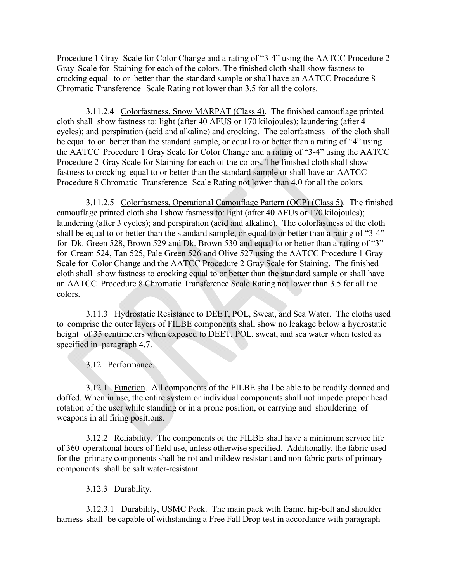Procedure 1 Gray Scale for Color Change and a rating of "3-4" using the AATCC Procedure 2 Gray Scale for Staining for each of the colors. The finished cloth shall show fastness to crocking equal to or better than the standard sample or shall have an AATCC Procedure 8 Chromatic Transference Scale Rating not lower than 3.5 for all the colors.

3.11.2.4 Colorfastness, Snow MARPAT (Class 4). The finished camouflage printed cloth shall show fastness to: light (after 40 AFUS or 170 kilojoules); laundering (after 4 cycles); and perspiration (acid and alkaline) and crocking. The colorfastness of the cloth shall be equal to or better than the standard sample, or equal to or better than a rating of "4" using the AATCC Procedure 1 Gray Scale for Color Change and a rating of "3-4" using the AATCC Procedure 2 Gray Scale for Staining for each of the colors. The finished cloth shall show fastness to crocking equal to or better than the standard sample or shall have an AATCC Procedure 8 Chromatic Transference Scale Rating not lower than 4.0 for all the colors.

3.11.2.5 Colorfastness, Operational Camouflage Pattern (OCP) (Class 5). The finished camouflage printed cloth shall show fastness to: light (after 40 AFUs or 170 kilojoules); laundering (after 3 cycles); and perspiration (acid and alkaline). The colorfastness of the cloth shall be equal to or better than the standard sample, or equal to or better than a rating of "3-4" for Dk. Green 528, Brown 529 and Dk. Brown 530 and equal to or better than a rating of "3" for Cream 524, Tan 525, Pale Green 526 and Olive 527 using the AATCC Procedure 1 Gray Scale for Color Change and the AATCC Procedure 2 Gray Scale for Staining. The finished cloth shall show fastness to crocking equal to or better than the standard sample or shall have an AATCC Procedure 8 Chromatic Transference Scale Rating not lower than 3.5 for all the colors.

3.11.3 Hydrostatic Resistance to DEET, POL, Sweat, and Sea Water. The cloths used to comprise the outer layers of FILBE components shall show no leakage below a hydrostatic height of 35 centimeters when exposed to DEET, POL, sweat, and sea water when tested as specified in paragraph 4.7.

3.12 Performance.

3.12.1 Function. All components of the FILBE shall be able to be readily donned and doffed. When in use, the entire system or individual components shall not impede proper head rotation of the user while standing or in a prone position, or carrying and shouldering of weapons in all firing positions.

3.12.2 Reliability. The components of the FILBE shall have a minimum service life of 360 operational hours of field use, unless otherwise specified. Additionally, the fabric used for the primary components shall be rot and mildew resistant and non-fabric parts of primary components shall be salt water-resistant.

#### 3.12.3 Durability.

3.12.3.1 Durability, USMC Pack. The main pack with frame, hip-belt and shoulder harness shall be capable of withstanding a Free Fall Drop test in accordance with paragraph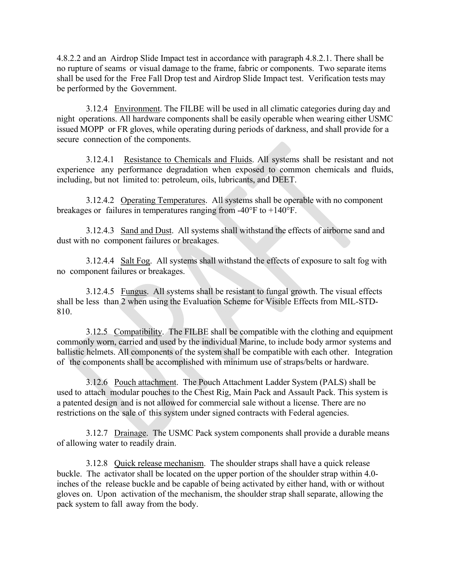4.8.2.2 and an Airdrop Slide Impact test in accordance with paragraph 4.8.2.1. There shall be no rupture of seams or visual damage to the frame, fabric or components. Two separate items shall be used for the Free Fall Drop test and Airdrop Slide Impact test. Verification tests may be performed by the Government.

3.12.4 Environment. The FILBE will be used in all climatic categories during day and night operations. All hardware components shall be easily operable when wearing either USMC issued MOPP or FR gloves, while operating during periods of darkness, and shall provide for a secure connection of the components.

3.12.4.1 Resistance to Chemicals and Fluids. All systems shall be resistant and not experience any performance degradation when exposed to common chemicals and fluids, including, but not limited to: petroleum, oils, lubricants, and DEET.

3.12.4.2 Operating Temperatures. All systems shall be operable with no component breakages or failures in temperatures ranging from -40°F to +140°F.

3.12.4.3 Sand and Dust. All systems shall withstand the effects of airborne sand and dust with no component failures or breakages.

3.12.4.4 Salt Fog. All systems shall withstand the effects of exposure to salt fog with no component failures or breakages.

3.12.4.5 Fungus. All systems shall be resistant to fungal growth. The visual effects shall be less than 2 when using the Evaluation Scheme for Visible Effects from MIL-STD-810.

3.12.5 Compatibility. The FILBE shall be compatible with the clothing and equipment commonly worn, carried and used by the individual Marine, to include body armor systems and ballistic helmets. All components of the system shall be compatible with each other. Integration of the components shall be accomplished with minimum use of straps/belts or hardware.

3.12.6 Pouch attachment. The Pouch Attachment Ladder System (PALS) shall be used to attach modular pouches to the Chest Rig, Main Pack and Assault Pack. This system is a patented design and is not allowed for commercial sale without a license. There are no restrictions on the sale of this system under signed contracts with Federal agencies.

3.12.7 Drainage. The USMC Pack system components shall provide a durable means of allowing water to readily drain.

3.12.8 Quick release mechanism. The shoulder straps shall have a quick release buckle. The activator shall be located on the upper portion of the shoulder strap within 4.0 inches of the release buckle and be capable of being activated by either hand, with or without gloves on. Upon activation of the mechanism, the shoulder strap shall separate, allowing the pack system to fall away from the body.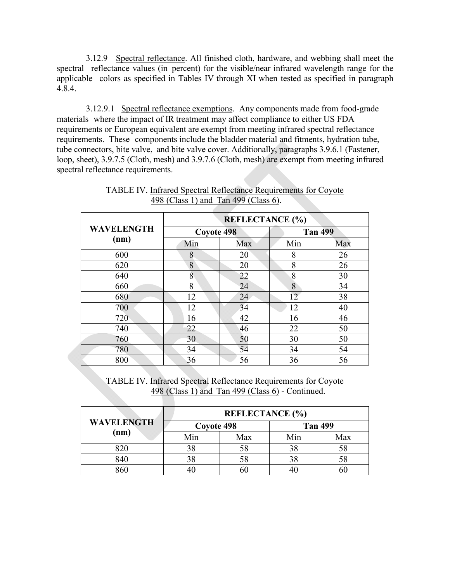3.12.9 Spectral reflectance. All finished cloth, hardware, and webbing shall meet the spectral reflectance values (in percent) for the visible/near infrared wavelength range for the applicable colors as specified in Tables IV through XI when tested as specified in paragraph 4.8.4.

3.12.9.1 Spectral reflectance exemptions. Any components made from food-grade materials where the impact of IR treatment may affect compliance to either US FDA requirements or European equivalent are exempt from meeting infrared spectral reflectance requirements. These components include the bladder material and fitments, hydration tube, tube connectors, bite valve, and bite valve cover. Additionally, paragraphs 3.9.6.1 (Fastener, loop, sheet), 3.9.7.5 (Cloth, mesh) and 3.9.7.6 (Cloth, mesh) are exempt from meeting infrared spectral reflectance requirements.

|                   | <b>REFLECTANCE</b> (%) |     |                |     |  |  |
|-------------------|------------------------|-----|----------------|-----|--|--|
| <b>WAVELENGTH</b> | Coyote 498             |     | <b>Tan 499</b> |     |  |  |
| (nm)              | Min                    | Max | Min            | Max |  |  |
| 600               | 8                      | 20  | 8              | 26  |  |  |
| 620               | 8                      | 20  | 8              | 26  |  |  |
| 640               | 8                      | 22  | 8              | 30  |  |  |
| 660               | 8                      | 24  | 8              | 34  |  |  |
| 680               | 12                     | 24  | 12             | 38  |  |  |
| 700               | 12                     | 34  | 12             | 40  |  |  |
| 720               | 16                     | 42  | 16             | 46  |  |  |
| 740               | 22                     | 46  | 22             | 50  |  |  |
| 760               | 30                     | 50  | 30             | 50  |  |  |
| 780               | 34                     | 54  | 34             | 54  |  |  |
| 800               | 36                     | 56  | 36             | 56  |  |  |

TABLE IV. Infrared Spectral Reflectance Requirements for Coyote 498 (Class 1) and Tan 499 (Class 6).

TABLE IV. Infrared Spectral Reflectance Requirements for Coyote 498 (Class 1) and Tan 499 (Class 6) - Continued.

|                   | <b>REFLECTANCE</b> (%) |                              |     |     |  |  |
|-------------------|------------------------|------------------------------|-----|-----|--|--|
| <b>WAVELENGTH</b> |                        | Coyote 498<br><b>Tan 499</b> |     |     |  |  |
| (nm)              | Min                    | Max                          | Min | Max |  |  |
| 820               | 38                     | 58                           |     | 58  |  |  |
| 840               | 38                     | 58                           |     | 58  |  |  |
|                   |                        | DЛ                           |     |     |  |  |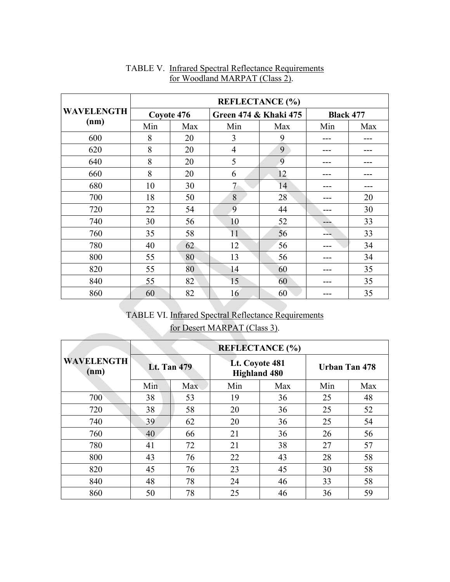|                   | <b>REFLECTANCE</b> (%) |            |                                  |     |                  |     |
|-------------------|------------------------|------------|----------------------------------|-----|------------------|-----|
| <b>WAVELENGTH</b> |                        | Coyote 476 | <b>Green 474 &amp; Khaki 475</b> |     | <b>Black 477</b> |     |
| (nm)              | Min                    | Max        | Min                              | Max | Min              | Max |
| 600               | 8                      | 20         | 3                                | 9   |                  |     |
| 620               | 8                      | 20         | $\overline{4}$                   | 9   |                  |     |
| 640               | 8                      | 20         | 5                                | 9   |                  |     |
| 660               | 8                      | 20         | 6                                | 12  |                  |     |
| 680               | 10                     | 30         | $\tau$                           | 14  |                  |     |
| 700               | 18                     | 50         | 8                                | 28  | ---              | 20  |
| 720               | 22                     | 54         | 9                                | 44  | ---              | 30  |
| 740               | 30                     | 56         | 10                               | 52  |                  | 33  |
| 760               | 35                     | 58         | 11                               | 56  |                  | 33  |
| 780               | 40                     | 62         | 12                               | 56  |                  | 34  |
| 800               | 55                     | 80         | 13                               | 56  |                  | 34  |
| 820               | 55                     | 80         | 14                               | 60  |                  | 35  |
| 840               | 55                     | 82         | 15                               | 60  | --               | 35  |
| 860               | 60                     | 82         | 16                               | 60  |                  | 35  |

## TABLE V. Infrared Spectral Reflectance Requirements for Woodland MARPAT (Class 2).

# TABLE VI. Infrared Spectral Reflectance Requirements for Desert MARPAT (Class 3).

|                           | <b>REFLECTANCE (%)</b> |            |                                       |     |                      |     |  |
|---------------------------|------------------------|------------|---------------------------------------|-----|----------------------|-----|--|
| <b>WAVELENGTH</b><br>(nm) | <b>Lt. Tan 479</b>     |            | Lt. Coyote 481<br><b>Highland 480</b> |     | <b>Urban Tan 478</b> |     |  |
|                           | Min                    | <b>Max</b> | Min                                   | Max | Min                  | Max |  |
| 700                       | 38                     | 53         | 19                                    | 36  | 25                   | 48  |  |
| 720                       | 38                     | 58         | 20                                    | 36  | 25                   | 52  |  |
| 740                       | 39                     | 62         | 20                                    | 36  | 25                   | 54  |  |
| 760                       | 40                     | 66         | 21                                    | 36  | 26                   | 56  |  |
| 780                       | 41                     | 72         | 21                                    | 38  | 27                   | 57  |  |
| 800                       | 43                     | 76         | 22                                    | 43  | 28                   | 58  |  |
| 820                       | 45                     | 76         | 23                                    | 45  | 30                   | 58  |  |
| 840                       | 48                     | 78         | 24                                    | 46  | 33                   | 58  |  |
| 860                       | 50                     | 78         | 25                                    | 46  | 36                   | 59  |  |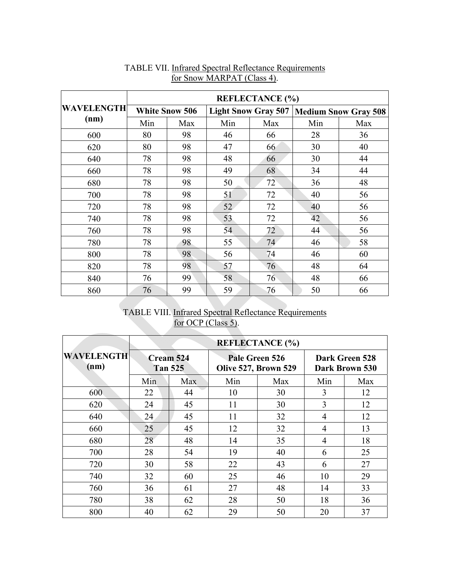|                   | <b>REFLECTANCE</b> (%) |                       |     |                            |     |                             |  |
|-------------------|------------------------|-----------------------|-----|----------------------------|-----|-----------------------------|--|
| <b>WAVELENGTH</b> |                        | <b>White Snow 506</b> |     | <b>Light Snow Gray 507</b> |     | <b>Medium Snow Gray 508</b> |  |
| (nm)              | Min                    | Max                   | Min | Max                        | Min | Max                         |  |
| 600               | 80                     | 98                    | 46  | 66                         | 28  | 36                          |  |
| 620               | 80                     | 98                    | 47  | 66                         | 30  | 40                          |  |
| 640               | 78                     | 98                    | 48  | 66                         | 30  | 44                          |  |
| 660               | 78                     | 98                    | 49  | 68                         | 34  | 44                          |  |
| 680               | 78                     | 98                    | 50  | 72                         | 36  | 48                          |  |
| 700               | 78                     | 98                    | 51  | 72                         | 40  | 56                          |  |
| 720               | 78                     | 98                    | 52  | 72                         | 40  | 56                          |  |
| 740               | 78                     | 98                    | 53  | 72                         | 42  | 56                          |  |
| 760               | 78                     | 98                    | 54  | 72                         | 44  | 56                          |  |
| 780               | 78                     | 98                    | 55  | 74                         | 46  | 58                          |  |
| 800               | 78                     | 98                    | 56  | 74                         | 46  | 60                          |  |
| 820               | 78                     | 98                    | 57  | 76                         | 48  | 64                          |  |
| 840               | 76                     | 99                    | 58  | 76                         | 48  | 66                          |  |
| 860               | 76                     | 99                    | 59  | 76                         | 50  | 66                          |  |

## TABLE VII. Infrared Spectral Reflectance Requirements for Snow MARPAT (Class 4).

## TABLE VIII. Infrared Spectral Reflectance Requirements for OCP (Class 5).

|                           |                             |     | <b>REFLECTANCE (%)</b> |                                        |                |                                  |  |
|---------------------------|-----------------------------|-----|------------------------|----------------------------------------|----------------|----------------------------------|--|
| <b>WAVELENGTH</b><br>(nm) | Cream 524<br><b>Tan 525</b> |     |                        | Pale Green 526<br>Olive 527, Brown 529 |                | Dark Green 528<br>Dark Brown 530 |  |
|                           | Min                         | Max | Min                    | Max                                    | Min            | Max                              |  |
| 600                       | 22                          | 44  | 10                     | 30                                     | 3              | 12                               |  |
| 620                       | 24                          | 45  | 11                     | 30                                     | 3              | 12                               |  |
| 640                       | 24                          | 45  | 11                     | 32                                     | $\overline{4}$ | 12                               |  |
| 660                       | 25                          | 45  | 12                     | 32                                     | $\overline{4}$ | 13                               |  |
| 680                       | 28                          | 48  | 14                     | 35                                     | 4              | 18                               |  |
| 700                       | 28                          | 54  | 19                     | 40                                     | 6              | 25                               |  |
| 720                       | 30                          | 58  | 22                     | 43                                     | 6              | 27                               |  |
| 740                       | 32                          | 60  | 25                     | 46                                     | 10             | 29                               |  |
| 760                       | 36                          | 61  | 27                     | 48                                     | 14             | 33                               |  |
| 780                       | 38                          | 62  | 28                     | 50                                     | 18             | 36                               |  |
| 800                       | 40                          | 62  | 29                     | 50                                     | 20             | 37                               |  |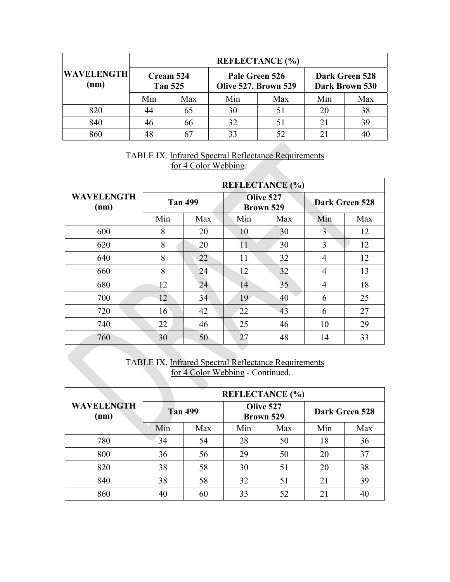|                           |                             |     |                                        | <b>REFLECTANCE</b> (%) |                                  |     |
|---------------------------|-----------------------------|-----|----------------------------------------|------------------------|----------------------------------|-----|
| <b>WAVELENGTH</b><br>(nm) | Cream 524<br><b>Tan 525</b> |     | Pale Green 526<br>Olive 527, Brown 529 |                        | Dark Green 528<br>Dark Brown 530 |     |
|                           | Min                         | Max | Min                                    | Max                    | Min                              | Max |
| 820                       | 44                          | 65  | 30                                     | 51                     | 20                               | 38  |
| 840                       | 46                          | 66  | 32                                     | 51                     | 21                               | 39  |
| 860                       | 48                          |     | 33                                     | 52                     | 21                               |     |

## TABLE IX. Infrared Spectral Reflectance Requirements for 4 Color Webbing.

|                           | <b>REFLECTANCE (%)</b> |     |                        |     |                       |     |  |
|---------------------------|------------------------|-----|------------------------|-----|-----------------------|-----|--|
| <b>WAVELENGTH</b><br>(nm) | <b>Tan 499</b>         |     | Olive 527<br>Brown 529 |     | <b>Dark Green 528</b> |     |  |
|                           | Min                    | Max | Min                    | Max | Min                   | Max |  |
| 600                       | 8                      | 20  | 10                     | 30  | 3                     | 12  |  |
| 620                       | 8                      | 20  | 11                     | 30  | 3                     | 12  |  |
| 640                       | 8                      | 22  | 11                     | 32  | 4                     | 12  |  |
| 660                       | 8                      | 24  | 12                     | 32  | 4                     | 13  |  |
| 680                       | 12                     | 24  | 14                     | 35  | $\overline{4}$        | 18  |  |
| 700                       | 12                     | 34  | 19                     | 40  | 6                     | 25  |  |
| 720                       | 16                     | 42  | 22                     | 43  | 6                     | 27  |  |
| 740                       | 22                     | 46  | 25                     | 46  | 10                    | 29  |  |
| 760                       | 30                     | 50  | 27                     | 48  | 14                    | 33  |  |

TABLE IX. Infrared Spectral Reflectance Requirements for 4 Color Webbing - Continued.

|                           | <b>REFLECTANCE</b> (%) |     |                        |     |                |     |  |
|---------------------------|------------------------|-----|------------------------|-----|----------------|-----|--|
| <b>WAVELENGTH</b><br>(nm) | <b>Tan 499</b>         |     | Olive 527<br>Brown 529 |     | Dark Green 528 |     |  |
|                           | Min                    | Max | Min                    | Max | Min            | Max |  |
| 780                       | 34                     | 54  | 28                     | 50  | 18             | 36  |  |
| 800                       | 36                     | 56  | 29                     | 50  | 20             | 37  |  |
| 820                       | 38                     | 58  | 30                     | 51  | 20             | 38  |  |
| 840                       | 38                     | 58  | 32                     | 51  | 21             | 39  |  |
| 860                       | 40                     | 60  | 33                     | 52  | 21             | 40  |  |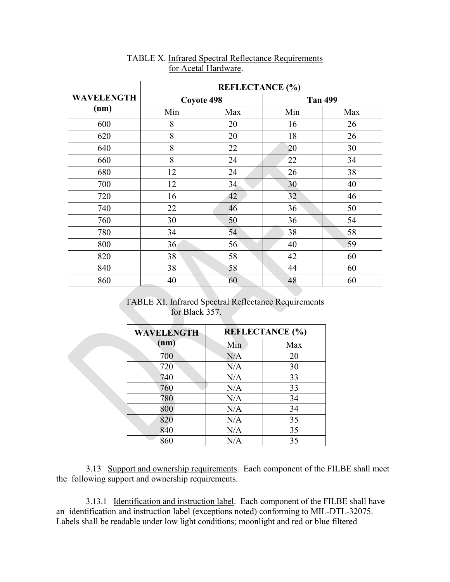|                   | <b>REFLECTANCE</b> (%) |     |                |     |  |  |
|-------------------|------------------------|-----|----------------|-----|--|--|
| <b>WAVELENGTH</b> | Coyote 498             |     | <b>Tan 499</b> |     |  |  |
| (nm)              | Min                    | Max | Min            | Max |  |  |
| 600               | 8                      | 20  | 16             | 26  |  |  |
| 620               | 8                      | 20  | 18             | 26  |  |  |
| 640               | 8                      | 22  | 20             | 30  |  |  |
| 660               | 8                      | 24  | 22             | 34  |  |  |
| 680               | 12                     | 24  | 26             | 38  |  |  |
| 700               | 12                     | 34  | 30             | 40  |  |  |
| 720               | 16                     | 42  | 32             | 46  |  |  |
| 740               | 22                     | 46  | 36             | 50  |  |  |
| 760               | 30                     | 50  | 36             | 54  |  |  |
| 780               | 34                     | 54  | 38             | 58  |  |  |
| 800               | 36                     | 56  | 40             | 59  |  |  |
| 820               | 38                     | 58  | 42             | 60  |  |  |
| 840               | 38                     | 58  | 44             | 60  |  |  |
| 860               | 40                     | 60  | 48             | 60  |  |  |

#### TABLE X. Infrared Spectral Reflectance Requirements for Acetal Hardware.

TABLE XI. Infrared Spectral Reflectance Requirements for Black 357.

| <b>WAVELENGTH</b> | <b>REFLECTANCE (%)</b> |     |  |
|-------------------|------------------------|-----|--|
| (nm)              | Min                    | Max |  |
| 700               | N/A                    | 20  |  |
| 720               | N/A                    | 30  |  |
| 740               | N/A                    | 33  |  |
| 760               | N/A                    | 33  |  |
| 780               | N/A                    | 34  |  |
| 800               | N/A                    | 34  |  |
| 820               | N/A                    | 35  |  |
| 840               | N/A                    | 35  |  |
| 860               | N/A                    | 35  |  |

3.13 Support and ownership requirements. Each component of the FILBE shall meet the following support and ownership requirements.

3.13.1 Identification and instruction label. Each component of the FILBE shall have an identification and instruction label (exceptions noted) conforming to MIL-DTL-32075. Labels shall be readable under low light conditions; moonlight and red or blue filtered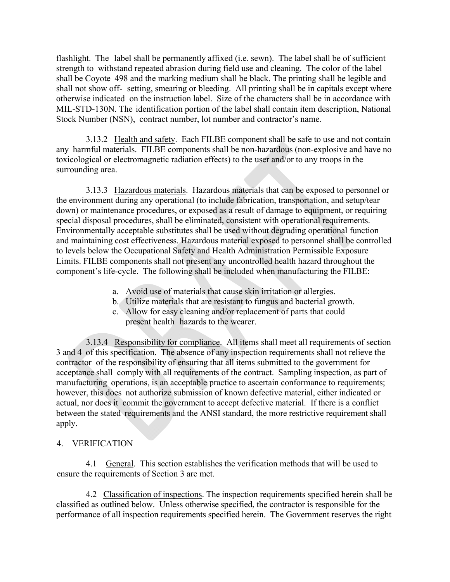flashlight. The label shall be permanently affixed (i.e. sewn). The label shall be of sufficient strength to withstand repeated abrasion during field use and cleaning. The color of the label shall be Coyote 498 and the marking medium shall be black. The printing shall be legible and shall not show off- setting, smearing or bleeding. All printing shall be in capitals except where otherwise indicated on the instruction label. Size of the characters shall be in accordance with MIL-STD-130N. The identification portion of the label shall contain item description, National Stock Number (NSN), contract number, lot number and contractor's name.

3.13.2 Health and safety. Each FILBE component shall be safe to use and not contain any harmful materials. FILBE components shall be non-hazardous (non-explosive and have no toxicological or electromagnetic radiation effects) to the user and/or to any troops in the surrounding area.

3.13.3 Hazardous materials. Hazardous materials that can be exposed to personnel or the environment during any operational (to include fabrication, transportation, and setup/tear down) or maintenance procedures, or exposed as a result of damage to equipment, or requiring special disposal procedures, shall be eliminated, consistent with operational requirements. Environmentally acceptable substitutes shall be used without degrading operational function and maintaining cost effectiveness. Hazardous material exposed to personnel shall be controlled to levels below the Occupational Safety and Health Administration Permissible Exposure Limits. FILBE components shall not present any uncontrolled health hazard throughout the component's life-cycle. The following shall be included when manufacturing the FILBE:

- a. Avoid use of materials that cause skin irritation or allergies.
- b. Utilize materials that are resistant to fungus and bacterial growth.
- c. Allow for easy cleaning and/or replacement of parts that could present health hazards to the wearer.

3.13.4 Responsibility for compliance. All items shall meet all requirements of section 3 and 4 of this specification. The absence of any inspection requirements shall not relieve the contractor of the responsibility of ensuring that all items submitted to the government for acceptance shall comply with all requirements of the contract. Sampling inspection, as part of manufacturing operations, is an acceptable practice to ascertain conformance to requirements; however, this does not authorize submission of known defective material, either indicated or actual, nor does it commit the government to accept defective material. If there is a conflict between the stated requirements and the ANSI standard, the more restrictive requirement shall apply.

#### 4. VERIFICATION

4.1 General. This section establishes the verification methods that will be used to ensure the requirements of Section 3 are met.

4.2 Classification of inspections. The inspection requirements specified herein shall be classified as outlined below. Unless otherwise specified, the contractor is responsible for the performance of all inspection requirements specified herein. The Government reserves the right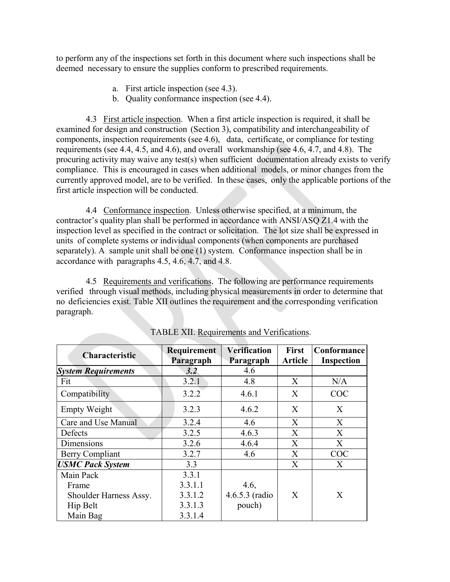to perform any of the inspections set forth in this document where such inspections shall be deemed necessary to ensure the supplies conform to prescribed requirements.

- a. First article inspection (see 4.3).
- b. Quality conformance inspection (see 4.4).

4.3 First article inspection. When a first article inspection is required, it shall be examined for design and construction (Section 3), compatibility and interchangeability of components, inspection requirements (see 4.6), data, certificate, or compliance for testing requirements (see 4.4, 4.5, and 4.6), and overall workmanship (see 4.6, 4.7, and 4.8). The procuring activity may waive any test(s) when sufficient documentation already exists to verify compliance. This is encouraged in cases when additional models, or minor changes from the currently approved model, are to be verified. In these cases, only the applicable portions of the first article inspection will be conducted.

4.4 Conformance inspection. Unless otherwise specified, at a minimum, the contractor's quality plan shall be performed in accordance with ANSI/ASQ Z1.4 with the inspection level as specified in the contract or solicitation. The lot size shall be expressed in units of complete systems or individual components (when components are purchased separately). A sample unit shall be one (1) system. Conformance inspection shall be in accordance with paragraphs 4.5, 4.6, 4.7, and 4.8.

4.5 Requirements and verifications. The following are performance requirements verified through visual methods, including physical measurements in order to determine that no deficiencies exist. Table XII outlines the requirement and the corresponding verification paragraph.

| <b>Characteristic</b>      | Requirement<br>Paragraph | <b>Verification</b><br>Paragraph | <b>First</b><br><b>Article</b> | Conformance<br><b>Inspection</b> |
|----------------------------|--------------------------|----------------------------------|--------------------------------|----------------------------------|
| <b>System Requirements</b> | 3.2                      | 4.6                              |                                |                                  |
| Fit                        | 3.2.1                    | 4.8                              | X                              | N/A                              |
| Compatibility              | 3.2.2                    | 4.6.1                            | X                              | <b>COC</b>                       |
| <b>Empty Weight</b>        | 3.2.3                    | 4.6.2                            | X                              | X                                |
| Care and Use Manual        | 3.2.4                    | 4.6                              | X                              | X                                |
| Defects                    | 3.2.5                    | 4.6.3                            | X                              | X                                |
| Dimensions                 | 3.2.6                    | 4.6.4                            | X                              | X                                |
| Berry Compliant            | 3.2.7                    | 4.6                              | X                              | <b>COC</b>                       |
| <b>USMC Pack System</b>    | 3.3                      |                                  | X                              | X                                |
| Main Pack                  | 3.3.1                    |                                  |                                |                                  |
| Frame                      | 3.3.1.1                  | 4.6,                             |                                |                                  |
| Shoulder Harness Assy.     | 3.3.1.2                  | $4.6.5.3$ (radio                 | $\boldsymbol{\mathrm{X}}$      | X                                |
| Hip Belt                   | 3.3.1.3                  | pouch)                           |                                |                                  |
| Main Bag                   | 3.3.1.4                  |                                  |                                |                                  |

TABLE XII. Requirements and Verifications.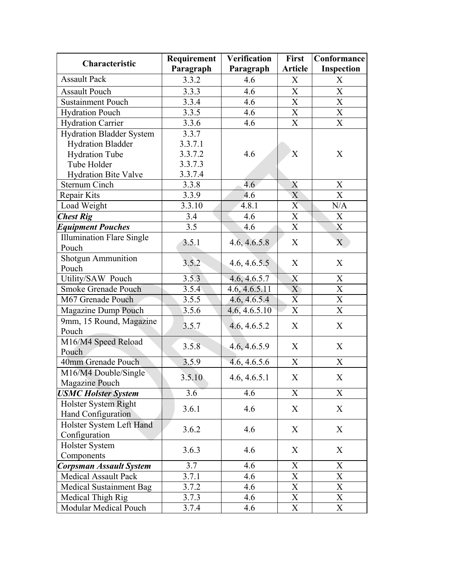| Characteristic                   | Requirement        | <b>Verification</b> | <b>First</b>              | Conformance               |
|----------------------------------|--------------------|---------------------|---------------------------|---------------------------|
|                                  | Paragraph          | Paragraph           | <b>Article</b>            | Inspection                |
| <b>Assault Pack</b>              | 3.3.2              | 4.6                 | X                         | X                         |
| <b>Assault Pouch</b>             | 3.3.3              | 4.6                 | X                         | X                         |
| <b>Sustainment Pouch</b>         | 3.3.4              | 4.6                 | $\boldsymbol{\mathrm{X}}$ | $\mathbf X$               |
| <b>Hydration Pouch</b>           | 3.3.5              | 4.6                 | $\boldsymbol{\mathrm{X}}$ | $\overline{\text{X}}$     |
| <b>Hydration Carrier</b>         | 3.3.6              | 4.6                 | $\boldsymbol{\mathrm{X}}$ | $\boldsymbol{\mathrm{X}}$ |
| <b>Hydration Bladder System</b>  | 3.3.7              |                     |                           |                           |
| <b>Hydration Bladder</b>         | 3.3.7.1            |                     |                           |                           |
| <b>Hydration Tube</b>            | 3.3.7.2            | 4.6                 | X                         | X                         |
| Tube Holder                      | 3.3.7.3            |                     |                           |                           |
| <b>Hydration Bite Valve</b>      | 3.3.7.4            |                     |                           |                           |
| <b>Sternum Cinch</b>             | 3.3.8              | 4.6                 | X                         | X                         |
| Repair Kits                      | 3.3.9              | 4.6                 | X                         | $\boldsymbol{\mathrm{X}}$ |
| Load Weight                      | 3.3.10             | 4.8.1               | X                         | N/A                       |
| <b>Chest Rig</b>                 | 3.4                | 4.6                 | X                         | X                         |
| <b>Equipment Pouches</b>         | 3.5                | 4.6                 | $\mathbf X$               | $\boldsymbol{\mathrm{X}}$ |
| <b>Illumination Flare Single</b> | 3.5.1              |                     | X                         | $\mathbf X$               |
| Pouch                            |                    | 4.6, 4.6.5.8        |                           |                           |
| <b>Shotgun Ammunition</b>        | 3.5.2              |                     | X                         | X                         |
| Pouch                            |                    | 4.6, 4.6.5.5        |                           |                           |
| Utility/SAW Pouch                | 3.5.3              | 4.6, 4.6.5.7        | $\boldsymbol{X}$          | X                         |
| Smoke Grenade Pouch              | 3.5.4              | 4.6, 4.6.5.11       | X                         | $\boldsymbol{\mathrm{X}}$ |
| M67 Grenade Pouch                | 3.5.5              | 4.6, 4.6.5.4        | $\overline{X}$            | $\mathbf X$               |
| <b>Magazine Dump Pouch</b>       | 3.5.6              | 4.6, 4.6.5.10       | X                         | X                         |
| 9mm, 15 Round, Magazine          | 3.5.7              |                     | X                         | X                         |
| Pouch                            |                    | 4.6, 4.6.5.2        |                           |                           |
| M16/M4 Speed Reload              | $3.5.\overline{8}$ |                     | X                         | X                         |
| Pouch                            |                    | 4.6, 4.6.5.9        |                           |                           |
| 40mm Grenade Pouch               | 3.5.9              | 4.6, 4.6.5.6        | X                         | X                         |
| M16/M4 Double/Single             | 3.5.10             | 4.6, 4.6.5.1        | X                         | $\boldsymbol{\mathrm{X}}$ |
| <b>Magazine Pouch</b>            |                    |                     |                           |                           |
| <b>USMC Holster System</b>       | 3.6                | 4.6                 | X                         | $\boldsymbol{\mathrm{X}}$ |
| Holster System Right             | 3.6.1              | 4.6                 | X                         | X                         |
| Hand Configuration               |                    |                     |                           |                           |
| Holster System Left Hand         | 3.6.2              | 4.6                 | X                         | X                         |
| Configuration                    |                    |                     |                           |                           |
| Holster System                   | 3.6.3              | 4.6                 | X                         | X                         |
| Components                       |                    |                     |                           |                           |
| <b>Corpsman Assault System</b>   | 3.7                | 4.6                 | X                         | X                         |
| <b>Medical Assault Pack</b>      | 3.7.1              | 4.6                 | X                         | X                         |
| <b>Medical Sustainment Bag</b>   | 3.7.2              | 4.6                 | $\boldsymbol{\mathrm{X}}$ | $\mathbf X$               |
| Medical Thigh Rig                | 3.7.3              | 4.6                 | $\mathbf X$               | $\overline{\text{X}}$     |
| Modular Medical Pouch            | 3.7.4              | 4.6                 | X                         | $\mathbf X$               |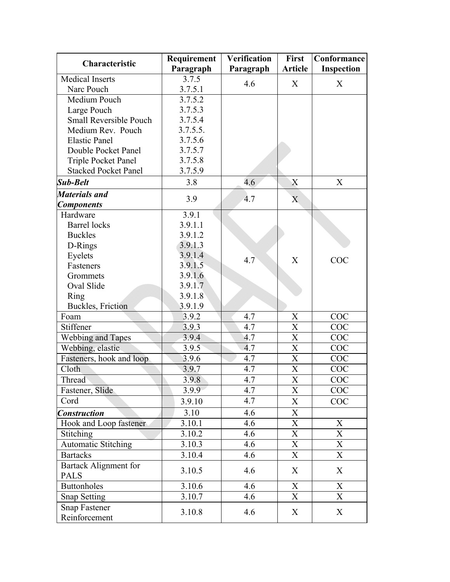| Characteristic                        | Requirement | <b>Verification</b> | First                     | Conformance               |
|---------------------------------------|-------------|---------------------|---------------------------|---------------------------|
|                                       | Paragraph   | Paragraph           | <b>Article</b>            | Inspection                |
| <b>Medical Inserts</b>                | 3.7.5       | 4.6                 | X                         | X                         |
| Narc Pouch                            | 3.7.5.1     |                     |                           |                           |
| Medium Pouch                          | 3.7.5.2     |                     |                           |                           |
| Large Pouch                           | 3.7.5.3     |                     |                           |                           |
| <b>Small Reversible Pouch</b>         | 3.7.5.4     |                     |                           |                           |
| Medium Rev. Pouch                     | 3.7.5.5.    |                     |                           |                           |
| <b>Elastic Panel</b>                  | 3.7.5.6     |                     |                           |                           |
| Double Pocket Panel                   | 3.7.5.7     |                     |                           |                           |
| Triple Pocket Panel                   | 3.7.5.8     |                     |                           |                           |
| <b>Stacked Pocket Panel</b>           | 3.7.5.9     |                     |                           |                           |
| <b>Sub-Belt</b>                       | 3.8         | 4.6                 | X                         | X                         |
| <b>Materials and</b>                  | 3.9         | 4.7                 | $\mathbf{X}$              |                           |
| <b>Components</b>                     |             |                     |                           |                           |
| Hardware                              | 3.9.1       |                     |                           |                           |
| <b>Barrel</b> locks                   | 3.9.1.1     |                     |                           |                           |
| <b>Buckles</b>                        | 3.9.1.2     |                     |                           |                           |
| D-Rings                               | 3.9.1.3     |                     |                           |                           |
| Eyelets                               | 3.9.1.4     | 4.7                 | X                         | COC                       |
| Fasteners                             | 3.9.1.5     |                     |                           |                           |
| Grommets                              | 3.9.1.6     |                     |                           |                           |
| Oval Slide                            | 3.9.1.7     |                     |                           |                           |
| Ring                                  | 3.9.1.8     |                     |                           |                           |
| <b>Buckles</b> , Friction             | 3.9.1.9     |                     |                           |                           |
| Foam                                  | 3.9.2       | 4.7                 | X                         | COC                       |
| Stiffener                             | 3.9.3       | 4.7                 | X                         | COC                       |
| <b>Webbing and Tapes</b>              | 3.9.4       | 4.7                 | $\boldsymbol{\mathrm{X}}$ | COC                       |
| Webbing, elastic                      | 3.9.5       | 4.7                 | $\boldsymbol{\mathrm{X}}$ | COC                       |
| Fasteners, hook and loop              | 3.9.6       | 4.7                 | $\boldsymbol{\mathrm{X}}$ | COC                       |
| Cloth                                 | 3.9.7       | 4.7                 | $\overline{X}$            | COC                       |
| Thread                                | 3.9.8       | 4.7                 | $\overline{\text{X}}$     | COC                       |
| Fastener, Slide                       | 3.9.9       | $4.\overline{7}$    | X                         | COC                       |
| Cord                                  | 3.9.10      | 4.7                 | X                         | COC                       |
| <b>Construction</b>                   | 3.10        | 4.6                 | $\mathbf X$               |                           |
| Hook and Loop fastener                | 3.10.1      | 4.6                 | X                         | X                         |
| Stitching                             | 3.10.2      | 4.6                 | X                         | X                         |
| <b>Automatic Stitching</b>            | 3.10.3      | 4.6                 | X                         | X                         |
| <b>Bartacks</b>                       | 3.10.4      | 4.6                 | X                         | X                         |
| Bartack Alignment for<br><b>PALS</b>  | 3.10.5      | 4.6                 | X                         | X                         |
| <b>Buttonholes</b>                    | 3.10.6      | 4.6                 | X                         | X                         |
| Snap Setting                          | 3.10.7      | 4.6                 | X                         | $\boldsymbol{\mathrm{X}}$ |
| <b>Snap Fastener</b><br>Reinforcement | 3.10.8      | 4.6                 | X                         | X                         |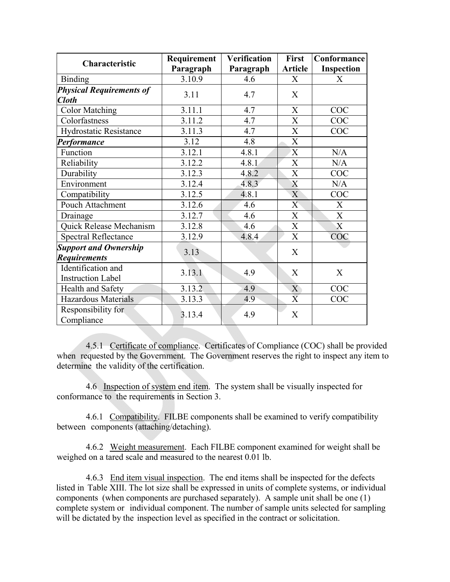| Characteristic                                      | Requirement | <b>Verification</b> | First                     | <b>Conformance</b> |
|-----------------------------------------------------|-------------|---------------------|---------------------------|--------------------|
|                                                     | Paragraph   | Paragraph           | <b>Article</b>            | <b>Inspection</b>  |
| <b>Binding</b>                                      | 3.10.9      | 4.6                 | $\mathbf{X}$              | X                  |
| <b>Physical Requirements of</b><br><b>Cloth</b>     | 3.11        | 4.7                 | X                         |                    |
| <b>Color Matching</b>                               | 3.11.1      | 4.7                 | X                         | COC                |
| Colorfastness                                       | 3.11.2      | 4.7                 | X                         | <b>COC</b>         |
| Hydrostatic Resistance                              | 3.11.3      | 4.7                 | X                         | COC                |
| Performance                                         | 3.12        | 4.8                 | X                         |                    |
| Function                                            | 3.12.1      | 4.8.1               | $\mathbf X$               | N/A                |
| Reliability                                         | 3.12.2      | 4.8.1               | $\boldsymbol{\mathrm{X}}$ | N/A                |
| Durability                                          | 3.12.3      | 4.8.2               | $\mathbf X$               | COC                |
| Environment                                         | 3.12.4      | 4.8.3               | X                         | N/A                |
| Compatibility                                       | 3.12.5      | 4.8.1               | X                         | <b>COC</b>         |
| Pouch Attachment                                    | 3.12.6      | 4.6                 | X                         | X                  |
| Drainage                                            | 3.12.7      | 4.6                 | X                         | $\mathbf X$        |
| Quick Release Mechanism                             | 3.12.8      | 4.6                 | X                         | $\boldsymbol{X}$   |
| <b>Spectral Reflectance</b>                         | 3.12.9      | 4.8.4               | $\overline{X}$            | COC                |
| <b>Support and Ownership</b><br><b>Requirements</b> | 3.13        |                     | X                         |                    |
| Identification and<br><b>Instruction Label</b>      | 3.13.1      | 4.9                 | X                         | X                  |
| Health and Safety                                   | 3.13.2      | 4.9                 | X                         | COC                |
| Hazardous Materials                                 | 3.13.3      | 4.9                 | X                         | <b>COC</b>         |
| Responsibility for<br>Compliance                    | 3.13.4      | 4.9                 | X                         |                    |

4.5.1 Certificate of compliance. Certificates of Compliance (COC) shall be provided when requested by the Government. The Government reserves the right to inspect any item to determine the validity of the certification.

4.6 Inspection of system end item. The system shall be visually inspected for conformance to the requirements in Section 3.

4.6.1 Compatibility. FILBE components shall be examined to verify compatibility between components (attaching/detaching).

4.6.2 Weight measurement. Each FILBE component examined for weight shall be weighed on a tared scale and measured to the nearest 0.01 lb.

4.6.3 End item visual inspection. The end items shall be inspected for the defects listed in Table XIII. The lot size shall be expressed in units of complete systems, or individual components (when components are purchased separately). A sample unit shall be one (1) complete system or individual component. The number of sample units selected for sampling will be dictated by the inspection level as specified in the contract or solicitation.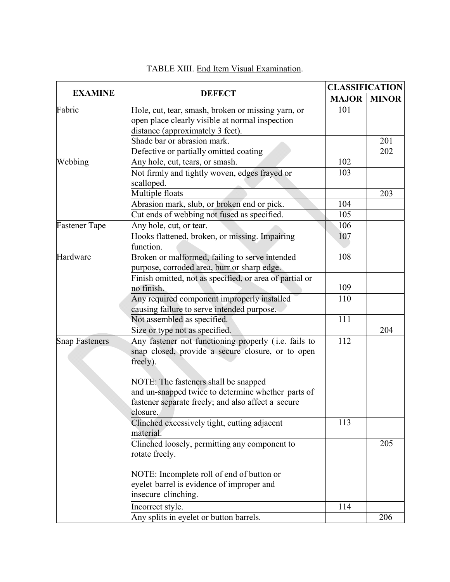|                       |                                                                                                                                                               | <b>CLASSIFICATION</b> |              |  |
|-----------------------|---------------------------------------------------------------------------------------------------------------------------------------------------------------|-----------------------|--------------|--|
| <b>EXAMINE</b>        | <b>DEFECT</b>                                                                                                                                                 | <b>MAJOR</b>          | <b>MINOR</b> |  |
| Fabric                | Hole, cut, tear, smash, broken or missing yarn, or<br>open place clearly visible at normal inspection<br>distance (approximately 3 feet).                     | 101                   |              |  |
|                       | Shade bar or abrasion mark.                                                                                                                                   |                       | 201          |  |
|                       | Defective or partially omitted coating                                                                                                                        |                       | 202          |  |
| Webbing               | Any hole, cut, tears, or smash.                                                                                                                               | 102                   |              |  |
|                       | Not firmly and tightly woven, edges frayed or<br>scalloped.                                                                                                   | 103                   |              |  |
|                       | Multiple floats                                                                                                                                               |                       | 203          |  |
|                       | Abrasion mark, slub, or broken end or pick.                                                                                                                   | 104                   |              |  |
|                       | Cut ends of webbing not fused as specified.                                                                                                                   | 105                   |              |  |
| <b>Fastener Tape</b>  | Any hole, cut, or tear.                                                                                                                                       | 106                   |              |  |
|                       | Hooks flattened, broken, or missing. Impairing<br>function.                                                                                                   | 107                   |              |  |
| Hardware              | Broken or malformed, failing to serve intended<br>purpose, corroded area, burr or sharp edge.                                                                 | 108                   |              |  |
|                       | Finish omitted, not as specified, or area of partial or<br>no finish.                                                                                         | 109                   |              |  |
|                       | Any required component improperly installed<br>causing failure to serve intended purpose.                                                                     | 110                   |              |  |
|                       | Not assembled as specified.                                                                                                                                   | 111                   |              |  |
|                       | Size or type not as specified.                                                                                                                                |                       | 204          |  |
| <b>Snap Fasteners</b> | Any fastener not functioning properly (i.e. fails to<br>snap closed, provide a secure closure, or to open<br>freely).<br>NOTE: The fasteners shall be snapped | 112                   |              |  |
|                       | and un-snapped twice to determine whether parts of<br>fastener separate freely; and also affect a secure<br>closure.                                          |                       |              |  |
|                       | Clinched excessively tight, cutting adjacent<br>material.                                                                                                     | 113                   |              |  |
|                       | Clinched loosely, permitting any component to<br>rotate freely.                                                                                               |                       | 205          |  |
|                       | NOTE: Incomplete roll of end of button or<br>eyelet barrel is evidence of improper and<br>insecure clinching.                                                 |                       |              |  |
|                       | Incorrect style.                                                                                                                                              | 114                   |              |  |
|                       | Any splits in eyelet or button barrels.                                                                                                                       |                       | 206          |  |

# TABLE XIII. End Item Visual Examination.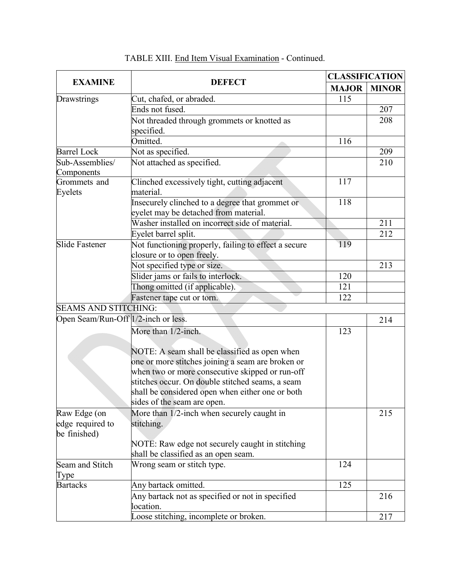|                                     |                                                      | <b>CLASSIFICATION</b> |              |
|-------------------------------------|------------------------------------------------------|-----------------------|--------------|
| <b>EXAMINE</b>                      | <b>DEFECT</b>                                        | <b>MAJOR</b>          | <b>MINOR</b> |
| Drawstrings                         | Cut, chafed, or abraded.                             | 115                   |              |
|                                     | Ends not fused.                                      |                       | 207          |
|                                     | Not threaded through grommets or knotted as          |                       | 208          |
|                                     | specified.                                           |                       |              |
|                                     | Omitted.                                             | 116                   |              |
| <b>Barrel Lock</b>                  | Not as specified.                                    |                       | 209          |
| Sub-Assemblies/                     | Not attached as specified.                           |                       | 210          |
| Components                          |                                                      |                       |              |
| Grommets and                        | Clinched excessively tight, cutting adjacent         | 117                   |              |
| Eyelets                             | material.                                            |                       |              |
|                                     | Insecurely clinched to a degree that grommet or      | 118                   |              |
|                                     | eyelet may be detached from material.                |                       |              |
|                                     | Washer installed on incorrect side of material.      |                       | 211          |
|                                     | Eyelet barrel split.                                 |                       | 212          |
| <b>Slide Fastener</b>               | Not functioning properly, failing to effect a secure | 119                   |              |
|                                     | closure or to open freely.                           |                       |              |
|                                     | Not specified type or size.                          |                       | 213          |
|                                     | Slider jams or fails to interlock.                   | 120                   |              |
|                                     | Thong omitted (if applicable).                       | 121                   |              |
|                                     | Fastener tape cut or torn.                           | 122                   |              |
| <b>SEAMS AND STITCHING:</b>         |                                                      |                       |              |
| Open Seam/Run-Off 1/2-inch or less. |                                                      |                       | 214          |
|                                     | More than 1/2-inch.                                  | 123                   |              |
|                                     |                                                      |                       |              |
|                                     | NOTE: A seam shall be classified as open when        |                       |              |
|                                     | one or more stitches joining a seam are broken or    |                       |              |
|                                     | when two or more consecutive skipped or run-off      |                       |              |
|                                     | stitches occur. On double stitched seams, a seam     |                       |              |
|                                     | shall be considered open when either one or both     |                       |              |
|                                     | sides of the seam are open.                          |                       |              |
| Raw Edge (on                        | More than 1/2-inch when securely caught in           |                       | 215          |
| edge required to                    | stitching.                                           |                       |              |
| be finished)                        |                                                      |                       |              |
|                                     | NOTE: Raw edge not securely caught in stitching      |                       |              |
|                                     | shall be classified as an open seam.                 |                       |              |
| Seam and Stitch                     | Wrong seam or stitch type.                           | 124                   |              |
| Type                                |                                                      |                       |              |
| <b>Bartacks</b>                     | Any bartack omitted.                                 | 125                   |              |
|                                     | Any bartack not as specified or not in specified     |                       | 216          |
|                                     | location.                                            |                       |              |
|                                     | Loose stitching, incomplete or broken.               |                       | 217          |

# TABLE XIII. End Item Visual Examination - Continued.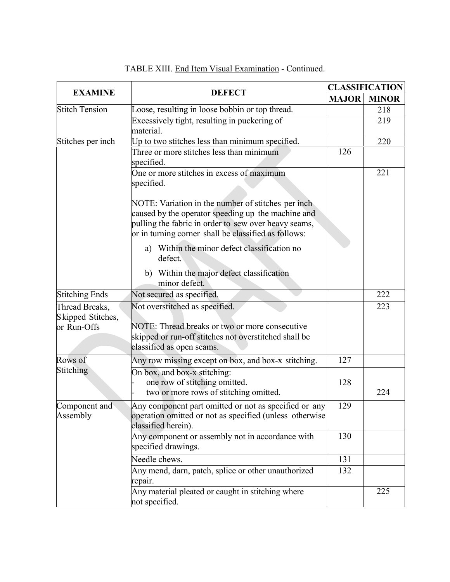|                                                    |                                                                                                                                                                                                                          | <b>CLASSIFICATION</b> |              |
|----------------------------------------------------|--------------------------------------------------------------------------------------------------------------------------------------------------------------------------------------------------------------------------|-----------------------|--------------|
| <b>EXAMINE</b>                                     | <b>DEFECT</b>                                                                                                                                                                                                            | <b>MAJOR</b>          | <b>MINOR</b> |
| <b>Stitch Tension</b>                              | Loose, resulting in loose bobbin or top thread.                                                                                                                                                                          |                       | 218          |
|                                                    | Excessively tight, resulting in puckering of<br>material.                                                                                                                                                                |                       | 219          |
| Stitches per inch                                  | Up to two stitches less than minimum specified.                                                                                                                                                                          |                       | 220          |
|                                                    | Three or more stitches less than minimum<br>specified.                                                                                                                                                                   | 126                   |              |
|                                                    | One or more stitches in excess of maximum<br>specified.                                                                                                                                                                  |                       | 221          |
|                                                    | NOTE: Variation in the number of stitches per inch<br>caused by the operator speeding up the machine and<br>pulling the fabric in order to sew over heavy seams,<br>or in turning corner shall be classified as follows: |                       |              |
|                                                    | a) Within the minor defect classification no<br>defect.                                                                                                                                                                  |                       |              |
|                                                    | b) Within the major defect classification<br>minor defect.                                                                                                                                                               |                       |              |
| <b>Stitching Ends</b>                              | Not secured as specified.                                                                                                                                                                                                |                       | 222          |
| Thread Breaks,<br>Skipped Stitches,<br>or Run-Offs | Not overstitched as specified.<br>NOTE: Thread breaks or two or more consecutive<br>skipped or run-off stitches not overstitched shall be<br>classified as open seams.                                                   |                       | 223          |
| Rows of                                            | Any row missing except on box, and box-x stitching.                                                                                                                                                                      | 127                   |              |
| Stitching                                          | On box, and box-x stitching:<br>one row of stitching omitted.<br>two or more rows of stitching omitted.                                                                                                                  | 128                   | 224          |
| Component and<br>Assembly                          | Any component part omitted or not as specified or any<br>operation omitted or not as specified (unless otherwise<br>classified herein).                                                                                  | 129                   |              |
|                                                    | Any component or assembly not in accordance with<br>specified drawings.                                                                                                                                                  | 130                   |              |
|                                                    | Needle chews.                                                                                                                                                                                                            | 131                   |              |
|                                                    | Any mend, darn, patch, splice or other unauthorized<br>repair.                                                                                                                                                           | 132                   |              |
|                                                    | Any material pleated or caught in stitching where<br>not specified.                                                                                                                                                      |                       | 225          |

# TABLE XIII. End Item Visual Examination - Continued.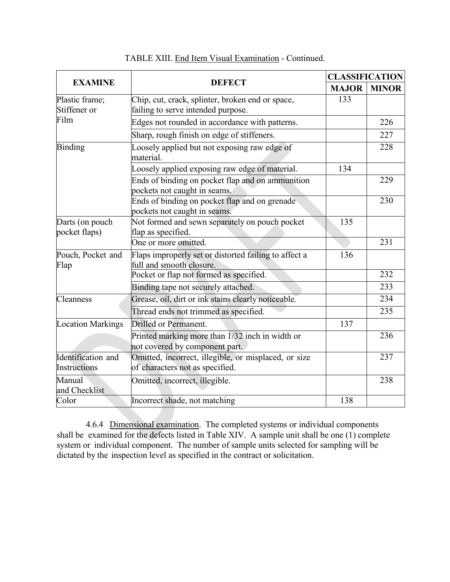|                                    |                                                                                         |              | <b>CLASSIFICATION</b> |  |
|------------------------------------|-----------------------------------------------------------------------------------------|--------------|-----------------------|--|
| <b>EXAMINE</b>                     | <b>DEFECT</b>                                                                           | <b>MAJOR</b> | <b>MINOR</b>          |  |
| Plastic frame;<br>Stiffener or     | Chip, cut, crack, splinter, broken end or space,<br>failing to serve intended purpose.  | 133          |                       |  |
| Film                               | Edges not rounded in accordance with patterns.                                          |              | 226                   |  |
|                                    | Sharp, rough finish on edge of stiffeners.                                              |              | 227                   |  |
| <b>Binding</b>                     | Loosely applied but not exposing raw edge of<br>material.                               |              | 228                   |  |
|                                    | Loosely applied exposing raw edge of material.                                          | 134          |                       |  |
|                                    | Ends of binding on pocket flap and on ammunition<br>pockets not caught in seams.        |              | 229                   |  |
|                                    | Ends of binding on pocket flap and on grenade<br>pockets not caught in seams.           |              | 230                   |  |
| Darts (on pouch<br>pocket flaps)   | Not formed and sewn separately on pouch pocket<br>flap as specified.                    | 135          |                       |  |
|                                    | One or more omitted.                                                                    |              | 231                   |  |
| Pouch, Pocket and<br>Flap          | Flaps improperly set or distorted failing to affect a<br>full and smooth closure.       | 136          |                       |  |
|                                    | Pocket or flap not formed as specified.                                                 |              | 232                   |  |
|                                    | Binding tape not securely attached.                                                     |              | 233                   |  |
| Cleanness                          | Grease, oil, dirt or ink stains clearly noticeable.                                     |              | 234                   |  |
|                                    | Thread ends not trimmed as specified.                                                   |              | 235                   |  |
| <b>Location Markings</b>           | Drilled or Permanent.                                                                   | 137          |                       |  |
|                                    | Printed marking more than 1/32 inch in width or<br>not covered by component part.       |              | 236                   |  |
| Identification and<br>Instructions | Omitted, incorrect, illegible, or misplaced, or size<br>of characters not as specified. |              | 237                   |  |
| Manual<br>and Checklist            | Omitted, incorrect, illegible.                                                          |              | 238                   |  |
| Color                              | Incorrect shade, not matching                                                           | 138          |                       |  |

## TABLE XIII. End Item Visual Examination - Continued.

4.6.4 Dimensional examination. The completed systems or individual components shall be examined for the defects listed in Table XIV. A sample unit shall be one (1) complete system or individual component. The number of sample units selected for sampling will be dictated by the inspection level as specified in the contract or solicitation.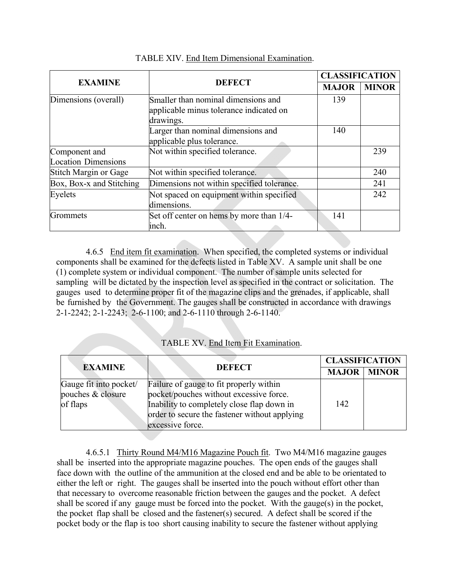|                                             |                                                                                             |              | <b>CLASSIFICATION</b> |  |
|---------------------------------------------|---------------------------------------------------------------------------------------------|--------------|-----------------------|--|
| <b>EXAMINE</b>                              | <b>DEFECT</b>                                                                               | <b>MAJOR</b> | <b>MINOR</b>          |  |
| Dimensions (overall)                        | Smaller than nominal dimensions and<br>applicable minus tolerance indicated on<br>drawings. | 139          |                       |  |
|                                             | Larger than nominal dimensions and<br>applicable plus tolerance.                            | 140          |                       |  |
| Component and<br><b>Location Dimensions</b> | Not within specified tolerance.                                                             |              | 239                   |  |
| Stitch Margin or Gage                       | Not within specified tolerance.                                                             |              | 240                   |  |
| Box, Box-x and Stitching                    | Dimensions not within specified tolerance.                                                  |              | 241                   |  |
| Eyelets                                     | Not spaced on equipment within specified<br>dimensions.                                     |              | 242                   |  |
| Grommets                                    | Set off center on hems by more than 1/4-<br>inch.                                           | 141          |                       |  |

### TABLE XIV. End Item Dimensional Examination.

4.6.5 End item fit examination. When specified, the completed systems or individual components shall be examined for the defects listed in Table XV. A sample unit shall be one (1) complete system or individual component. The number of sample units selected for sampling will be dictated by the inspection level as specified in the contract or solicitation. The gauges used to determine proper fit of the magazine clips and the grenades, if applicable, shall be furnished by the Government. The gauges shall be constructed in accordance with drawings 2-1-2242; 2-1-2243; 2-6-1100; and 2-6-1110 through 2-6-1140.

### TABLE XV. End Item Fit Examination.

|                                                         |                                                                                                                                                                                                       | <b>CLASSIFICATION</b> |              |
|---------------------------------------------------------|-------------------------------------------------------------------------------------------------------------------------------------------------------------------------------------------------------|-----------------------|--------------|
| <b>EXAMINE</b>                                          | <b>DEFECT</b>                                                                                                                                                                                         | <b>MAJOR</b>          | <b>MINOR</b> |
| Gauge fit into pocket/<br>pouches & closure<br>of flaps | Failure of gauge to fit properly within<br>pocket/pouches without excessive force.<br>Inability to completely close flap down in<br>order to secure the fastener without applying<br>excessive force. | 142                   |              |

4.6.5.1 Thirty Round M4/M16 Magazine Pouch fit. Two M4/M16 magazine gauges shall be inserted into the appropriate magazine pouches. The open ends of the gauges shall face down with the outline of the ammunition at the closed end and be able to be orientated to either the left or right. The gauges shall be inserted into the pouch without effort other than that necessary to overcome reasonable friction between the gauges and the pocket. A defect shall be scored if any gauge must be forced into the pocket. With the gauge(s) in the pocket, the pocket flap shall be closed and the fastener(s) secured. A defect shall be scored if the pocket body or the flap is too short causing inability to secure the fastener without applying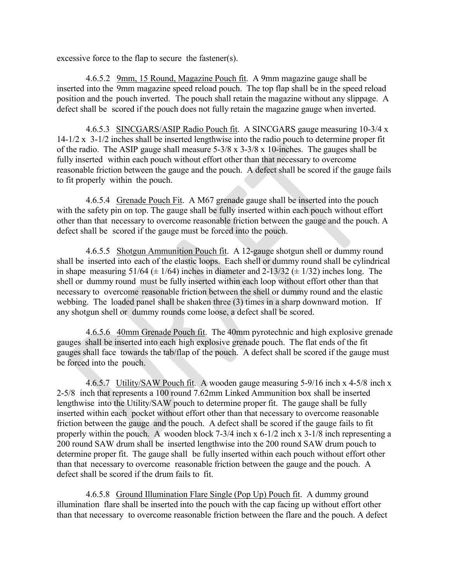excessive force to the flap to secure the fastener(s).

4.6.5.2 9mm, 15 Round, Magazine Pouch fit. A 9mm magazine gauge shall be inserted into the 9mm magazine speed reload pouch. The top flap shall be in the speed reload position and the pouch inverted. The pouch shall retain the magazine without any slippage. A defect shall be scored if the pouch does not fully retain the magazine gauge when inverted.

4.6.5.3 SINCGARS/ASIP Radio Pouch fit. A SINCGARS gauge measuring 10-3/4 x 14-1/2 x 3-1/2 inches shall be inserted lengthwise into the radio pouch to determine proper fit of the radio. The ASIP gauge shall measure  $5-3/8 \times 3-3/8 \times 10$ -inches. The gauges shall be fully inserted within each pouch without effort other than that necessary to overcome reasonable friction between the gauge and the pouch. A defect shall be scored if the gauge fails to fit properly within the pouch.

4.6.5.4 Grenade Pouch Fit. A M67 grenade gauge shall be inserted into the pouch with the safety pin on top. The gauge shall be fully inserted within each pouch without effort other than that necessary to overcome reasonable friction between the gauge and the pouch. A defect shall be scored if the gauge must be forced into the pouch.

4.6.5.5 Shotgun Ammunition Pouch fit. A 12-gauge shotgun shell or dummy round shall be inserted into each of the elastic loops. Each shell or dummy round shall be cylindrical in shape measuring  $51/64 \pm 1/64$ ) inches in diameter and  $2-13/32 \pm 1/32$ ) inches long. The shell or dummy round must be fully inserted within each loop without effort other than that necessary to overcome reasonable friction between the shell or dummy round and the elastic webbing. The loaded panel shall be shaken three (3) times in a sharp downward motion. If any shotgun shell or dummy rounds come loose, a defect shall be scored.

4.6.5.6 40mm Grenade Pouch fit. The 40mm pyrotechnic and high explosive grenade gauges shall be inserted into each high explosive grenade pouch. The flat ends of the fit gauges shall face towards the tab/flap of the pouch. A defect shall be scored if the gauge must be forced into the pouch.

4.6.5.7 Utility/SAW Pouch fit. A wooden gauge measuring 5-9/16 inch x 4-5/8 inch x 2-5/8 inch that represents a 100 round 7.62mm Linked Ammunition box shall be inserted lengthwise into the Utility/SAW pouch to determine proper fit. The gauge shall be fully inserted within each pocket without effort other than that necessary to overcome reasonable friction between the gauge and the pouch. A defect shall be scored if the gauge fails to fit properly within the pouch. A wooden block 7-3/4 inch x 6-1/2 inch x 3-1/8 inch representing a 200 round SAW drum shall be inserted lengthwise into the 200 round SAW drum pouch to determine proper fit. The gauge shall be fully inserted within each pouch without effort other than that necessary to overcome reasonable friction between the gauge and the pouch. A defect shall be scored if the drum fails to fit.

4.6.5.8 Ground Illumination Flare Single (Pop Up) Pouch fit. A dummy ground illumination flare shall be inserted into the pouch with the cap facing up without effort other than that necessary to overcome reasonable friction between the flare and the pouch. A defect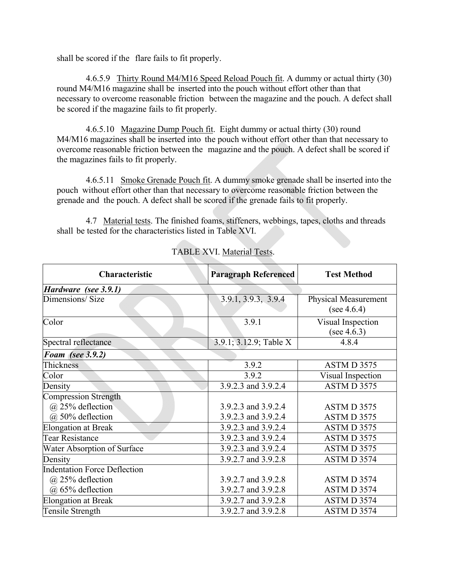shall be scored if the flare fails to fit properly.

4.6.5.9 Thirty Round M4/M16 Speed Reload Pouch fit. A dummy or actual thirty (30) round M4/M16 magazine shall be inserted into the pouch without effort other than that necessary to overcome reasonable friction between the magazine and the pouch. A defect shall be scored if the magazine fails to fit properly.

4.6.5.10 Magazine Dump Pouch fit. Eight dummy or actual thirty (30) round M4/M16 magazines shall be inserted into the pouch without effort other than that necessary to overcome reasonable friction between the magazine and the pouch. A defect shall be scored if the magazines fails to fit properly.

4.6.5.11 Smoke Grenade Pouch fit. A dummy smoke grenade shall be inserted into the pouch without effort other than that necessary to overcome reasonable friction between the grenade and the pouch. A defect shall be scored if the grenade fails to fit properly.

4.7 Material tests. The finished foams, stiffeners, webbings, tapes, cloths and threads shall be tested for the characteristics listed in Table XVI.

| Characteristic                                                                  | <b>Paragraph Referenced</b>                | <b>Test Method</b>                            |
|---------------------------------------------------------------------------------|--------------------------------------------|-----------------------------------------------|
| Hardware (see 3.9.1)                                                            |                                            |                                               |
| Dimensions/Size                                                                 | 3.9.1, 3.9.3, 3.9.4                        | <b>Physical Measurement</b><br>(see $4.6.4$ ) |
| Color                                                                           | 3.9.1                                      | Visual Inspection<br>(see $4.6.3$ )           |
| Spectral reflectance                                                            | 3.9.1; 3.12.9; Table X                     | 4.8.4                                         |
| Foam (see 3.9.2)                                                                |                                            |                                               |
| Thickness                                                                       | 3.9.2                                      | ASTM D 3575                                   |
| Color                                                                           | 3.9.2                                      | Visual Inspection                             |
| Density                                                                         | 3.9.2.3 and 3.9.2.4                        | ASTM D 3575                                   |
| <b>Compression Strength</b><br>@ 25% deflection<br>@ 50% deflection             | 3.9.2.3 and 3.9.2.4<br>3.9.2.3 and 3.9.2.4 | ASTM D 3575<br>ASTM D 3575                    |
| <b>Elongation at Break</b>                                                      | 3.9.2.3 and 3.9.2.4                        | ASTM D 3575                                   |
| <b>Tear Resistance</b>                                                          | 3.9.2.3 and 3.9.2.4                        | ASTM D 3575                                   |
| Water Absorption of Surface                                                     | 3.9.2.3 and 3.9.2.4                        | ASTM D 3575                                   |
| Density                                                                         | 3.9.2.7 and 3.9.2.8                        | ASTM D 3574                                   |
| <b>Indentation Force Deflection</b><br>$(a)$ 25% deflection<br>@ 65% deflection | 3.9.2.7 and 3.9.2.8<br>3.9.2.7 and 3.9.2.8 | ASTM D 3574<br>ASTM D 3574                    |
| <b>Elongation at Break</b><br>Tensile Strength                                  | 3.9.2.7 and 3.9.2.8<br>3.9.2.7 and 3.9.2.8 | ASTM D 3574<br>ASTM D 3574                    |
|                                                                                 |                                            |                                               |

## TABLE XVI. Material Tests.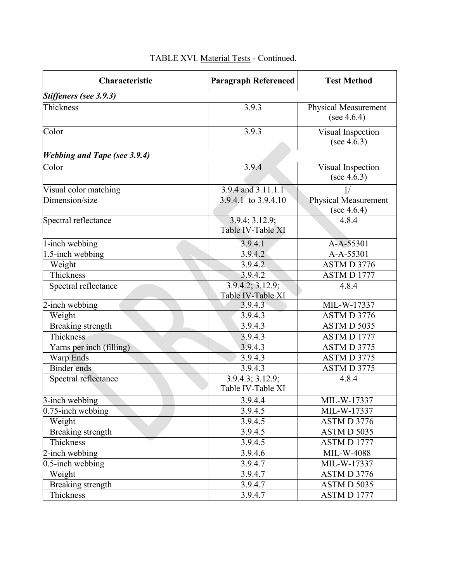| Characteristic                      | <b>Paragraph Referenced</b>                        | <b>Test Method</b>                            |
|-------------------------------------|----------------------------------------------------|-----------------------------------------------|
| Stiffeners (see 3.9.3)              |                                                    |                                               |
| Thickness                           | 3.9.3                                              | <b>Physical Measurement</b><br>(see $4.6.4$ ) |
| Color                               | 3.9.3                                              | Visual Inspection<br>(see $4.6.3$ )           |
| <b>Webbing and Tape (see 3.9.4)</b> |                                                    |                                               |
| Color                               | 3.9.4                                              | Visual Inspection<br>(see $4.6.3$ )           |
| Visual color matching               | 3.9.4 and 3.11.1.1                                 |                                               |
| Dimension/size                      | 3.9.4.1 to 3.9.4.10                                | <b>Physical Measurement</b><br>(see $4.6.4$ ) |
| Spectral reflectance                | 3.9.4; 3.12.9;<br>Table IV-Table XI                | 4.8.4                                         |
| 1-inch webbing                      | 3.9.4.1                                            | A-A-55301                                     |
| 1.5-inch webbing                    | 3.9.4.2                                            | $A-A-55301$                                   |
| Weight                              | 3.9.4.2                                            | ASTM D 3776                                   |
| Thickness                           | 3.9.4.2                                            | ASTM D 1777                                   |
| Spectral reflectance                | 3.9.4.2; 3.12.9;<br>Table IV-Table XI              | 4.8.4                                         |
| 2-inch webbing                      | 3.9.4.3                                            | MIL-W-17337                                   |
| Weight                              | 3.9.4.3                                            | ASTM D 3776                                   |
| Breaking strength                   | 3.9.4.3                                            | ASTM D 5035                                   |
| Thickness                           | 3.9.4.3                                            | ASTM D 1777                                   |
| Yarns per inch (filling)            | 3.9.4.3                                            | ASTM D 3775                                   |
| Warp Ends                           | 3.9.4.3                                            | ASTM D 3775                                   |
| <b>Binder</b> ends                  | 3.9.4.3                                            | ASTM D 3775                                   |
| Spectral reflectance                | $\overline{3.9.4.3; 3.12.9};$<br>Table IV-Table XI | 4.8.4                                         |
| 3-inch webbing                      | 3.9.4.4                                            | MIL-W-17337                                   |
| 0.75-inch webbing                   | 3.9.4.5                                            | MIL-W-17337                                   |
| Weight                              | 3.9.4.5                                            | ASTM D 3776                                   |
| Breaking strength                   | 3.9.4.5                                            | ASTM D 5035                                   |
| Thickness                           | 3.9.4.5                                            | ASTM D 1777                                   |
| 2-inch webbing                      | 3.9.4.6                                            | MIL-W-4088                                    |
| $0.5$ -inch webbing                 | 3.9.4.7                                            | MIL-W-17337                                   |
| Weight                              | 3.9.4.7                                            | ASTMD 3776                                    |
| Breaking strength                   | 3.9.4.7                                            | ASTM D 5035                                   |
| Thickness                           | 3.9.4.7                                            | ASTM D 1777                                   |

# TABLE XVI. Material Tests - Continued.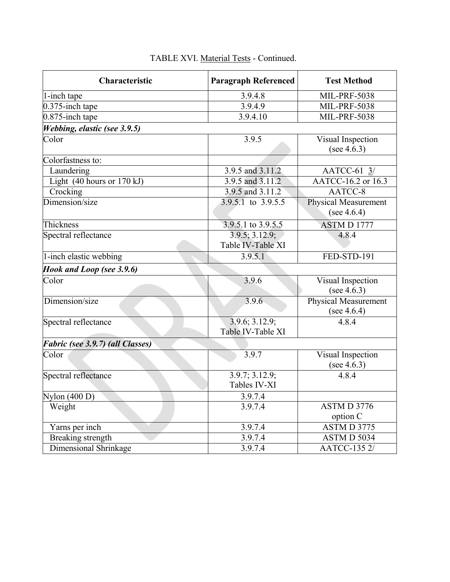| Characteristic                   | <b>Paragraph Referenced</b>         | <b>Test Method</b>                            |  |
|----------------------------------|-------------------------------------|-----------------------------------------------|--|
| 1-inch tape                      | 3.9.4.8                             | <b>MIL-PRF-5038</b>                           |  |
| 0.375-inch tape                  | 3.9.4.9                             | <b>MIL-PRF-5038</b>                           |  |
| 0.875-inch tape                  | 3.9.4.10                            | <b>MIL-PRF-5038</b>                           |  |
| Webbing, elastic (see 3.9.5)     |                                     |                                               |  |
| Color                            | 3.9.5                               | Visual Inspection<br>(see $4.6.3$ )           |  |
| Colorfastness to:                |                                     |                                               |  |
| Laundering                       | 3.9.5 and 3.11.2                    | AATCC-61 $3/$                                 |  |
| Light $(40$ hours or $170$ kJ)   | 3.9.5 and 3.11.2                    | AATCC-16.2 or 16.3                            |  |
| Crocking                         | 3.9.5 and 3.11.2                    | AATCC-8                                       |  |
| Dimension/size                   | $3.9.5.1$ to $3.9.5.5$              | <b>Physical Measurement</b><br>(see $4.6.4$ ) |  |
| Thickness                        | 3.9.5.1 to 3.9.5.5                  | ASTM D 1777                                   |  |
| Spectral reflectance             | 3.9.5; 3.12.9;<br>Table IV-Table XI | 4.8.4                                         |  |
| 1-inch elastic webbing           | 3.9.5.1                             | FED-STD-191                                   |  |
| Hook and Loop (see 3.9.6)        |                                     |                                               |  |
| Color                            | 3.9.6                               | Visual Inspection<br>(see $4.6.3$ )           |  |
| Dimension/size                   | 3.9.6                               | Physical Measurement<br>(see $4.6.4$ )        |  |
| Spectral reflectance             | 3.9.6; 3.12.9;<br>Table IV-Table XI | 4.8.4                                         |  |
| Fabric (see 3.9.7) (all Classes) |                                     |                                               |  |
| Color                            | 3.9.7                               | Visual Inspection<br>(see $4.6.3$ )           |  |
| Spectral reflectance             | 3.9.7; 3.12.9;<br>Tables IV-XI      | 4.8.4                                         |  |
| Nylon $(400 D)$                  | 3.9.7.4                             |                                               |  |
| Weight                           | 3.9.7.4                             | ASTM D 3776<br>option C                       |  |
| Yarns per inch                   | 3.9.7.4                             | $\overline{\text{ASTM}\,D}$ 3775              |  |
| Breaking strength                | 3.9.7.4                             | ASTM D 5034                                   |  |
| <b>Dimensional Shrinkage</b>     | 3.9.7.4                             | AATCC-135 2/                                  |  |

# TABLE XVI. Material Tests - Continued.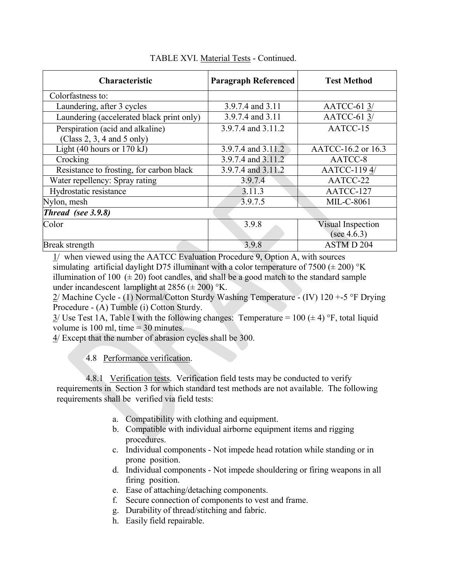| <b>Characteristic</b>                     | <b>Paragraph Referenced</b> | <b>Test Method</b> |
|-------------------------------------------|-----------------------------|--------------------|
| Colorfastness to:                         |                             |                    |
| Laundering, after 3 cycles                | 3.9.7.4 and 3.11            | AATCC-61 3/        |
| Laundering (accelerated black print only) | 3.9.7.4 and 3.11            | AATCC-61 3/        |
| Perspiration (acid and alkaline)          | 3.9.7.4 and 3.11.2          | AATCC-15           |
| (Class 2, 3, 4 and 5 only)                |                             |                    |
| Light $(40$ hours or $170$ kJ)            | 3.9.7.4 and 3.11.2          | AATCC-16.2 or 16.3 |
| Crocking                                  | 3.9.7.4 and 3.11.2          | AATCC-8            |
| Resistance to frosting, for carbon black  | 3.9.7.4 and 3.11.2          | AATCC-1194/        |
| Water repellency: Spray rating            | 3.9.7.4                     | AATCC-22           |
| Hydrostatic resistance                    | 3.11.3                      | AATCC-127          |
| Nylon, mesh                               | 3.9.7.5                     | <b>MIL-C-8061</b>  |
| Thread (see 3.9.8)                        |                             |                    |
| Color                                     | 3.9.8                       | Visual Inspection  |
|                                           |                             | (see 4.6.3)        |
| <b>Break</b> strength                     | 3.9.8                       | ASTM D 204         |

### TABLE XVI. Material Tests - Continued.

1/ when viewed using the AATCC Evaluation Procedure 9, Option A, with sources simulating artificial daylight D75 illuminant with a color temperature of 7500 ( $\pm$  200) °K illumination of 100  $(\pm 20)$  foot candles, and shall be a good match to the standard sample under incandescent lamplight at  $2856 (\pm 200)$  °K.

 $2/M$ achine Cycle - (1) Normal/Cotton Sturdy Washing Temperature - (IV) 120 +-5 °F Drying Procedure - (A) Tumble (i) Cotton Sturdy.

 $3/$  Use Test 1A, Table I with the following changes: Temperature = 100 ( $\pm$  4) °F, total liquid volume is  $100$  ml, time  $= 30$  minutes.

4/ Except that the number of abrasion cycles shall be 300.

4.8 Performance verification.

4.8.1 Verification tests. Verification field tests may be conducted to verify requirements in Section 3 for which standard test methods are not available. The following requirements shall be verified via field tests:

- a. Compatibility with clothing and equipment.
- b. Compatible with individual airborne equipment items and rigging procedures.
- c. Individual components Not impede head rotation while standing or in prone position.
- d. Individual components Not impede shouldering or firing weapons in all firing position.
- e. Ease of attaching/detaching components.
- f. Secure connection of components to vest and frame.
- g. Durability of thread/stitching and fabric.
- h. Easily field repairable.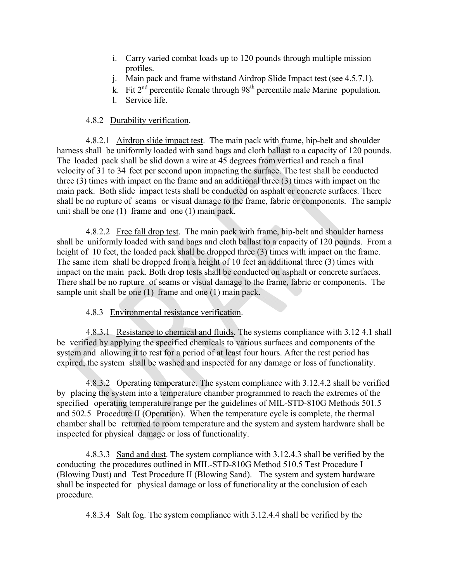- i. Carry varied combat loads up to 120 pounds through multiple mission profiles.
- j. Main pack and frame withstand Airdrop Slide Impact test (see 4.5.7.1).
- k. Fit  $2<sup>nd</sup>$  percentile female through  $98<sup>th</sup>$  percentile male Marine population.
- l. Service life.

### 4.8.2 Durability verification.

4.8.2.1 Airdrop slide impact test. The main pack with frame, hip-belt and shoulder harness shall be uniformly loaded with sand bags and cloth ballast to a capacity of 120 pounds. The loaded pack shall be slid down a wire at 45 degrees from vertical and reach a final velocity of 31 to 34 feet per second upon impacting the surface. The test shall be conducted three (3) times with impact on the frame and an additional three (3) times with impact on the main pack. Both slide impact tests shall be conducted on asphalt or concrete surfaces. There shall be no rupture of seams or visual damage to the frame, fabric or components. The sample unit shall be one (1) frame and one (1) main pack.

4.8.2.2 Free fall drop test. The main pack with frame, hip-belt and shoulder harness shall be uniformly loaded with sand bags and cloth ballast to a capacity of 120 pounds. From a height of 10 feet, the loaded pack shall be dropped three (3) times with impact on the frame. The same item shall be dropped from a height of 10 feet an additional three (3) times with impact on the main pack. Both drop tests shall be conducted on asphalt or concrete surfaces. There shall be no rupture of seams or visual damage to the frame, fabric or components. The sample unit shall be one (1) frame and one (1) main pack.

### 4.8.3 Environmental resistance verification.

4.8.3.1 Resistance to chemical and fluids. The systems compliance with 3.12 4.1 shall be verified by applying the specified chemicals to various surfaces and components of the system and allowing it to rest for a period of at least four hours. After the rest period has expired, the system shall be washed and inspected for any damage or loss of functionality.

4.8.3.2 Operating temperature. The system compliance with 3.12.4.2 shall be verified by placing the system into a temperature chamber programmed to reach the extremes of the specified operating temperature range per the guidelines of MIL-STD-810G Methods 501.5 and 502.5 Procedure II (Operation). When the temperature cycle is complete, the thermal chamber shall be returned to room temperature and the system and system hardware shall be inspected for physical damage or loss of functionality.

4.8.3.3 Sand and dust. The system compliance with 3.12.4.3 shall be verified by the conducting the procedures outlined in MIL-STD-810G Method 510.5 Test Procedure I (Blowing Dust) and Test Procedure II (Blowing Sand). The system and system hardware shall be inspected for physical damage or loss of functionality at the conclusion of each procedure.

4.8.3.4 Salt fog. The system compliance with 3.12.4.4 shall be verified by the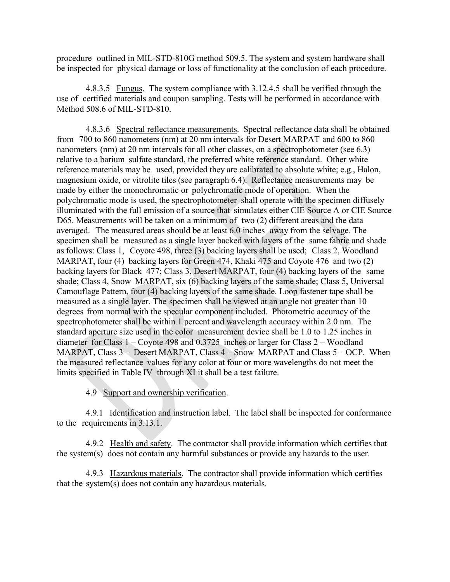procedure outlined in MIL-STD-810G method 509.5. The system and system hardware shall be inspected for physical damage or loss of functionality at the conclusion of each procedure.

4.8.3.5 Fungus. The system compliance with 3.12.4.5 shall be verified through the use of certified materials and coupon sampling. Tests will be performed in accordance with Method 508.6 of MIL-STD-810.

4.8.3.6 Spectral reflectance measurements. Spectral reflectance data shall be obtained from 700 to 860 nanometers (nm) at 20 nm intervals for Desert MARPAT and 600 to 860 nanometers (nm) at 20 nm intervals for all other classes, on a spectrophotometer (see 6.3) relative to a barium sulfate standard, the preferred white reference standard. Other white reference materials may be used, provided they are calibrated to absolute white; e.g., Halon, magnesium oxide, or vitrolite tiles (see paragraph 6.4). Reflectance measurements may be made by either the monochromatic or polychromatic mode of operation. When the polychromatic mode is used, the spectrophotometer shall operate with the specimen diffusely illuminated with the full emission of a source that simulates either CIE Source A or CIE Source D65. Measurements will be taken on a minimum of two (2) different areas and the data averaged. The measured areas should be at least 6.0 inches away from the selvage. The specimen shall be measured as a single layer backed with layers of the same fabric and shade as follows: Class 1, Coyote 498, three (3) backing layers shall be used; Class 2, Woodland MARPAT, four (4) backing layers for Green 474, Khaki 475 and Coyote 476 and two (2) backing layers for Black 477; Class 3, Desert MARPAT, four (4) backing layers of the same shade; Class 4, Snow MARPAT, six (6) backing layers of the same shade; Class 5, Universal Camouflage Pattern, four (4) backing layers of the same shade. Loop fastener tape shall be measured as a single layer. The specimen shall be viewed at an angle not greater than 10 degrees from normal with the specular component included. Photometric accuracy of the spectrophotometer shall be within 1 percent and wavelength accuracy within 2.0 nm. The standard aperture size used in the color measurement device shall be 1.0 to 1.25 inches in diameter for Class 1 – Coyote 498 and 0.3725 inches or larger for Class 2 – Woodland MARPAT, Class 3 – Desert MARPAT, Class 4 – Snow MARPAT and Class 5 – OCP. When the measured reflectance values for any color at four or more wavelengths do not meet the limits specified in Table IV through XI it shall be a test failure.

4.9 Support and ownership verification.

4.9.1 Identification and instruction label. The label shall be inspected for conformance to the requirements in 3.13.1.

4.9.2 Health and safety. The contractor shall provide information which certifies that the system(s) does not contain any harmful substances or provide any hazards to the user.

4.9.3 Hazardous materials. The contractor shall provide information which certifies that the system(s) does not contain any hazardous materials.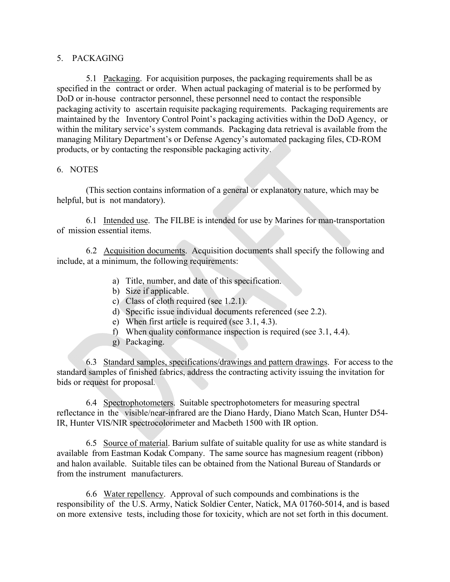#### 5. PACKAGING

5.1 Packaging. For acquisition purposes, the packaging requirements shall be as specified in the contract or order. When actual packaging of material is to be performed by DoD or in-house contractor personnel, these personnel need to contact the responsible packaging activity to ascertain requisite packaging requirements. Packaging requirements are maintained by the Inventory Control Point's packaging activities within the DoD Agency, or within the military service's system commands. Packaging data retrieval is available from the managing Military Department's or Defense Agency's automated packaging files, CD-ROM products, or by contacting the responsible packaging activity.

#### 6. NOTES

(This section contains information of a general or explanatory nature, which may be helpful, but is not mandatory).

6.1 Intended use. The FILBE is intended for use by Marines for man-transportation of mission essential items.

6.2 Acquisition documents. Acquisition documents shall specify the following and include, at a minimum, the following requirements:

- a) Title, number, and date of this specification.
- b) Size if applicable.
- c) Class of cloth required (see 1.2.1).
- d) Specific issue individual documents referenced (see 2.2).
- e) When first article is required (see 3.1, 4.3).
- f) When quality conformance inspection is required (see 3.1, 4.4).
- g) Packaging.

6.3 Standard samples, specifications/drawings and pattern drawings. For access to the standard samples of finished fabrics, address the contracting activity issuing the invitation for bids or request for proposal*.*

6.4 Spectrophotometers. Suitable spectrophotometers for measuring spectral reflectance in the visible/near-infrared are the Diano Hardy, Diano Match Scan, Hunter D54- IR, Hunter VIS/NIR spectrocolorimeter and Macbeth 1500 with IR option.

6.5 Source of material. Barium sulfate of suitable quality for use as white standard is available from Eastman Kodak Company. The same source has magnesium reagent (ribbon) and halon available. Suitable tiles can be obtained from the National Bureau of Standards or from the instrument manufacturers.

6.6 Water repellency. Approval of such compounds and combinations is the responsibility of the U.S. Army, Natick Soldier Center, Natick, MA 01760-5014, and is based on more extensive tests, including those for toxicity, which are not set forth in this document.